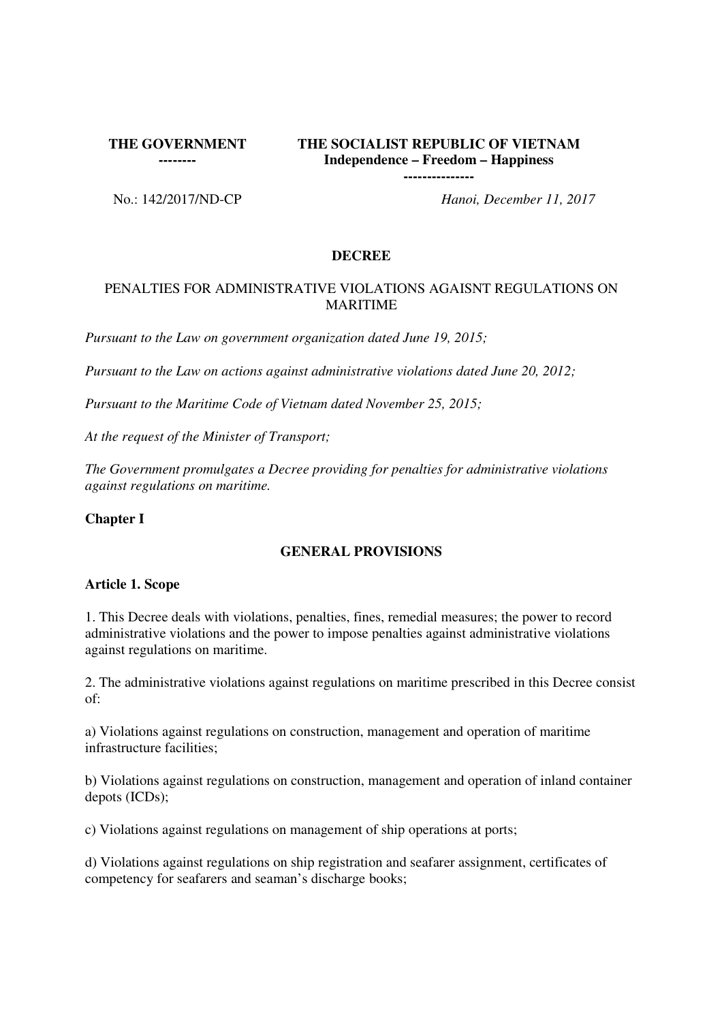**THE GOVERNMENT** 

**--------**

# **THE SOCIALIST REPUBLIC OF VIETNAM Independence – Freedom – Happiness**

**---------------**

No.: 142/2017/ND-CP *Hanoi, December 11, 2017*

# **DECREE**

# PENALTIES FOR ADMINISTRATIVE VIOLATIONS AGAISNT REGULATIONS ON **MARITIME**

*Pursuant to the Law on government organization dated June 19, 2015;*

*Pursuant to the Law on actions against administrative violations dated June 20, 2012;*

*Pursuant to the Maritime Code of Vietnam dated November 25, 2015;*

*At the request of the Minister of Transport;*

*The Government promulgates a Decree providing for penalties for administrative violations against regulations on maritime.* 

# **Chapter I**

# **GENERAL PROVISIONS**

# **Article 1. Scope**

1. This Decree deals with violations, penalties, fines, remedial measures; the power to record administrative violations and the power to impose penalties against administrative violations against regulations on maritime.

2. The administrative violations against regulations on maritime prescribed in this Decree consist of:

a) Violations against regulations on construction, management and operation of maritime infrastructure facilities;

b) Violations against regulations on construction, management and operation of inland container depots (ICDs);

c) Violations against regulations on management of ship operations at ports;

d) Violations against regulations on ship registration and seafarer assignment, certificates of competency for seafarers and seaman's discharge books;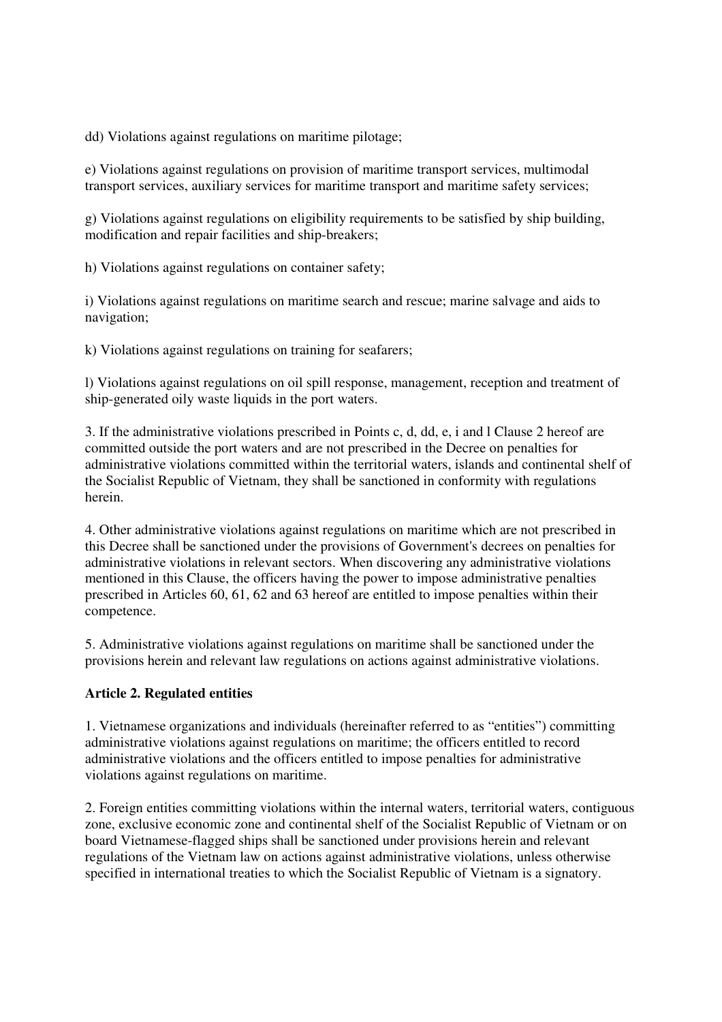dd) Violations against regulations on maritime pilotage;

e) Violations against regulations on provision of maritime transport services, multimodal transport services, auxiliary services for maritime transport and maritime safety services;

g) Violations against regulations on eligibility requirements to be satisfied by ship building, modification and repair facilities and ship-breakers;

h) Violations against regulations on container safety;

i) Violations against regulations on maritime search and rescue; marine salvage and aids to navigation;

k) Violations against regulations on training for seafarers;

l) Violations against regulations on oil spill response, management, reception and treatment of ship-generated oily waste liquids in the port waters.

3. If the administrative violations prescribed in Points c, d, dd, e, i and l Clause 2 hereof are committed outside the port waters and are not prescribed in the Decree on penalties for administrative violations committed within the territorial waters, islands and continental shelf of the Socialist Republic of Vietnam, they shall be sanctioned in conformity with regulations herein.

4. Other administrative violations against regulations on maritime which are not prescribed in this Decree shall be sanctioned under the provisions of Government's decrees on penalties for administrative violations in relevant sectors. When discovering any administrative violations mentioned in this Clause, the officers having the power to impose administrative penalties prescribed in Articles 60, 61, 62 and 63 hereof are entitled to impose penalties within their competence.

5. Administrative violations against regulations on maritime shall be sanctioned under the provisions herein and relevant law regulations on actions against administrative violations.

# **Article 2. Regulated entities**

1. Vietnamese organizations and individuals (hereinafter referred to as "entities") committing administrative violations against regulations on maritime; the officers entitled to record administrative violations and the officers entitled to impose penalties for administrative violations against regulations on maritime.

2. Foreign entities committing violations within the internal waters, territorial waters, contiguous zone, exclusive economic zone and continental shelf of the Socialist Republic of Vietnam or on board Vietnamese-flagged ships shall be sanctioned under provisions herein and relevant regulations of the Vietnam law on actions against administrative violations, unless otherwise specified in international treaties to which the Socialist Republic of Vietnam is a signatory.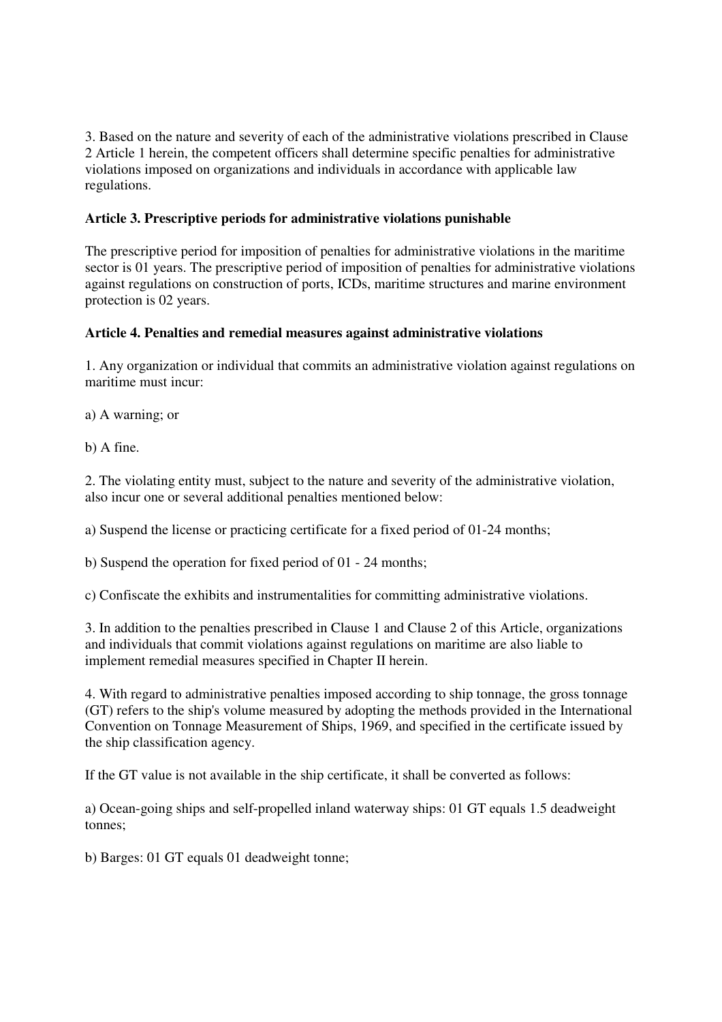3. Based on the nature and severity of each of the administrative violations prescribed in Clause 2 Article 1 herein, the competent officers shall determine specific penalties for administrative violations imposed on organizations and individuals in accordance with applicable law regulations.

# **Article 3. Prescriptive periods for administrative violations punishable**

The prescriptive period for imposition of penalties for administrative violations in the maritime sector is 01 years. The prescriptive period of imposition of penalties for administrative violations against regulations on construction of ports, ICDs, maritime structures and marine environment protection is 02 years.

# **Article 4. Penalties and remedial measures against administrative violations**

1. Any organization or individual that commits an administrative violation against regulations on maritime must incur:

a) A warning; or

b) A fine.

2. The violating entity must, subject to the nature and severity of the administrative violation, also incur one or several additional penalties mentioned below:

a) Suspend the license or practicing certificate for a fixed period of 01-24 months;

b) Suspend the operation for fixed period of 01 - 24 months;

c) Confiscate the exhibits and instrumentalities for committing administrative violations.

3. In addition to the penalties prescribed in Clause 1 and Clause 2 of this Article, organizations and individuals that commit violations against regulations on maritime are also liable to implement remedial measures specified in Chapter II herein.

4. With regard to administrative penalties imposed according to ship tonnage, the gross tonnage (GT) refers to the ship's volume measured by adopting the methods provided in the International Convention on Tonnage Measurement of Ships, 1969, and specified in the certificate issued by the ship classification agency.

If the GT value is not available in the ship certificate, it shall be converted as follows:

a) Ocean-going ships and self-propelled inland waterway ships: 01 GT equals 1.5 deadweight tonnes;

b) Barges: 01 GT equals 01 deadweight tonne;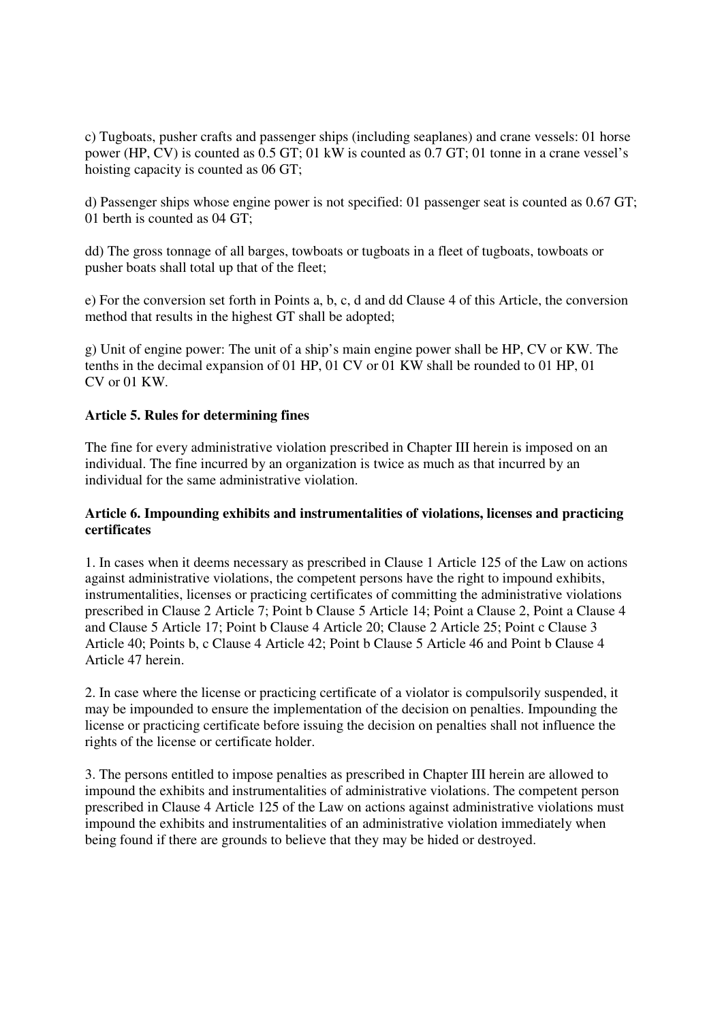c) Tugboats, pusher crafts and passenger ships (including seaplanes) and crane vessels: 01 horse power (HP, CV) is counted as 0.5 GT; 01 kW is counted as 0.7 GT; 01 tonne in a crane vessel's hoisting capacity is counted as 06 GT;

d) Passenger ships whose engine power is not specified: 01 passenger seat is counted as 0.67 GT; 01 berth is counted as 04 GT;

dd) The gross tonnage of all barges, towboats or tugboats in a fleet of tugboats, towboats or pusher boats shall total up that of the fleet;

e) For the conversion set forth in Points a, b, c, d and dd Clause 4 of this Article, the conversion method that results in the highest GT shall be adopted;

g) Unit of engine power: The unit of a ship's main engine power shall be HP, CV or KW. The tenths in the decimal expansion of 01 HP, 01 CV or 01 KW shall be rounded to 01 HP, 01 CV or 01 KW.

#### **Article 5. Rules for determining fines**

The fine for every administrative violation prescribed in Chapter III herein is imposed on an individual. The fine incurred by an organization is twice as much as that incurred by an individual for the same administrative violation.

#### **Article 6. Impounding exhibits and instrumentalities of violations, licenses and practicing certificates**

1. In cases when it deems necessary as prescribed in Clause 1 Article 125 of the Law on actions against administrative violations, the competent persons have the right to impound exhibits, instrumentalities, licenses or practicing certificates of committing the administrative violations prescribed in Clause 2 Article 7; Point b Clause 5 Article 14; Point a Clause 2, Point a Clause 4 and Clause 5 Article 17; Point b Clause 4 Article 20; Clause 2 Article 25; Point c Clause 3 Article 40; Points b, c Clause 4 Article 42; Point b Clause 5 Article 46 and Point b Clause 4 Article 47 herein.

2. In case where the license or practicing certificate of a violator is compulsorily suspended, it may be impounded to ensure the implementation of the decision on penalties. Impounding the license or practicing certificate before issuing the decision on penalties shall not influence the rights of the license or certificate holder.

3. The persons entitled to impose penalties as prescribed in Chapter III herein are allowed to impound the exhibits and instrumentalities of administrative violations. The competent person prescribed in Clause 4 Article 125 of the Law on actions against administrative violations must impound the exhibits and instrumentalities of an administrative violation immediately when being found if there are grounds to believe that they may be hided or destroyed.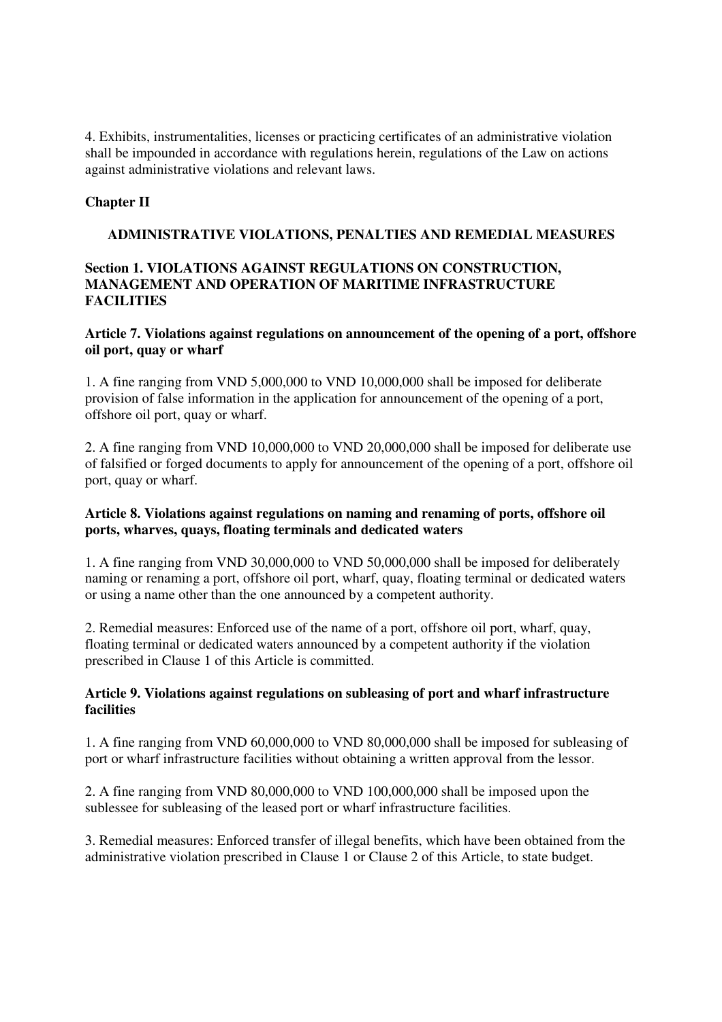4. Exhibits, instrumentalities, licenses or practicing certificates of an administrative violation shall be impounded in accordance with regulations herein, regulations of the Law on actions against administrative violations and relevant laws.

# **Chapter II**

# **ADMINISTRATIVE VIOLATIONS, PENALTIES AND REMEDIAL MEASURES**

# **Section 1. VIOLATIONS AGAINST REGULATIONS ON CONSTRUCTION, MANAGEMENT AND OPERATION OF MARITIME INFRASTRUCTURE FACILITIES**

# **Article 7. Violations against regulations on announcement of the opening of a port, offshore oil port, quay or wharf**

1. A fine ranging from VND 5,000,000 to VND 10,000,000 shall be imposed for deliberate provision of false information in the application for announcement of the opening of a port, offshore oil port, quay or wharf.

2. A fine ranging from VND 10,000,000 to VND 20,000,000 shall be imposed for deliberate use of falsified or forged documents to apply for announcement of the opening of a port, offshore oil port, quay or wharf.

# **Article 8. Violations against regulations on naming and renaming of ports, offshore oil ports, wharves, quays, floating terminals and dedicated waters**

1. A fine ranging from VND 30,000,000 to VND 50,000,000 shall be imposed for deliberately naming or renaming a port, offshore oil port, wharf, quay, floating terminal or dedicated waters or using a name other than the one announced by a competent authority.

2. Remedial measures: Enforced use of the name of a port, offshore oil port, wharf, quay, floating terminal or dedicated waters announced by a competent authority if the violation prescribed in Clause 1 of this Article is committed.

# **Article 9. Violations against regulations on subleasing of port and wharf infrastructure facilities**

1. A fine ranging from VND 60,000,000 to VND 80,000,000 shall be imposed for subleasing of port or wharf infrastructure facilities without obtaining a written approval from the lessor.

2. A fine ranging from VND 80,000,000 to VND 100,000,000 shall be imposed upon the sublessee for subleasing of the leased port or wharf infrastructure facilities.

3. Remedial measures: Enforced transfer of illegal benefits, which have been obtained from the administrative violation prescribed in Clause 1 or Clause 2 of this Article, to state budget.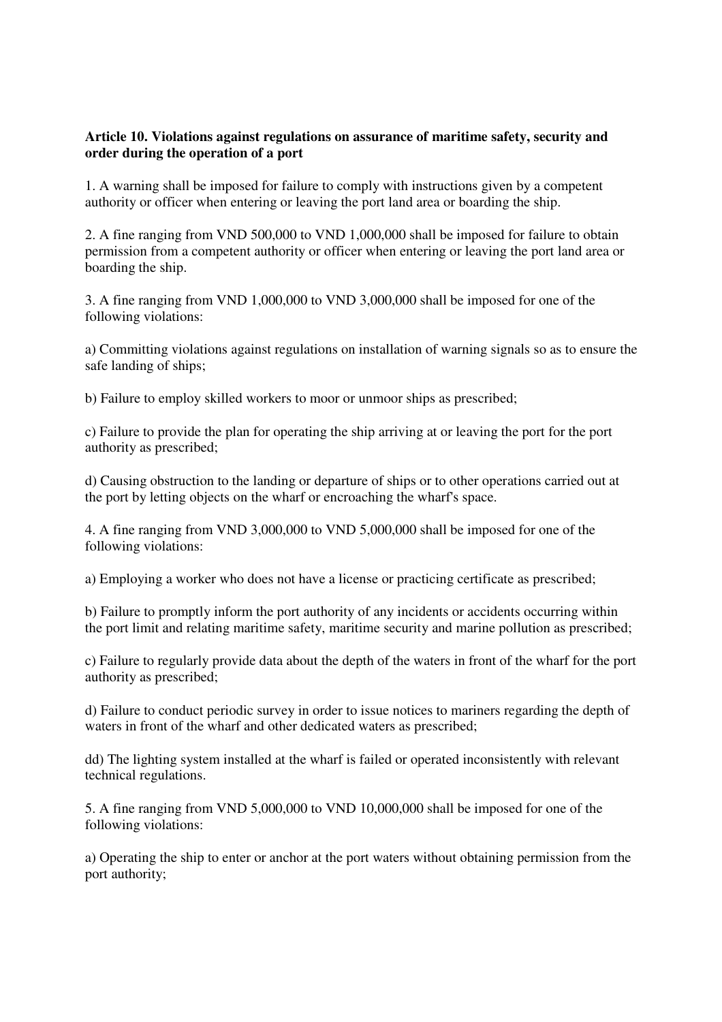# **Article 10. Violations against regulations on assurance of maritime safety, security and order during the operation of a port**

1. A warning shall be imposed for failure to comply with instructions given by a competent authority or officer when entering or leaving the port land area or boarding the ship.

2. A fine ranging from VND 500,000 to VND 1,000,000 shall be imposed for failure to obtain permission from a competent authority or officer when entering or leaving the port land area or boarding the ship.

3. A fine ranging from VND 1,000,000 to VND 3,000,000 shall be imposed for one of the following violations:

a) Committing violations against regulations on installation of warning signals so as to ensure the safe landing of ships;

b) Failure to employ skilled workers to moor or unmoor ships as prescribed;

c) Failure to provide the plan for operating the ship arriving at or leaving the port for the port authority as prescribed;

d) Causing obstruction to the landing or departure of ships or to other operations carried out at the port by letting objects on the wharf or encroaching the wharf's space.

4. A fine ranging from VND 3,000,000 to VND 5,000,000 shall be imposed for one of the following violations:

a) Employing a worker who does not have a license or practicing certificate as prescribed;

b) Failure to promptly inform the port authority of any incidents or accidents occurring within the port limit and relating maritime safety, maritime security and marine pollution as prescribed;

c) Failure to regularly provide data about the depth of the waters in front of the wharf for the port authority as prescribed;

d) Failure to conduct periodic survey in order to issue notices to mariners regarding the depth of waters in front of the wharf and other dedicated waters as prescribed;

dd) The lighting system installed at the wharf is failed or operated inconsistently with relevant technical regulations.

5. A fine ranging from VND 5,000,000 to VND 10,000,000 shall be imposed for one of the following violations:

a) Operating the ship to enter or anchor at the port waters without obtaining permission from the port authority;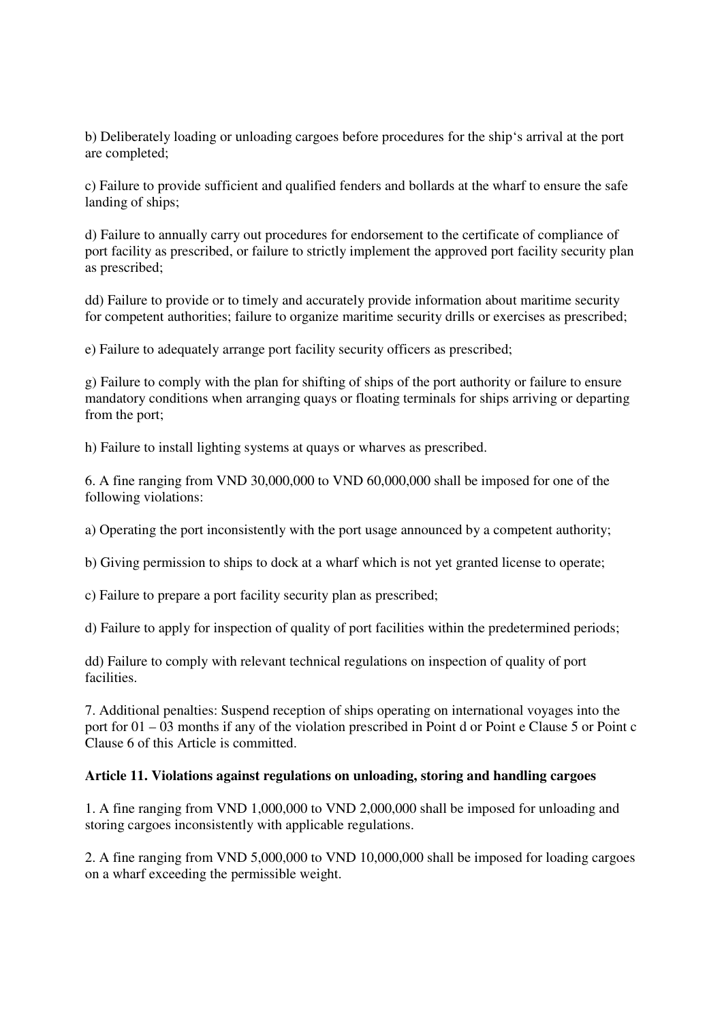b) Deliberately loading or unloading cargoes before procedures for the ship's arrival at the port are completed;

c) Failure to provide sufficient and qualified fenders and bollards at the wharf to ensure the safe landing of ships;

d) Failure to annually carry out procedures for endorsement to the certificate of compliance of port facility as prescribed, or failure to strictly implement the approved port facility security plan as prescribed;

dd) Failure to provide or to timely and accurately provide information about maritime security for competent authorities; failure to organize maritime security drills or exercises as prescribed;

e) Failure to adequately arrange port facility security officers as prescribed;

g) Failure to comply with the plan for shifting of ships of the port authority or failure to ensure mandatory conditions when arranging quays or floating terminals for ships arriving or departing from the port;

h) Failure to install lighting systems at quays or wharves as prescribed.

6. A fine ranging from VND 30,000,000 to VND 60,000,000 shall be imposed for one of the following violations:

a) Operating the port inconsistently with the port usage announced by a competent authority;

b) Giving permission to ships to dock at a wharf which is not yet granted license to operate;

c) Failure to prepare a port facility security plan as prescribed;

d) Failure to apply for inspection of quality of port facilities within the predetermined periods;

dd) Failure to comply with relevant technical regulations on inspection of quality of port facilities.

7. Additional penalties: Suspend reception of ships operating on international voyages into the port for 01 – 03 months if any of the violation prescribed in Point d or Point e Clause 5 or Point c Clause 6 of this Article is committed.

#### **Article 11. Violations against regulations on unloading, storing and handling cargoes**

1. A fine ranging from VND 1,000,000 to VND 2,000,000 shall be imposed for unloading and storing cargoes inconsistently with applicable regulations.

2. A fine ranging from VND 5,000,000 to VND 10,000,000 shall be imposed for loading cargoes on a wharf exceeding the permissible weight.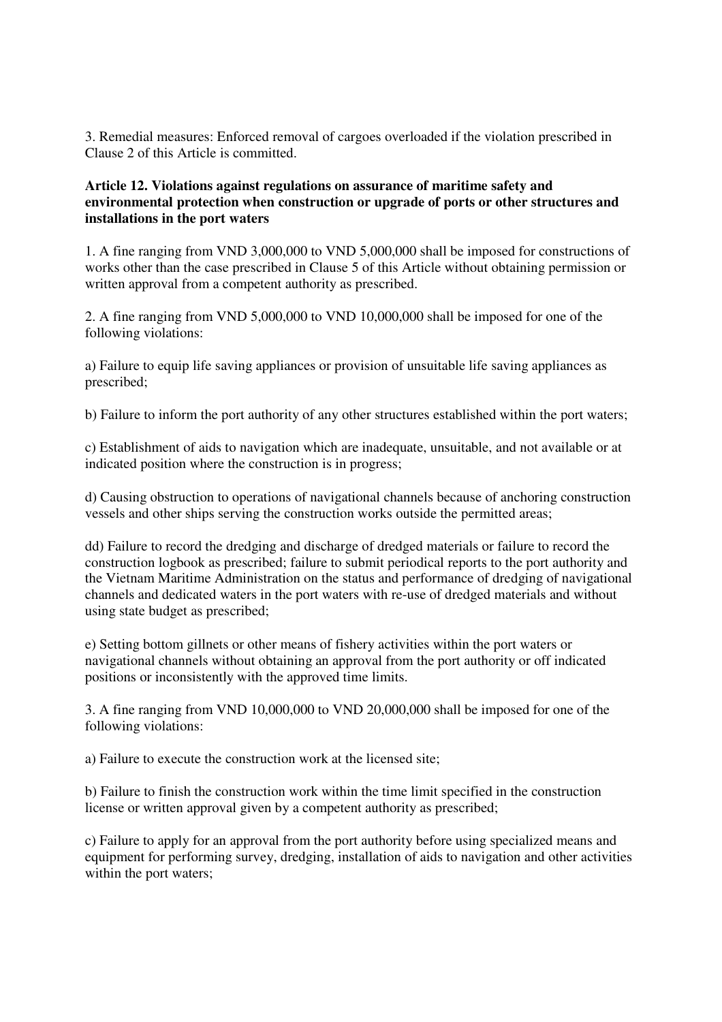3. Remedial measures: Enforced removal of cargoes overloaded if the violation prescribed in Clause 2 of this Article is committed.

### **Article 12. Violations against regulations on assurance of maritime safety and environmental protection when construction or upgrade of ports or other structures and installations in the port waters**

1. A fine ranging from VND 3,000,000 to VND 5,000,000 shall be imposed for constructions of works other than the case prescribed in Clause 5 of this Article without obtaining permission or written approval from a competent authority as prescribed.

2. A fine ranging from VND 5,000,000 to VND 10,000,000 shall be imposed for one of the following violations:

a) Failure to equip life saving appliances or provision of unsuitable life saving appliances as prescribed;

b) Failure to inform the port authority of any other structures established within the port waters;

c) Establishment of aids to navigation which are inadequate, unsuitable, and not available or at indicated position where the construction is in progress;

d) Causing obstruction to operations of navigational channels because of anchoring construction vessels and other ships serving the construction works outside the permitted areas;

dd) Failure to record the dredging and discharge of dredged materials or failure to record the construction logbook as prescribed; failure to submit periodical reports to the port authority and the Vietnam Maritime Administration on the status and performance of dredging of navigational channels and dedicated waters in the port waters with re-use of dredged materials and without using state budget as prescribed;

e) Setting bottom gillnets or other means of fishery activities within the port waters or navigational channels without obtaining an approval from the port authority or off indicated positions or inconsistently with the approved time limits.

3. A fine ranging from VND 10,000,000 to VND 20,000,000 shall be imposed for one of the following violations:

a) Failure to execute the construction work at the licensed site;

b) Failure to finish the construction work within the time limit specified in the construction license or written approval given by a competent authority as prescribed;

c) Failure to apply for an approval from the port authority before using specialized means and equipment for performing survey, dredging, installation of aids to navigation and other activities within the port waters;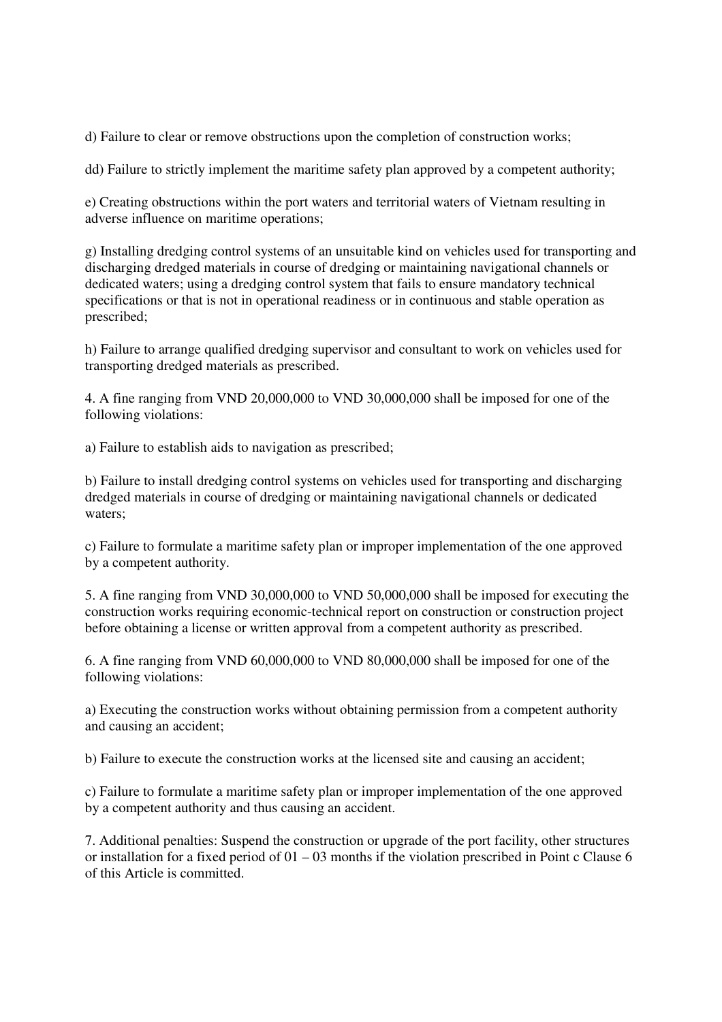d) Failure to clear or remove obstructions upon the completion of construction works;

dd) Failure to strictly implement the maritime safety plan approved by a competent authority;

e) Creating obstructions within the port waters and territorial waters of Vietnam resulting in adverse influence on maritime operations;

g) Installing dredging control systems of an unsuitable kind on vehicles used for transporting and discharging dredged materials in course of dredging or maintaining navigational channels or dedicated waters; using a dredging control system that fails to ensure mandatory technical specifications or that is not in operational readiness or in continuous and stable operation as prescribed;

h) Failure to arrange qualified dredging supervisor and consultant to work on vehicles used for transporting dredged materials as prescribed.

4. A fine ranging from VND 20,000,000 to VND 30,000,000 shall be imposed for one of the following violations:

a) Failure to establish aids to navigation as prescribed;

b) Failure to install dredging control systems on vehicles used for transporting and discharging dredged materials in course of dredging or maintaining navigational channels or dedicated waters;

c) Failure to formulate a maritime safety plan or improper implementation of the one approved by a competent authority.

5. A fine ranging from VND 30,000,000 to VND 50,000,000 shall be imposed for executing the construction works requiring economic-technical report on construction or construction project before obtaining a license or written approval from a competent authority as prescribed.

6. A fine ranging from VND 60,000,000 to VND 80,000,000 shall be imposed for one of the following violations:

a) Executing the construction works without obtaining permission from a competent authority and causing an accident;

b) Failure to execute the construction works at the licensed site and causing an accident;

c) Failure to formulate a maritime safety plan or improper implementation of the one approved by a competent authority and thus causing an accident.

7. Additional penalties: Suspend the construction or upgrade of the port facility, other structures or installation for a fixed period of  $01 - 03$  months if the violation prescribed in Point c Clause 6 of this Article is committed.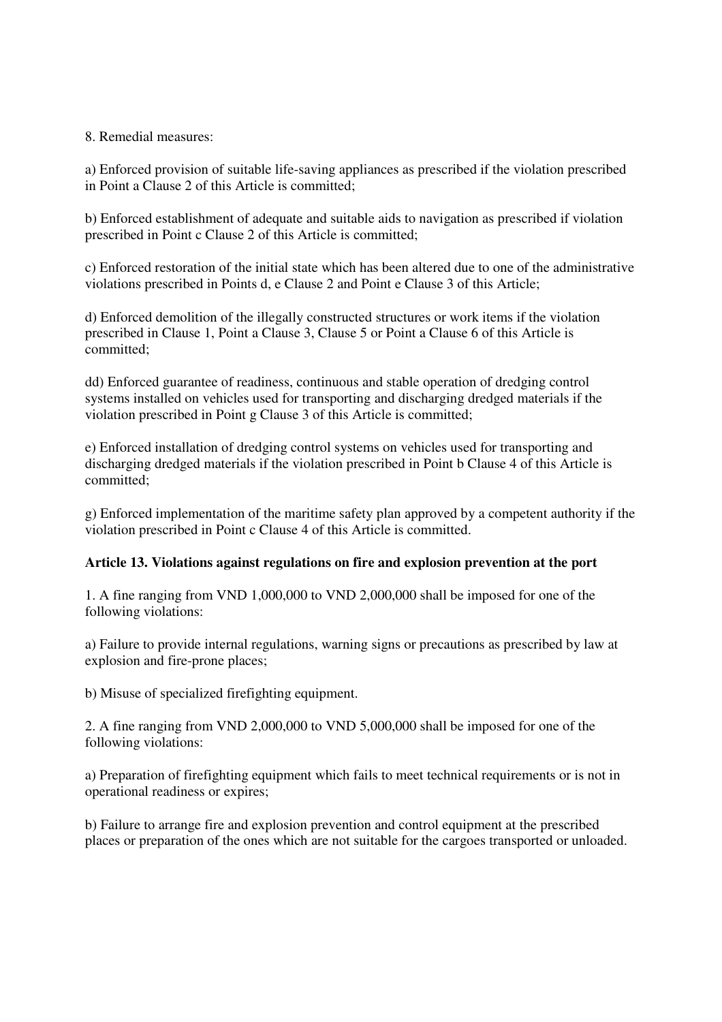# 8. Remedial measures:

a) Enforced provision of suitable life-saving appliances as prescribed if the violation prescribed in Point a Clause 2 of this Article is committed;

b) Enforced establishment of adequate and suitable aids to navigation as prescribed if violation prescribed in Point c Clause 2 of this Article is committed;

c) Enforced restoration of the initial state which has been altered due to one of the administrative violations prescribed in Points d, e Clause 2 and Point e Clause 3 of this Article;

d) Enforced demolition of the illegally constructed structures or work items if the violation prescribed in Clause 1, Point a Clause 3, Clause 5 or Point a Clause 6 of this Article is committed;

dd) Enforced guarantee of readiness, continuous and stable operation of dredging control systems installed on vehicles used for transporting and discharging dredged materials if the violation prescribed in Point g Clause 3 of this Article is committed;

e) Enforced installation of dredging control systems on vehicles used for transporting and discharging dredged materials if the violation prescribed in Point b Clause 4 of this Article is committed;

g) Enforced implementation of the maritime safety plan approved by a competent authority if the violation prescribed in Point c Clause 4 of this Article is committed.

#### **Article 13. Violations against regulations on fire and explosion prevention at the port**

1. A fine ranging from VND 1,000,000 to VND 2,000,000 shall be imposed for one of the following violations:

a) Failure to provide internal regulations, warning signs or precautions as prescribed by law at explosion and fire-prone places;

b) Misuse of specialized firefighting equipment.

2. A fine ranging from VND 2,000,000 to VND 5,000,000 shall be imposed for one of the following violations:

a) Preparation of firefighting equipment which fails to meet technical requirements or is not in operational readiness or expires;

b) Failure to arrange fire and explosion prevention and control equipment at the prescribed places or preparation of the ones which are not suitable for the cargoes transported or unloaded.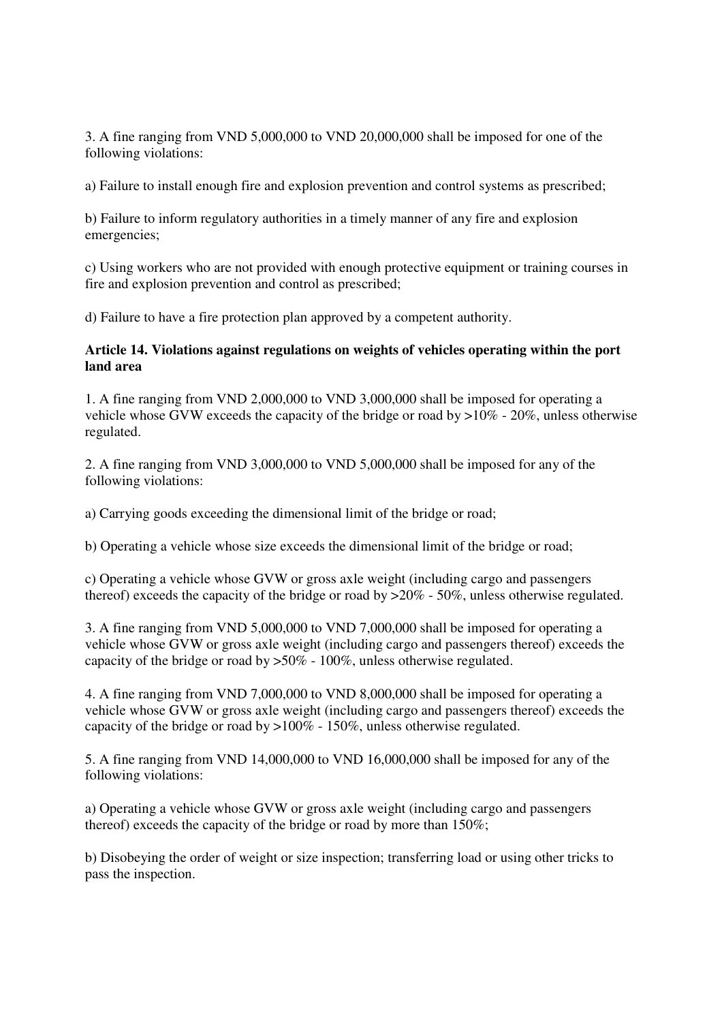3. A fine ranging from VND 5,000,000 to VND 20,000,000 shall be imposed for one of the following violations:

a) Failure to install enough fire and explosion prevention and control systems as prescribed;

b) Failure to inform regulatory authorities in a timely manner of any fire and explosion emergencies;

c) Using workers who are not provided with enough protective equipment or training courses in fire and explosion prevention and control as prescribed;

d) Failure to have a fire protection plan approved by a competent authority.

### **Article 14. Violations against regulations on weights of vehicles operating within the port land area**

1. A fine ranging from VND 2,000,000 to VND 3,000,000 shall be imposed for operating a vehicle whose GVW exceeds the capacity of the bridge or road by  $>10\%$  - 20%, unless otherwise regulated.

2. A fine ranging from VND 3,000,000 to VND 5,000,000 shall be imposed for any of the following violations:

a) Carrying goods exceeding the dimensional limit of the bridge or road;

b) Operating a vehicle whose size exceeds the dimensional limit of the bridge or road;

c) Operating a vehicle whose GVW or gross axle weight (including cargo and passengers thereof) exceeds the capacity of the bridge or road by >20% - 50%, unless otherwise regulated.

3. A fine ranging from VND 5,000,000 to VND 7,000,000 shall be imposed for operating a vehicle whose GVW or gross axle weight (including cargo and passengers thereof) exceeds the capacity of the bridge or road by  $>50\%$  - 100%, unless otherwise regulated.

4. A fine ranging from VND 7,000,000 to VND 8,000,000 shall be imposed for operating a vehicle whose GVW or gross axle weight (including cargo and passengers thereof) exceeds the capacity of the bridge or road by  $>100\%$  - 150%, unless otherwise regulated.

5. A fine ranging from VND 14,000,000 to VND 16,000,000 shall be imposed for any of the following violations:

a) Operating a vehicle whose GVW or gross axle weight (including cargo and passengers thereof) exceeds the capacity of the bridge or road by more than 150%;

b) Disobeying the order of weight or size inspection; transferring load or using other tricks to pass the inspection.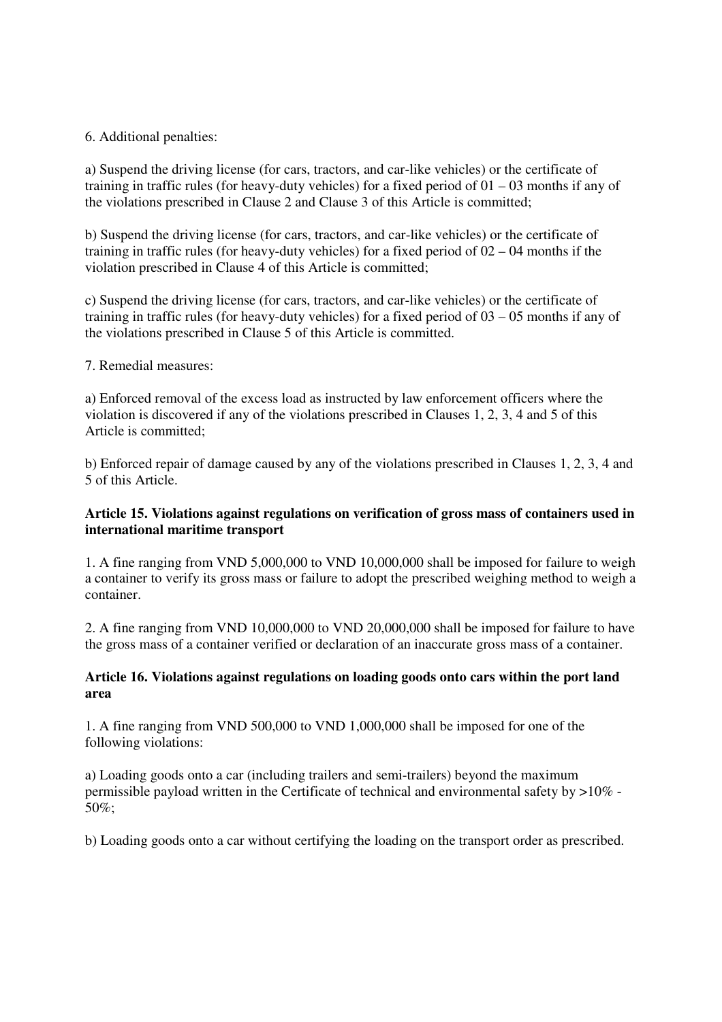# 6. Additional penalties:

a) Suspend the driving license (for cars, tractors, and car-like vehicles) or the certificate of training in traffic rules (for heavy-duty vehicles) for a fixed period of 01 – 03 months if any of the violations prescribed in Clause 2 and Clause 3 of this Article is committed;

b) Suspend the driving license (for cars, tractors, and car-like vehicles) or the certificate of training in traffic rules (for heavy-duty vehicles) for a fixed period of 02 – 04 months if the violation prescribed in Clause 4 of this Article is committed;

c) Suspend the driving license (for cars, tractors, and car-like vehicles) or the certificate of training in traffic rules (for heavy-duty vehicles) for a fixed period of 03 – 05 months if any of the violations prescribed in Clause 5 of this Article is committed.

# 7. Remedial measures:

a) Enforced removal of the excess load as instructed by law enforcement officers where the violation is discovered if any of the violations prescribed in Clauses 1, 2, 3, 4 and 5 of this Article is committed;

b) Enforced repair of damage caused by any of the violations prescribed in Clauses 1, 2, 3, 4 and 5 of this Article.

# **Article 15. Violations against regulations on verification of gross mass of containers used in international maritime transport**

1. A fine ranging from VND 5,000,000 to VND 10,000,000 shall be imposed for failure to weigh a container to verify its gross mass or failure to adopt the prescribed weighing method to weigh a container.

2. A fine ranging from VND 10,000,000 to VND 20,000,000 shall be imposed for failure to have the gross mass of a container verified or declaration of an inaccurate gross mass of a container.

# **Article 16. Violations against regulations on loading goods onto cars within the port land area**

1. A fine ranging from VND 500,000 to VND 1,000,000 shall be imposed for one of the following violations:

a) Loading goods onto a car (including trailers and semi-trailers) beyond the maximum permissible payload written in the Certificate of technical and environmental safety by >10% - 50%;

b) Loading goods onto a car without certifying the loading on the transport order as prescribed.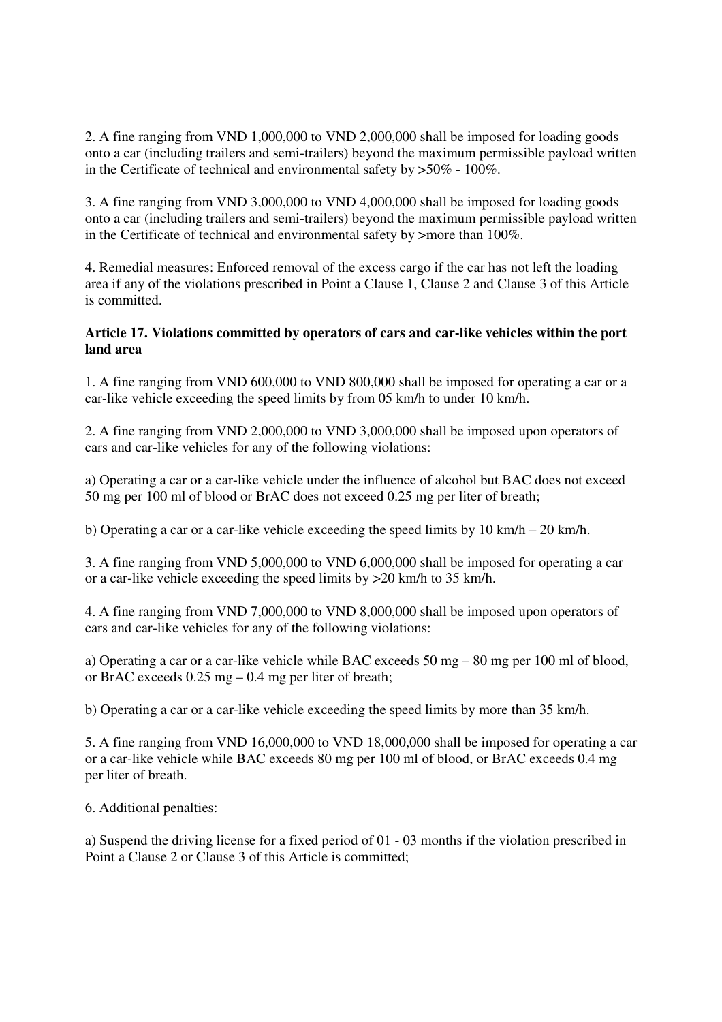2. A fine ranging from VND 1,000,000 to VND 2,000,000 shall be imposed for loading goods onto a car (including trailers and semi-trailers) beyond the maximum permissible payload written in the Certificate of technical and environmental safety by >50% - 100%.

3. A fine ranging from VND 3,000,000 to VND 4,000,000 shall be imposed for loading goods onto a car (including trailers and semi-trailers) beyond the maximum permissible payload written in the Certificate of technical and environmental safety by >more than 100%.

4. Remedial measures: Enforced removal of the excess cargo if the car has not left the loading area if any of the violations prescribed in Point a Clause 1, Clause 2 and Clause 3 of this Article is committed.

# **Article 17. Violations committed by operators of cars and car-like vehicles within the port land area**

1. A fine ranging from VND 600,000 to VND 800,000 shall be imposed for operating a car or a car-like vehicle exceeding the speed limits by from 05 km/h to under 10 km/h.

2. A fine ranging from VND 2,000,000 to VND 3,000,000 shall be imposed upon operators of cars and car-like vehicles for any of the following violations:

a) Operating a car or a car-like vehicle under the influence of alcohol but BAC does not exceed 50 mg per 100 ml of blood or BrAC does not exceed 0.25 mg per liter of breath;

b) Operating a car or a car-like vehicle exceeding the speed limits by 10 km/h – 20 km/h.

3. A fine ranging from VND 5,000,000 to VND 6,000,000 shall be imposed for operating a car or a car-like vehicle exceeding the speed limits by >20 km/h to 35 km/h.

4. A fine ranging from VND 7,000,000 to VND 8,000,000 shall be imposed upon operators of cars and car-like vehicles for any of the following violations:

a) Operating a car or a car-like vehicle while BAC exceeds 50 mg – 80 mg per 100 ml of blood, or BrAC exceeds 0.25 mg – 0.4 mg per liter of breath;

b) Operating a car or a car-like vehicle exceeding the speed limits by more than 35 km/h.

5. A fine ranging from VND 16,000,000 to VND 18,000,000 shall be imposed for operating a car or a car-like vehicle while BAC exceeds 80 mg per 100 ml of blood, or BrAC exceeds 0.4 mg per liter of breath.

6. Additional penalties:

a) Suspend the driving license for a fixed period of 01 - 03 months if the violation prescribed in Point a Clause 2 or Clause 3 of this Article is committed;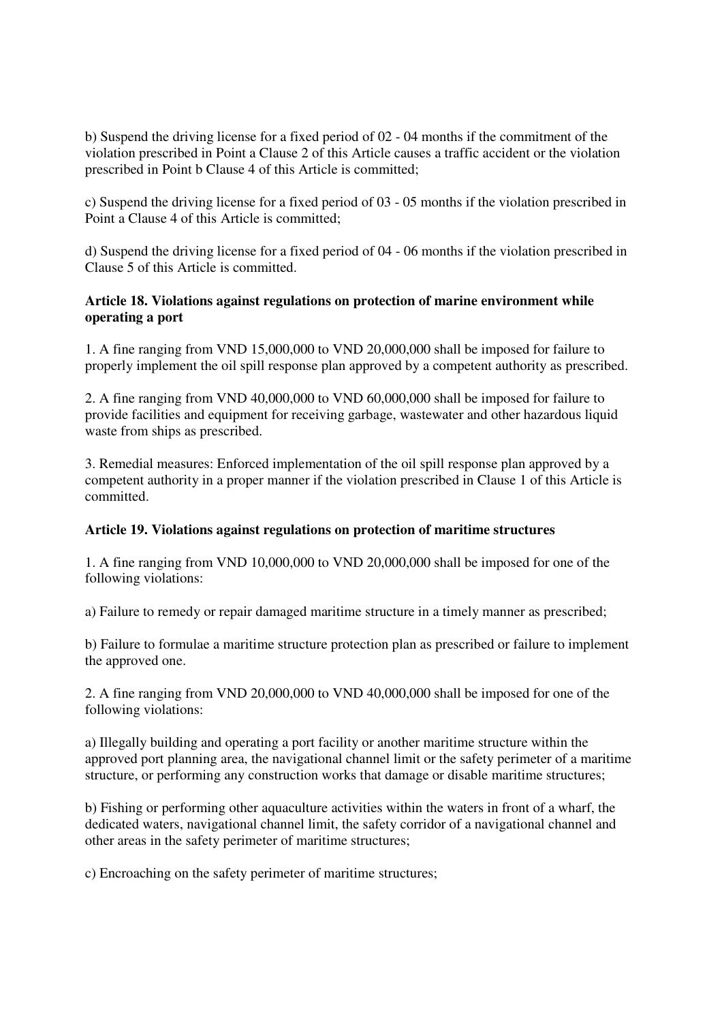b) Suspend the driving license for a fixed period of 02 - 04 months if the commitment of the violation prescribed in Point a Clause 2 of this Article causes a traffic accident or the violation prescribed in Point b Clause 4 of this Article is committed;

c) Suspend the driving license for a fixed period of 03 - 05 months if the violation prescribed in Point a Clause 4 of this Article is committed;

d) Suspend the driving license for a fixed period of 04 - 06 months if the violation prescribed in Clause 5 of this Article is committed.

# **Article 18. Violations against regulations on protection of marine environment while operating a port**

1. A fine ranging from VND 15,000,000 to VND 20,000,000 shall be imposed for failure to properly implement the oil spill response plan approved by a competent authority as prescribed.

2. A fine ranging from VND 40,000,000 to VND 60,000,000 shall be imposed for failure to provide facilities and equipment for receiving garbage, wastewater and other hazardous liquid waste from ships as prescribed.

3. Remedial measures: Enforced implementation of the oil spill response plan approved by a competent authority in a proper manner if the violation prescribed in Clause 1 of this Article is committed.

# **Article 19. Violations against regulations on protection of maritime structures**

1. A fine ranging from VND 10,000,000 to VND 20,000,000 shall be imposed for one of the following violations:

a) Failure to remedy or repair damaged maritime structure in a timely manner as prescribed;

b) Failure to formulae a maritime structure protection plan as prescribed or failure to implement the approved one.

2. A fine ranging from VND 20,000,000 to VND 40,000,000 shall be imposed for one of the following violations:

a) Illegally building and operating a port facility or another maritime structure within the approved port planning area, the navigational channel limit or the safety perimeter of a maritime structure, or performing any construction works that damage or disable maritime structures;

b) Fishing or performing other aquaculture activities within the waters in front of a wharf, the dedicated waters, navigational channel limit, the safety corridor of a navigational channel and other areas in the safety perimeter of maritime structures;

c) Encroaching on the safety perimeter of maritime structures;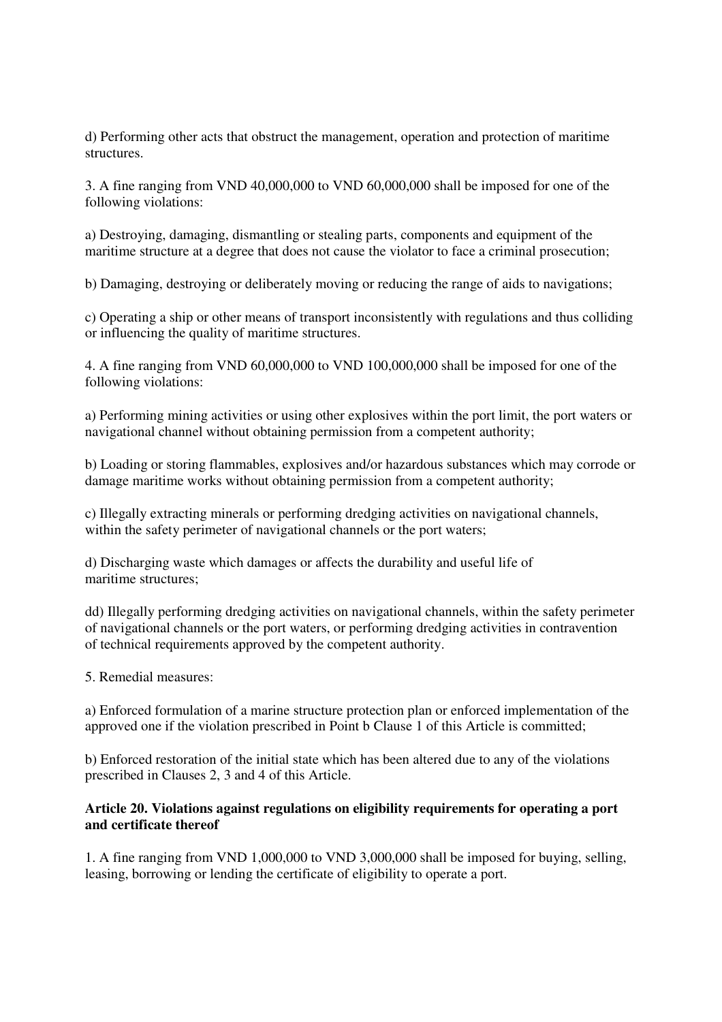d) Performing other acts that obstruct the management, operation and protection of maritime structures.

3. A fine ranging from VND 40,000,000 to VND 60,000,000 shall be imposed for one of the following violations:

a) Destroying, damaging, dismantling or stealing parts, components and equipment of the maritime structure at a degree that does not cause the violator to face a criminal prosecution;

b) Damaging, destroying or deliberately moving or reducing the range of aids to navigations;

c) Operating a ship or other means of transport inconsistently with regulations and thus colliding or influencing the quality of maritime structures.

4. A fine ranging from VND 60,000,000 to VND 100,000,000 shall be imposed for one of the following violations:

a) Performing mining activities or using other explosives within the port limit, the port waters or navigational channel without obtaining permission from a competent authority;

b) Loading or storing flammables, explosives and/or hazardous substances which may corrode or damage maritime works without obtaining permission from a competent authority;

c) Illegally extracting minerals or performing dredging activities on navigational channels, within the safety perimeter of navigational channels or the port waters;

d) Discharging waste which damages or affects the durability and useful life of maritime structures;

dd) Illegally performing dredging activities on navigational channels, within the safety perimeter of navigational channels or the port waters, or performing dredging activities in contravention of technical requirements approved by the competent authority.

5. Remedial measures:

a) Enforced formulation of a marine structure protection plan or enforced implementation of the approved one if the violation prescribed in Point b Clause 1 of this Article is committed;

b) Enforced restoration of the initial state which has been altered due to any of the violations prescribed in Clauses 2, 3 and 4 of this Article.

#### **Article 20. Violations against regulations on eligibility requirements for operating a port and certificate thereof**

1. A fine ranging from VND 1,000,000 to VND 3,000,000 shall be imposed for buying, selling, leasing, borrowing or lending the certificate of eligibility to operate a port.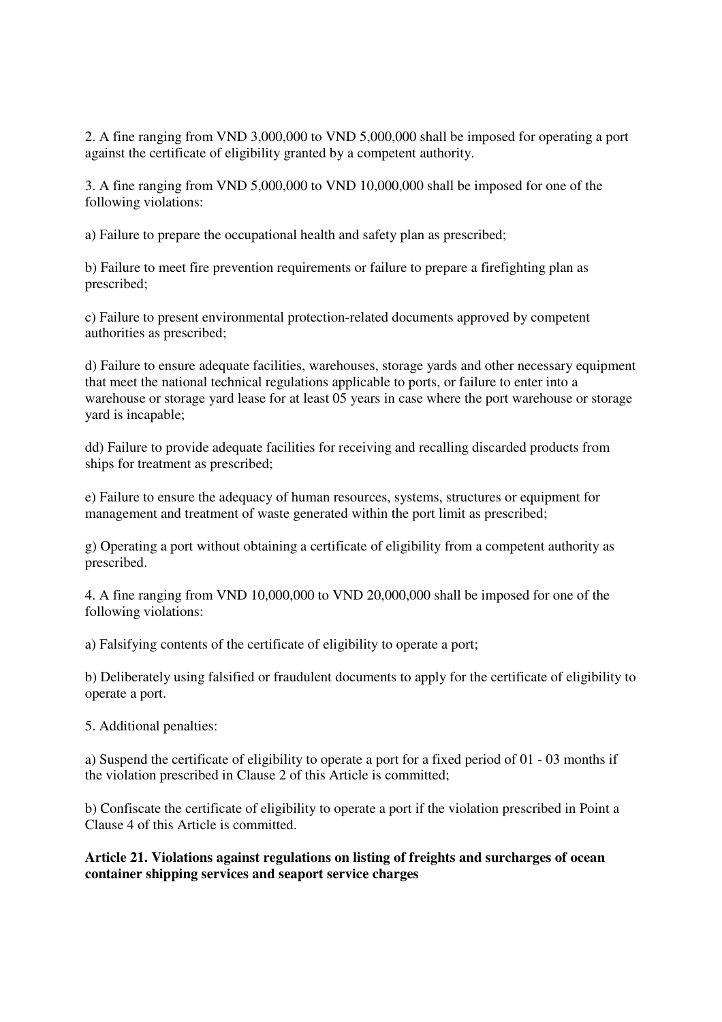2. A fine ranging from VND 3,000,000 to VND 5,000,000 shall be imposed for operating a port against the certificate of eligibility granted by a competent authority.

3. A fine ranging from VND 5,000,000 to VND 10,000,000 shall be imposed for one of the following violations:

a) Failure to prepare the occupational health and safety plan as prescribed;

b) Failure to meet fire prevention requirements or failure to prepare a firefighting plan as prescribed;

c) Failure to present environmental protection-related documents approved by competent authorities as prescribed;

d) Failure to ensure adequate facilities, warehouses, storage yards and other necessary equipment that meet the national technical regulations applicable to ports, or failure to enter into a warehouse or storage yard lease for at least  $05$  years in case where the port warehouse or storage yard is incapable;

dd) Failure to provide adequate facilities for receiving and recalling discarded products from ships for treatment as prescribed;

e) Failure to ensure the adequacy of human resources, systems, structures or equipment for management and treatment of waste generated within the port limit as prescribed;

g) Operating a port without obtaining a certificate of eligibility from a competent authority as prescribed.

4. A fine ranging from VND 10,000,000 to VND 20,000,000 shall be imposed for one of the following violations:

a) Falsifying contents of the certificate of eligibility to operate a port;

b) Deliberately using falsified or fraudulent documents to apply for the certificate of eligibility to operate a port.

5. Additional penalties:

a) Suspend the certificate of eligibility to operate a port for a fixed period of 01 - 03 months if the violation prescribed in Clause 2 of this Article is committed;

b) Confiscate the certificate of eligibility to operate a port if the violation prescribed in Point a Clause 4 of this Article is committed.

**Article 21. Violations against regulations on listing of freights and surcharges of ocean container shipping services and seaport service charges**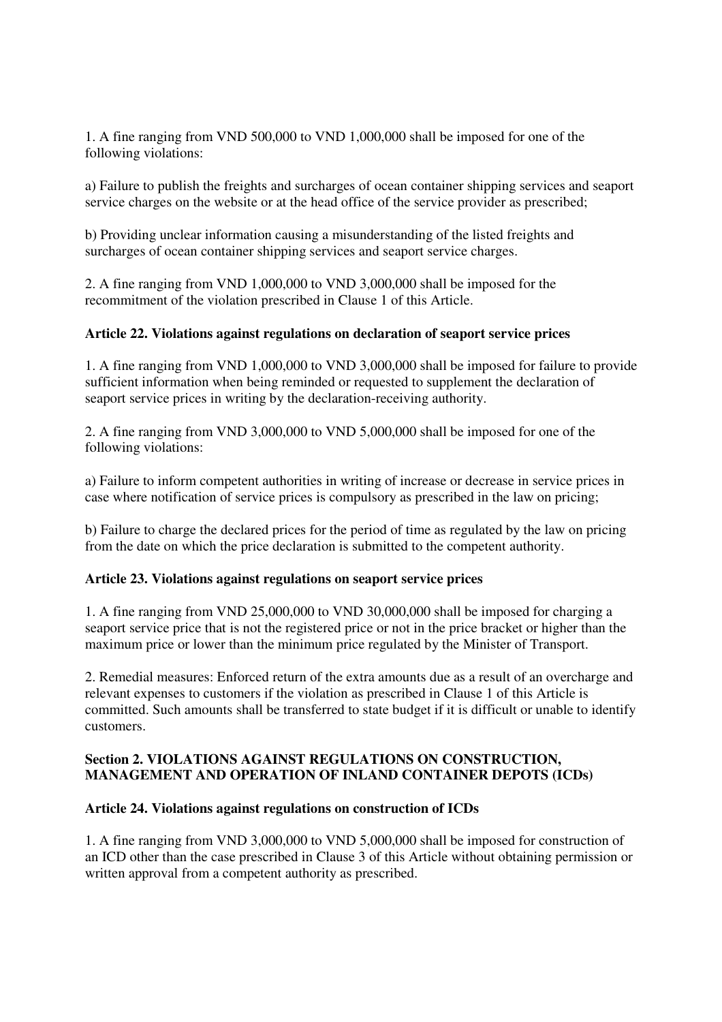1. A fine ranging from VND 500,000 to VND 1,000,000 shall be imposed for one of the following violations:

a) Failure to publish the freights and surcharges of ocean container shipping services and seaport service charges on the website or at the head office of the service provider as prescribed;

b) Providing unclear information causing a misunderstanding of the listed freights and surcharges of ocean container shipping services and seaport service charges.

2. A fine ranging from VND 1,000,000 to VND 3,000,000 shall be imposed for the recommitment of the violation prescribed in Clause 1 of this Article.

# **Article 22. Violations against regulations on declaration of seaport service prices**

1. A fine ranging from VND 1,000,000 to VND 3,000,000 shall be imposed for failure to provide sufficient information when being reminded or requested to supplement the declaration of seaport service prices in writing by the declaration-receiving authority.

2. A fine ranging from VND 3,000,000 to VND 5,000,000 shall be imposed for one of the following violations:

a) Failure to inform competent authorities in writing of increase or decrease in service prices in case where notification of service prices is compulsory as prescribed in the law on pricing;

b) Failure to charge the declared prices for the period of time as regulated by the law on pricing from the date on which the price declaration is submitted to the competent authority.

#### **Article 23. Violations against regulations on seaport service prices**

1. A fine ranging from VND 25,000,000 to VND 30,000,000 shall be imposed for charging a seaport service price that is not the registered price or not in the price bracket or higher than the maximum price or lower than the minimum price regulated by the Minister of Transport.

2. Remedial measures: Enforced return of the extra amounts due as a result of an overcharge and relevant expenses to customers if the violation as prescribed in Clause 1 of this Article is committed. Such amounts shall be transferred to state budget if it is difficult or unable to identify customers.

# **Section 2. VIOLATIONS AGAINST REGULATIONS ON CONSTRUCTION, MANAGEMENT AND OPERATION OF INLAND CONTAINER DEPOTS (ICDs)**

# **Article 24. Violations against regulations on construction of ICDs**

1. A fine ranging from VND 3,000,000 to VND 5,000,000 shall be imposed for construction of an ICD other than the case prescribed in Clause 3 of this Article without obtaining permission or written approval from a competent authority as prescribed.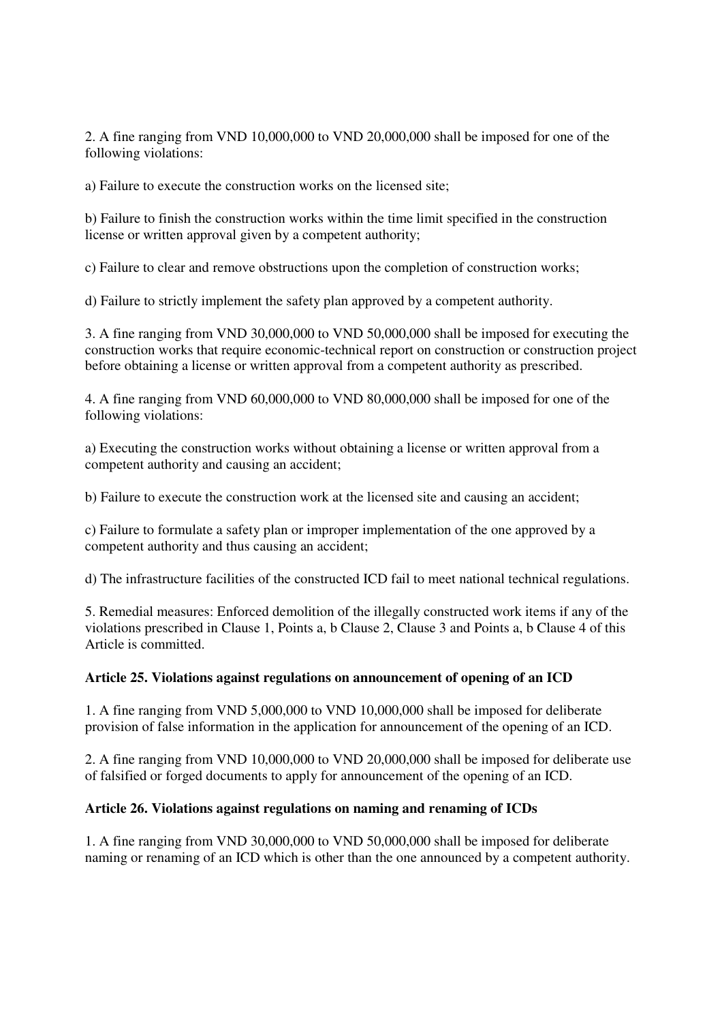2. A fine ranging from VND 10,000,000 to VND 20,000,000 shall be imposed for one of the following violations:

a) Failure to execute the construction works on the licensed site;

b) Failure to finish the construction works within the time limit specified in the construction license or written approval given by a competent authority;

c) Failure to clear and remove obstructions upon the completion of construction works;

d) Failure to strictly implement the safety plan approved by a competent authority.

3. A fine ranging from VND 30,000,000 to VND 50,000,000 shall be imposed for executing the construction works that require economic-technical report on construction or construction project before obtaining a license or written approval from a competent authority as prescribed.

4. A fine ranging from VND 60,000,000 to VND 80,000,000 shall be imposed for one of the following violations:

a) Executing the construction works without obtaining a license or written approval from a competent authority and causing an accident;

b) Failure to execute the construction work at the licensed site and causing an accident;

c) Failure to formulate a safety plan or improper implementation of the one approved by a competent authority and thus causing an accident;

d) The infrastructure facilities of the constructed ICD fail to meet national technical regulations.

5. Remedial measures: Enforced demolition of the illegally constructed work items if any of the violations prescribed in Clause 1, Points a, b Clause 2, Clause 3 and Points a, b Clause 4 of this Article is committed.

#### **Article 25. Violations against regulations on announcement of opening of an ICD**

1. A fine ranging from VND 5,000,000 to VND 10,000,000 shall be imposed for deliberate provision of false information in the application for announcement of the opening of an ICD.

2. A fine ranging from VND 10,000,000 to VND 20,000,000 shall be imposed for deliberate use of falsified or forged documents to apply for announcement of the opening of an ICD.

#### **Article 26. Violations against regulations on naming and renaming of ICDs**

1. A fine ranging from VND 30,000,000 to VND 50,000,000 shall be imposed for deliberate naming or renaming of an ICD which is other than the one announced by a competent authority.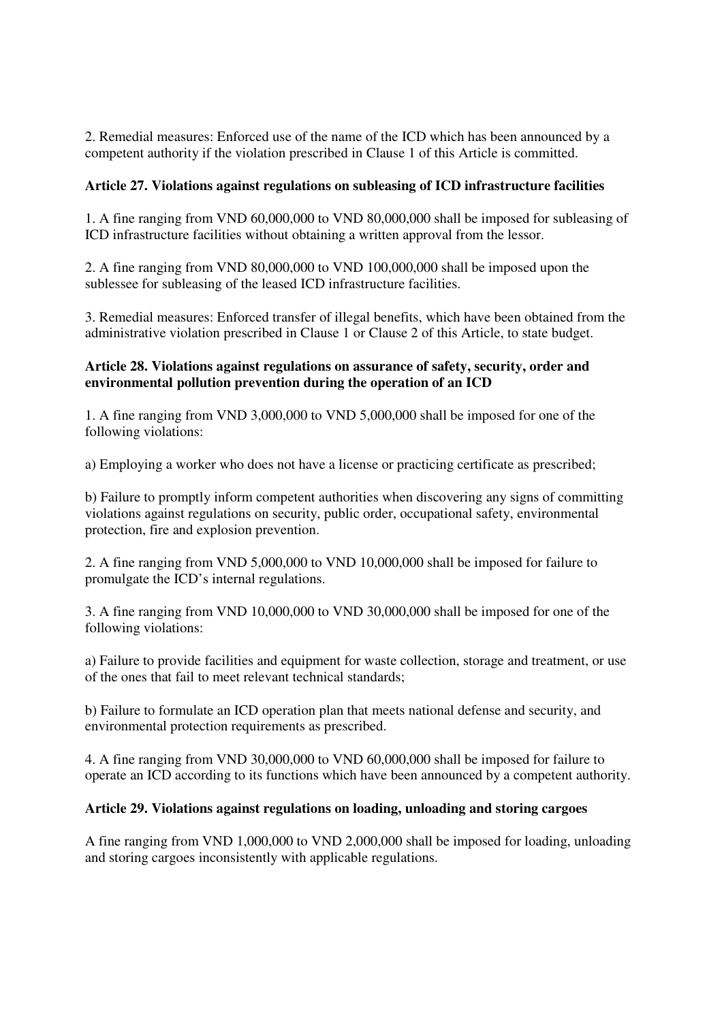2. Remedial measures: Enforced use of the name of the ICD which has been announced by a competent authority if the violation prescribed in Clause 1 of this Article is committed.

# **Article 27. Violations against regulations on subleasing of ICD infrastructure facilities**

1. A fine ranging from VND 60,000,000 to VND 80,000,000 shall be imposed for subleasing of ICD infrastructure facilities without obtaining a written approval from the lessor.

2. A fine ranging from VND 80,000,000 to VND 100,000,000 shall be imposed upon the sublessee for subleasing of the leased ICD infrastructure facilities.

3. Remedial measures: Enforced transfer of illegal benefits, which have been obtained from the administrative violation prescribed in Clause 1 or Clause 2 of this Article, to state budget.

# **Article 28. Violations against regulations on assurance of safety, security, order and environmental pollution prevention during the operation of an ICD**

1. A fine ranging from VND 3,000,000 to VND 5,000,000 shall be imposed for one of the following violations:

a) Employing a worker who does not have a license or practicing certificate as prescribed;

b) Failure to promptly inform competent authorities when discovering any signs of committing violations against regulations on security, public order, occupational safety, environmental protection, fire and explosion prevention.

2. A fine ranging from VND 5,000,000 to VND 10,000,000 shall be imposed for failure to promulgate the ICD's internal regulations.

3. A fine ranging from VND 10,000,000 to VND 30,000,000 shall be imposed for one of the following violations:

a) Failure to provide facilities and equipment for waste collection, storage and treatment, or use of the ones that fail to meet relevant technical standards;

b) Failure to formulate an ICD operation plan that meets national defense and security, and environmental protection requirements as prescribed.

4. A fine ranging from VND 30,000,000 to VND 60,000,000 shall be imposed for failure to operate an ICD according to its functions which have been announced by a competent authority.

# **Article 29. Violations against regulations on loading, unloading and storing cargoes**

A fine ranging from VND 1,000,000 to VND 2,000,000 shall be imposed for loading, unloading and storing cargoes inconsistently with applicable regulations.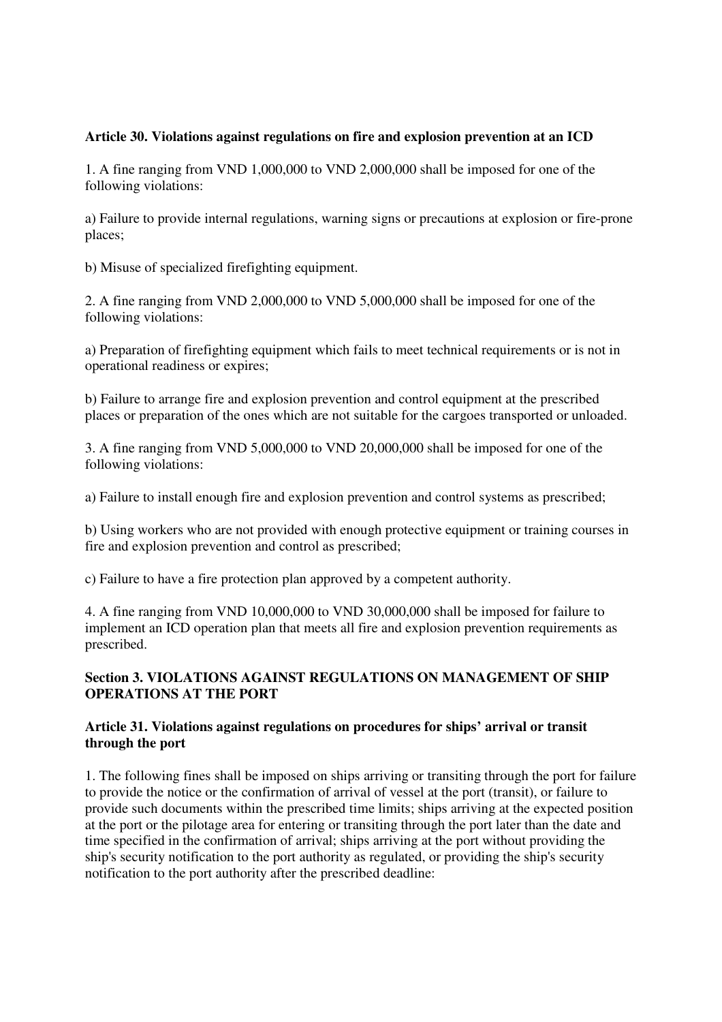# **Article 30. Violations against regulations on fire and explosion prevention at an ICD**

1. A fine ranging from VND 1,000,000 to VND 2,000,000 shall be imposed for one of the following violations:

a) Failure to provide internal regulations, warning signs or precautions at explosion or fire-prone places;

b) Misuse of specialized firefighting equipment.

2. A fine ranging from VND 2,000,000 to VND 5,000,000 shall be imposed for one of the following violations:

a) Preparation of firefighting equipment which fails to meet technical requirements or is not in operational readiness or expires;

b) Failure to arrange fire and explosion prevention and control equipment at the prescribed places or preparation of the ones which are not suitable for the cargoes transported or unloaded.

3. A fine ranging from VND 5,000,000 to VND 20,000,000 shall be imposed for one of the following violations:

a) Failure to install enough fire and explosion prevention and control systems as prescribed;

b) Using workers who are not provided with enough protective equipment or training courses in fire and explosion prevention and control as prescribed;

c) Failure to have a fire protection plan approved by a competent authority.

4. A fine ranging from VND 10,000,000 to VND 30,000,000 shall be imposed for failure to implement an ICD operation plan that meets all fire and explosion prevention requirements as prescribed.

# **Section 3. VIOLATIONS AGAINST REGULATIONS ON MANAGEMENT OF SHIP OPERATIONS AT THE PORT**

# **Article 31. Violations against regulations on procedures for ships' arrival or transit through the port**

1. The following fines shall be imposed on ships arriving or transiting through the port for failure to provide the notice or the confirmation of arrival of vessel at the port (transit), or failure to provide such documents within the prescribed time limits; ships arriving at the expected position at the port or the pilotage area for entering or transiting through the port later than the date and time specified in the confirmation of arrival; ships arriving at the port without providing the ship's security notification to the port authority as regulated, or providing the ship's security notification to the port authority after the prescribed deadline: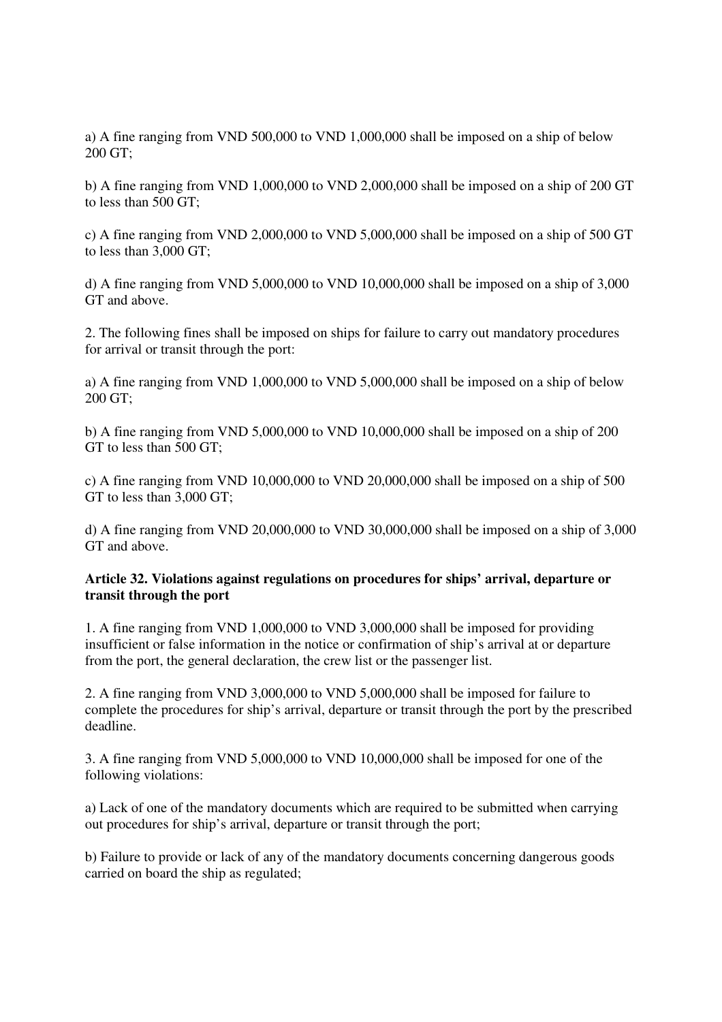a) A fine ranging from VND 500,000 to VND 1,000,000 shall be imposed on a ship of below 200 GT;

b) A fine ranging from VND 1,000,000 to VND 2,000,000 shall be imposed on a ship of 200 GT to less than 500 GT;

c) A fine ranging from VND 2,000,000 to VND 5,000,000 shall be imposed on a ship of 500 GT to less than 3,000 GT;

d) A fine ranging from VND 5,000,000 to VND 10,000,000 shall be imposed on a ship of 3,000 GT and above.

2. The following fines shall be imposed on ships for failure to carry out mandatory procedures for arrival or transit through the port:

a) A fine ranging from VND 1,000,000 to VND 5,000,000 shall be imposed on a ship of below 200 GT;

b) A fine ranging from VND 5,000,000 to VND 10,000,000 shall be imposed on a ship of 200 GT to less than 500 GT;

c) A fine ranging from VND 10,000,000 to VND 20,000,000 shall be imposed on a ship of 500 GT to less than 3,000 GT;

d) A fine ranging from VND 20,000,000 to VND 30,000,000 shall be imposed on a ship of 3,000 GT and above.

#### **Article 32. Violations against regulations on procedures for ships' arrival, departure or transit through the port**

1. A fine ranging from VND 1,000,000 to VND 3,000,000 shall be imposed for providing insufficient or false information in the notice or confirmation of ship's arrival at or departure from the port, the general declaration, the crew list or the passenger list.

2. A fine ranging from VND 3,000,000 to VND 5,000,000 shall be imposed for failure to complete the procedures for ship's arrival, departure or transit through the port by the prescribed deadline.

3. A fine ranging from VND 5,000,000 to VND 10,000,000 shall be imposed for one of the following violations:

a) Lack of one of the mandatory documents which are required to be submitted when carrying out procedures for ship's arrival, departure or transit through the port;

b) Failure to provide or lack of any of the mandatory documents concerning dangerous goods carried on board the ship as regulated;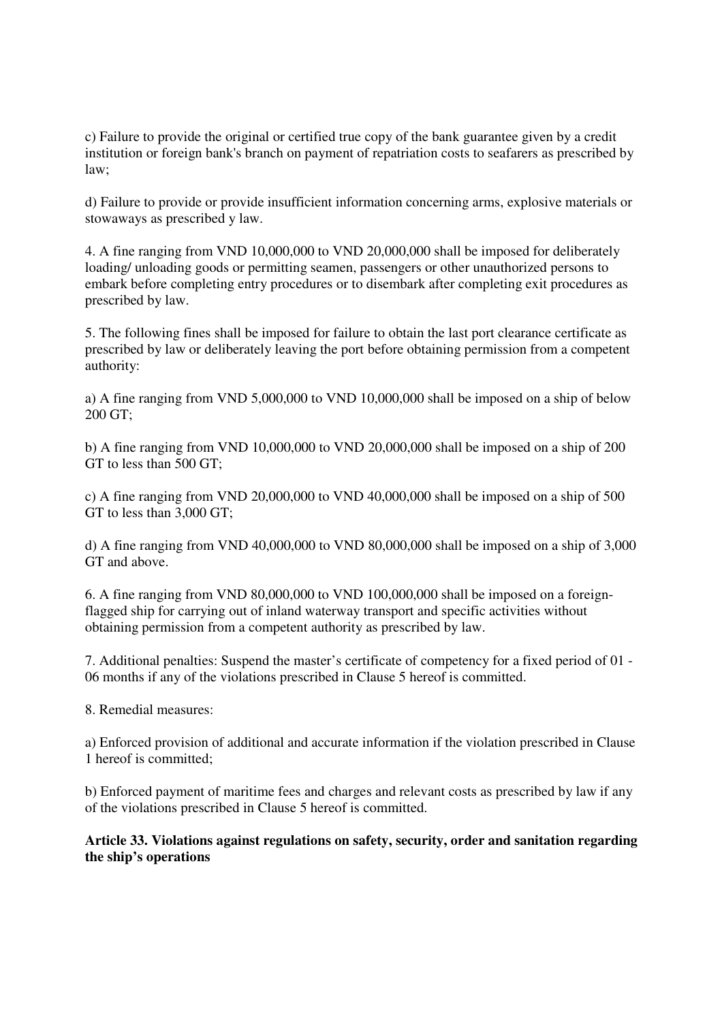c) Failure to provide the original or certified true copy of the bank guarantee given by a credit institution or foreign bank's branch on payment of repatriation costs to seafarers as prescribed by law;

d) Failure to provide or provide insufficient information concerning arms, explosive materials or stowaways as prescribed y law.

4. A fine ranging from VND 10,000,000 to VND 20,000,000 shall be imposed for deliberately loading/ unloading goods or permitting seamen, passengers or other unauthorized persons to embark before completing entry procedures or to disembark after completing exit procedures as prescribed by law.

5. The following fines shall be imposed for failure to obtain the last port clearance certificate as prescribed by law or deliberately leaving the port before obtaining permission from a competent authority:

a) A fine ranging from VND 5,000,000 to VND 10,000,000 shall be imposed on a ship of below 200 GT;

b) A fine ranging from VND 10,000,000 to VND 20,000,000 shall be imposed on a ship of 200 GT to less than 500 GT;

c) A fine ranging from VND 20,000,000 to VND 40,000,000 shall be imposed on a ship of 500 GT to less than 3,000 GT;

d) A fine ranging from VND 40,000,000 to VND 80,000,000 shall be imposed on a ship of 3,000 GT and above.

6. A fine ranging from VND 80,000,000 to VND 100,000,000 shall be imposed on a foreignflagged ship for carrying out of inland waterway transport and specific activities without obtaining permission from a competent authority as prescribed by law.

7. Additional penalties: Suspend the master's certificate of competency for a fixed period of 01 - 06 months if any of the violations prescribed in Clause 5 hereof is committed.

8. Remedial measures:

a) Enforced provision of additional and accurate information if the violation prescribed in Clause 1 hereof is committed;

b) Enforced payment of maritime fees and charges and relevant costs as prescribed by law if any of the violations prescribed in Clause 5 hereof is committed.

**Article 33. Violations against regulations on safety, security, order and sanitation regarding the ship's operations**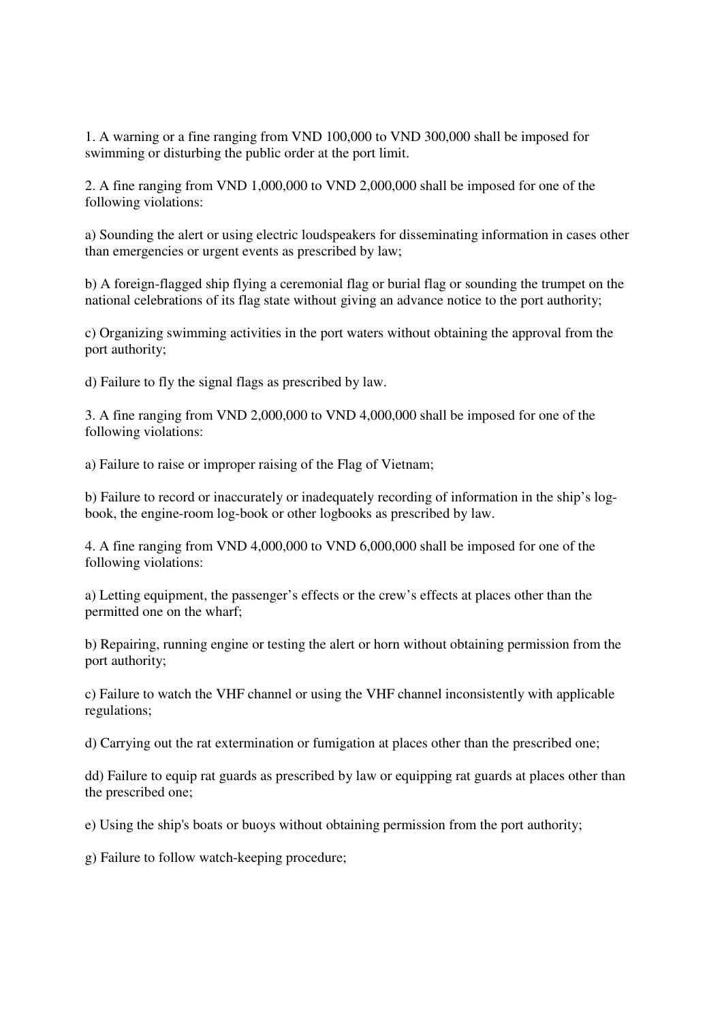1. A warning or a fine ranging from VND 100,000 to VND 300,000 shall be imposed for swimming or disturbing the public order at the port limit.

2. A fine ranging from VND 1,000,000 to VND 2,000,000 shall be imposed for one of the following violations:

a) Sounding the alert or using electric loudspeakers for disseminating information in cases other than emergencies or urgent events as prescribed by law;

b) A foreign-flagged ship flying a ceremonial flag or burial flag or sounding the trumpet on the national celebrations of its flag state without giving an advance notice to the port authority;

c) Organizing swimming activities in the port waters without obtaining the approval from the port authority;

d) Failure to fly the signal flags as prescribed by law.

3. A fine ranging from VND 2,000,000 to VND 4,000,000 shall be imposed for one of the following violations:

a) Failure to raise or improper raising of the Flag of Vietnam;

b) Failure to record or inaccurately or inadequately recording of information in the ship's logbook, the engine-room log-book or other logbooks as prescribed by law.

4. A fine ranging from VND 4,000,000 to VND 6,000,000 shall be imposed for one of the following violations:

a) Letting equipment, the passenger's effects or the crew's effects at places other than the permitted one on the wharf;

b) Repairing, running engine or testing the alert or horn without obtaining permission from the port authority;

c) Failure to watch the VHF channel or using the VHF channel inconsistently with applicable regulations;

d) Carrying out the rat extermination or fumigation at places other than the prescribed one;

dd) Failure to equip rat guards as prescribed by law or equipping rat guards at places other than the prescribed one;

e) Using the ship's boats or buoys without obtaining permission from the port authority;

g) Failure to follow watch-keeping procedure;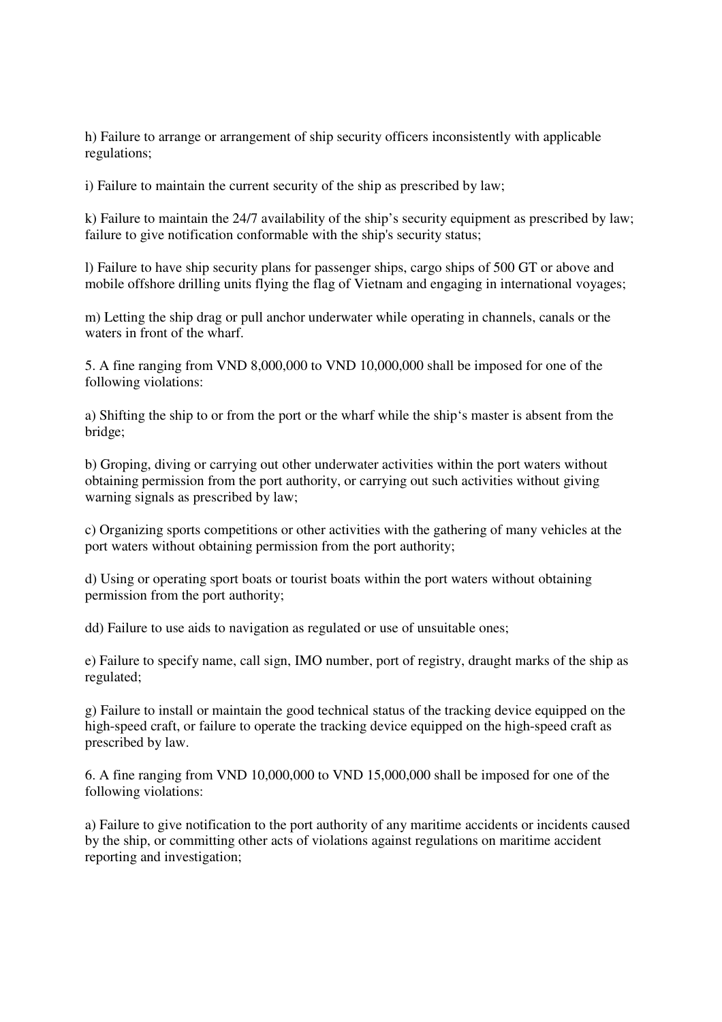h) Failure to arrange or arrangement of ship security officers inconsistently with applicable regulations;

i) Failure to maintain the current security of the ship as prescribed by law;

k) Failure to maintain the 24/7 availability of the ship's security equipment as prescribed by law; failure to give notification conformable with the ship's security status;

l) Failure to have ship security plans for passenger ships, cargo ships of 500 GT or above and mobile offshore drilling units flying the flag of Vietnam and engaging in international voyages;

m) Letting the ship drag or pull anchor underwater while operating in channels, canals or the waters in front of the wharf.

5. A fine ranging from VND 8,000,000 to VND 10,000,000 shall be imposed for one of the following violations:

a) Shifting the ship to or from the port or the wharf while the ship's master is absent from the bridge;

b) Groping, diving or carrying out other underwater activities within the port waters without obtaining permission from the port authority, or carrying out such activities without giving warning signals as prescribed by law;

c) Organizing sports competitions or other activities with the gathering of many vehicles at the port waters without obtaining permission from the port authority;

d) Using or operating sport boats or tourist boats within the port waters without obtaining permission from the port authority;

dd) Failure to use aids to navigation as regulated or use of unsuitable ones;

e) Failure to specify name, call sign, IMO number, port of registry, draught marks of the ship as regulated;

g) Failure to install or maintain the good technical status of the tracking device equipped on the high-speed craft, or failure to operate the tracking device equipped on the high-speed craft as prescribed by law.

6. A fine ranging from VND 10,000,000 to VND 15,000,000 shall be imposed for one of the following violations:

a) Failure to give notification to the port authority of any maritime accidents or incidents caused by the ship, or committing other acts of violations against regulations on maritime accident reporting and investigation;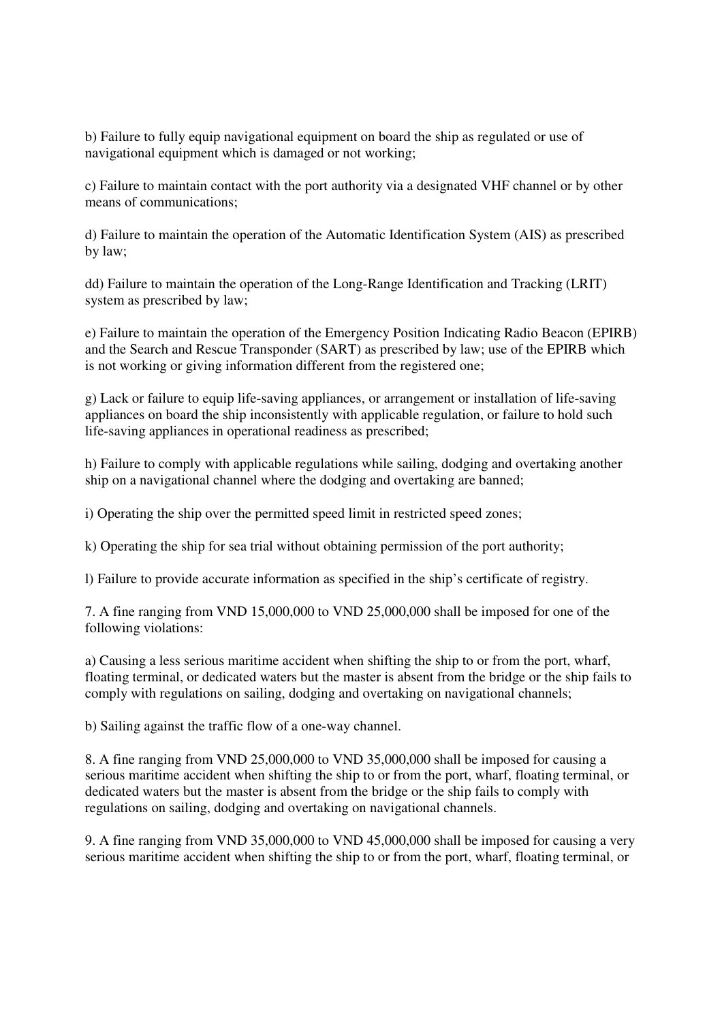b) Failure to fully equip navigational equipment on board the ship as regulated or use of navigational equipment which is damaged or not working;

c) Failure to maintain contact with the port authority via a designated VHF channel or by other means of communications;

d) Failure to maintain the operation of the Automatic Identification System (AIS) as prescribed by law;

dd) Failure to maintain the operation of the Long-Range Identification and Tracking (LRIT) system as prescribed by law;

e) Failure to maintain the operation of the Emergency Position Indicating Radio Beacon (EPIRB) and the Search and Rescue Transponder (SART) as prescribed by law; use of the EPIRB which is not working or giving information different from the registered one;

g) Lack or failure to equip life-saving appliances, or arrangement or installation of life-saving appliances on board the ship inconsistently with applicable regulation, or failure to hold such life-saving appliances in operational readiness as prescribed;

h) Failure to comply with applicable regulations while sailing, dodging and overtaking another ship on a navigational channel where the dodging and overtaking are banned;

i) Operating the ship over the permitted speed limit in restricted speed zones;

k) Operating the ship for sea trial without obtaining permission of the port authority;

l) Failure to provide accurate information as specified in the ship's certificate of registry.

7. A fine ranging from VND 15,000,000 to VND 25,000,000 shall be imposed for one of the following violations:

a) Causing a less serious maritime accident when shifting the ship to or from the port, wharf, floating terminal, or dedicated waters but the master is absent from the bridge or the ship fails to comply with regulations on sailing, dodging and overtaking on navigational channels;

b) Sailing against the traffic flow of a one-way channel.

8. A fine ranging from VND 25,000,000 to VND 35,000,000 shall be imposed for causing a serious maritime accident when shifting the ship to or from the port, wharf, floating terminal, or dedicated waters but the master is absent from the bridge or the ship fails to comply with regulations on sailing, dodging and overtaking on navigational channels.

9. A fine ranging from VND 35,000,000 to VND 45,000,000 shall be imposed for causing a very serious maritime accident when shifting the ship to or from the port, wharf, floating terminal, or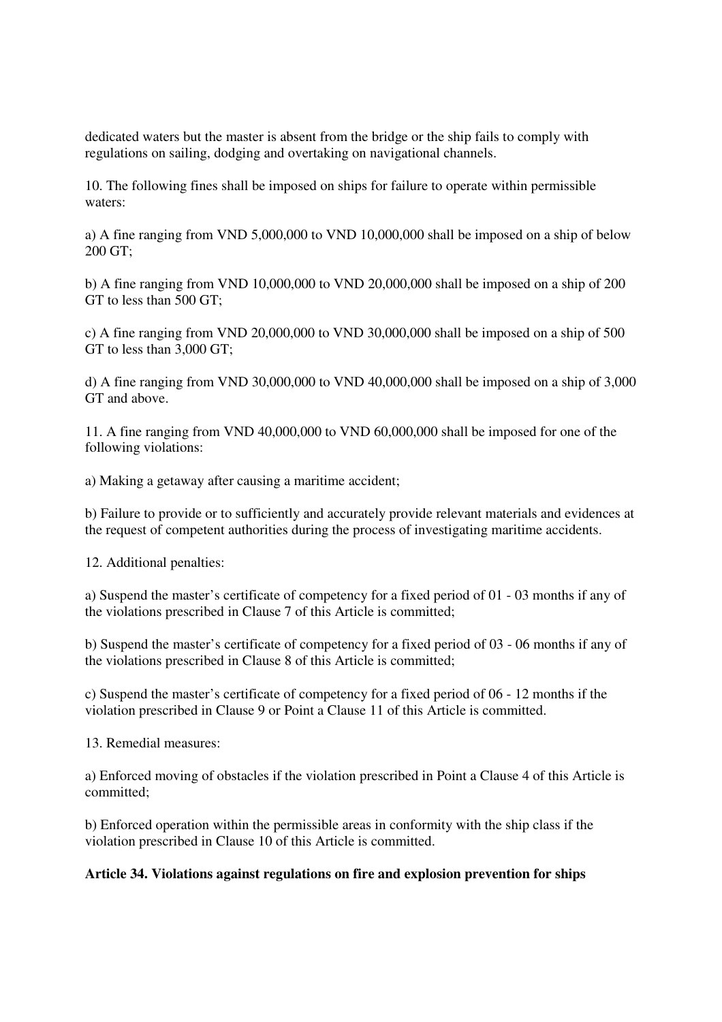dedicated waters but the master is absent from the bridge or the ship fails to comply with regulations on sailing, dodging and overtaking on navigational channels.

10. The following fines shall be imposed on ships for failure to operate within permissible waters:

a) A fine ranging from VND 5,000,000 to VND 10,000,000 shall be imposed on a ship of below 200 GT;

b) A fine ranging from VND 10,000,000 to VND 20,000,000 shall be imposed on a ship of 200 GT to less than 500 GT;

c) A fine ranging from VND 20,000,000 to VND 30,000,000 shall be imposed on a ship of 500 GT to less than 3,000 GT;

d) A fine ranging from VND 30,000,000 to VND 40,000,000 shall be imposed on a ship of 3,000 GT and above.

11. A fine ranging from VND 40,000,000 to VND 60,000,000 shall be imposed for one of the following violations:

a) Making a getaway after causing a maritime accident;

b) Failure to provide or to sufficiently and accurately provide relevant materials and evidences at the request of competent authorities during the process of investigating maritime accidents.

12. Additional penalties:

a) Suspend the master's certificate of competency for a fixed period of 01 - 03 months if any of the violations prescribed in Clause 7 of this Article is committed;

b) Suspend the master's certificate of competency for a fixed period of 03 - 06 months if any of the violations prescribed in Clause 8 of this Article is committed;

c) Suspend the master's certificate of competency for a fixed period of 06 - 12 months if the violation prescribed in Clause 9 or Point a Clause 11 of this Article is committed.

13. Remedial measures:

a) Enforced moving of obstacles if the violation prescribed in Point a Clause 4 of this Article is committed;

b) Enforced operation within the permissible areas in conformity with the ship class if the violation prescribed in Clause 10 of this Article is committed.

#### **Article 34. Violations against regulations on fire and explosion prevention for ships**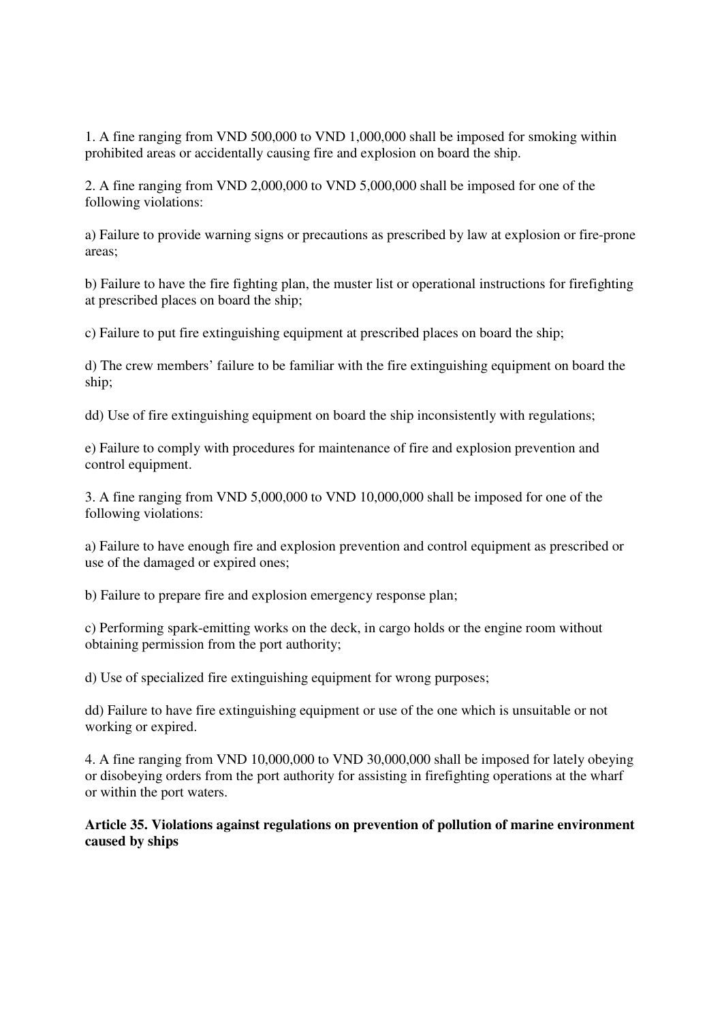1. A fine ranging from VND 500,000 to VND 1,000,000 shall be imposed for smoking within prohibited areas or accidentally causing fire and explosion on board the ship.

2. A fine ranging from VND 2,000,000 to VND 5,000,000 shall be imposed for one of the following violations:

a) Failure to provide warning signs or precautions as prescribed by law at explosion or fire-prone areas;

b) Failure to have the fire fighting plan, the muster list or operational instructions for firefighting at prescribed places on board the ship;

c) Failure to put fire extinguishing equipment at prescribed places on board the ship;

d) The crew members' failure to be familiar with the fire extinguishing equipment on board the ship;

dd) Use of fire extinguishing equipment on board the ship inconsistently with regulations;

e) Failure to comply with procedures for maintenance of fire and explosion prevention and control equipment.

3. A fine ranging from VND 5,000,000 to VND 10,000,000 shall be imposed for one of the following violations:

a) Failure to have enough fire and explosion prevention and control equipment as prescribed or use of the damaged or expired ones;

b) Failure to prepare fire and explosion emergency response plan;

c) Performing spark-emitting works on the deck, in cargo holds or the engine room without obtaining permission from the port authority;

d) Use of specialized fire extinguishing equipment for wrong purposes;

dd) Failure to have fire extinguishing equipment or use of the one which is unsuitable or not working or expired.

4. A fine ranging from VND 10,000,000 to VND 30,000,000 shall be imposed for lately obeying or disobeying orders from the port authority for assisting in firefighting operations at the wharf or within the port waters.

**Article 35. Violations against regulations on prevention of pollution of marine environment caused by ships**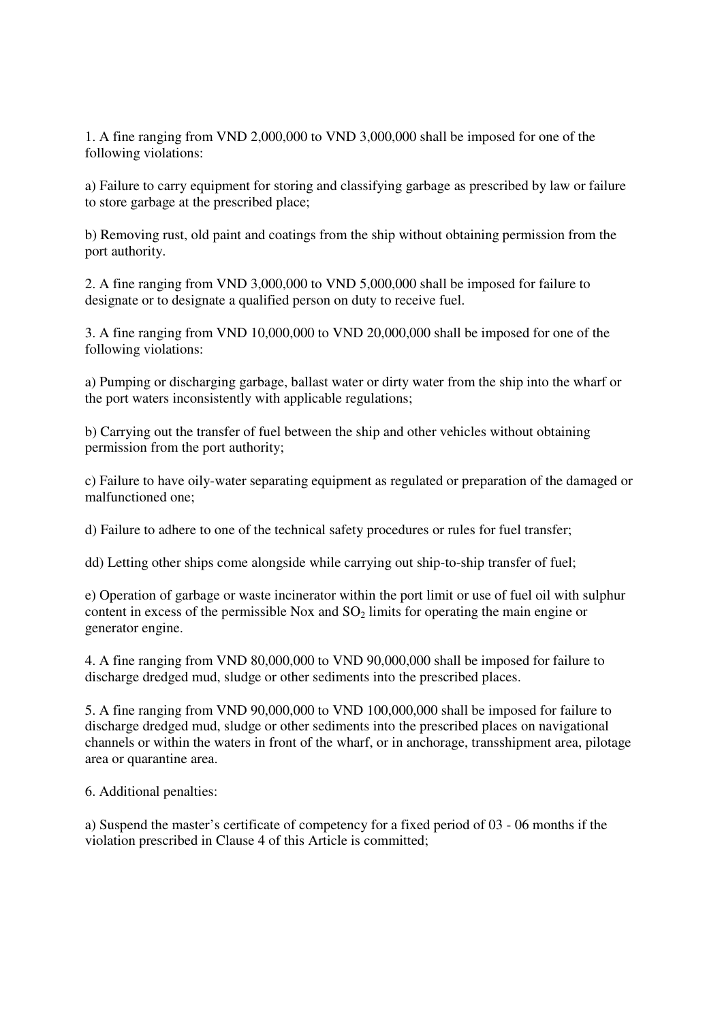1. A fine ranging from VND 2,000,000 to VND 3,000,000 shall be imposed for one of the following violations:

a) Failure to carry equipment for storing and classifying garbage as prescribed by law or failure to store garbage at the prescribed place;

b) Removing rust, old paint and coatings from the ship without obtaining permission from the port authority.

2. A fine ranging from VND 3,000,000 to VND 5,000,000 shall be imposed for failure to designate or to designate a qualified person on duty to receive fuel.

3. A fine ranging from VND 10,000,000 to VND 20,000,000 shall be imposed for one of the following violations:

a) Pumping or discharging garbage, ballast water or dirty water from the ship into the wharf or the port waters inconsistently with applicable regulations;

b) Carrying out the transfer of fuel between the ship and other vehicles without obtaining permission from the port authority;

c) Failure to have oily-water separating equipment as regulated or preparation of the damaged or malfunctioned one;

d) Failure to adhere to one of the technical safety procedures or rules for fuel transfer;

dd) Letting other ships come alongside while carrying out ship-to-ship transfer of fuel;

e) Operation of garbage or waste incinerator within the port limit or use of fuel oil with sulphur content in excess of the permissible Nox and  $SO<sub>2</sub>$  limits for operating the main engine or generator engine.

4. A fine ranging from VND 80,000,000 to VND 90,000,000 shall be imposed for failure to discharge dredged mud, sludge or other sediments into the prescribed places.

5. A fine ranging from VND 90,000,000 to VND 100,000,000 shall be imposed for failure to discharge dredged mud, sludge or other sediments into the prescribed places on navigational channels or within the waters in front of the wharf, or in anchorage, transshipment area, pilotage area or quarantine area.

6. Additional penalties:

a) Suspend the master's certificate of competency for a fixed period of 03 - 06 months if the violation prescribed in Clause 4 of this Article is committed;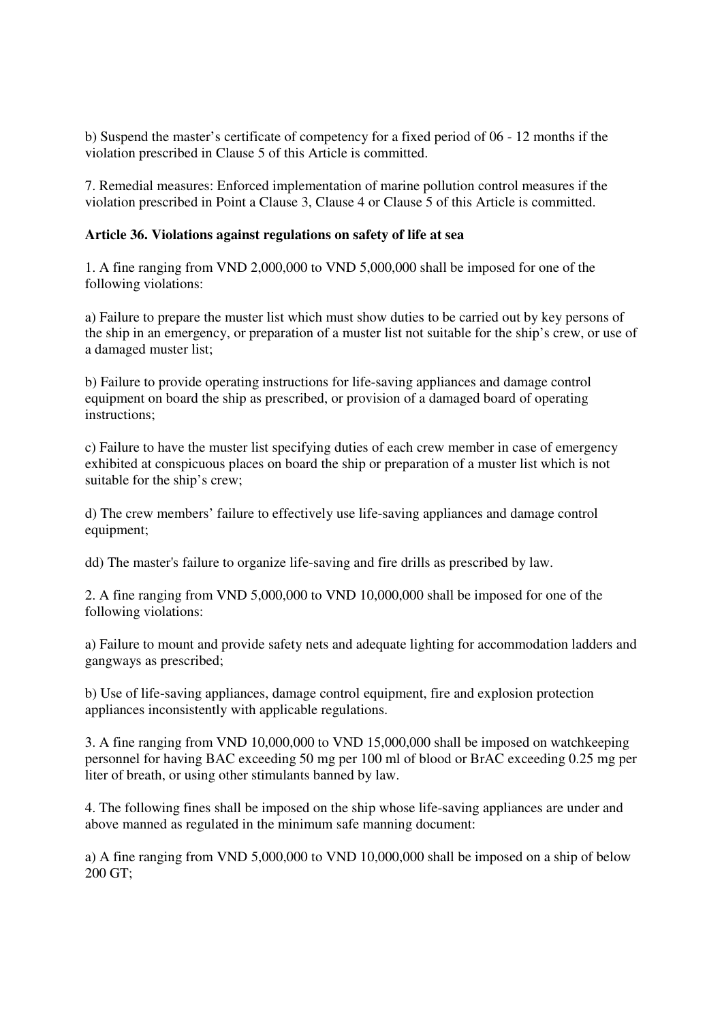b) Suspend the master's certificate of competency for a fixed period of 06 - 12 months if the violation prescribed in Clause 5 of this Article is committed.

7. Remedial measures: Enforced implementation of marine pollution control measures if the violation prescribed in Point a Clause 3, Clause 4 or Clause 5 of this Article is committed.

# **Article 36. Violations against regulations on safety of life at sea**

1. A fine ranging from VND 2,000,000 to VND 5,000,000 shall be imposed for one of the following violations:

a) Failure to prepare the muster list which must show duties to be carried out by key persons of the ship in an emergency, or preparation of a muster list not suitable for the ship's crew, or use of a damaged muster list;

b) Failure to provide operating instructions for life-saving appliances and damage control equipment on board the ship as prescribed, or provision of a damaged board of operating instructions;

c) Failure to have the muster list specifying duties of each crew member in case of emergency exhibited at conspicuous places on board the ship or preparation of a muster list which is not suitable for the ship's crew;

d) The crew members' failure to effectively use life-saving appliances and damage control equipment;

dd) The master's failure to organize life-saving and fire drills as prescribed by law.

2. A fine ranging from VND 5,000,000 to VND 10,000,000 shall be imposed for one of the following violations:

a) Failure to mount and provide safety nets and adequate lighting for accommodation ladders and gangways as prescribed;

b) Use of life-saving appliances, damage control equipment, fire and explosion protection appliances inconsistently with applicable regulations.

3. A fine ranging from VND 10,000,000 to VND 15,000,000 shall be imposed on watchkeeping personnel for having BAC exceeding 50 mg per 100 ml of blood or BrAC exceeding 0.25 mg per liter of breath, or using other stimulants banned by law.

4. The following fines shall be imposed on the ship whose life-saving appliances are under and above manned as regulated in the minimum safe manning document:

a) A fine ranging from VND 5,000,000 to VND 10,000,000 shall be imposed on a ship of below 200 GT;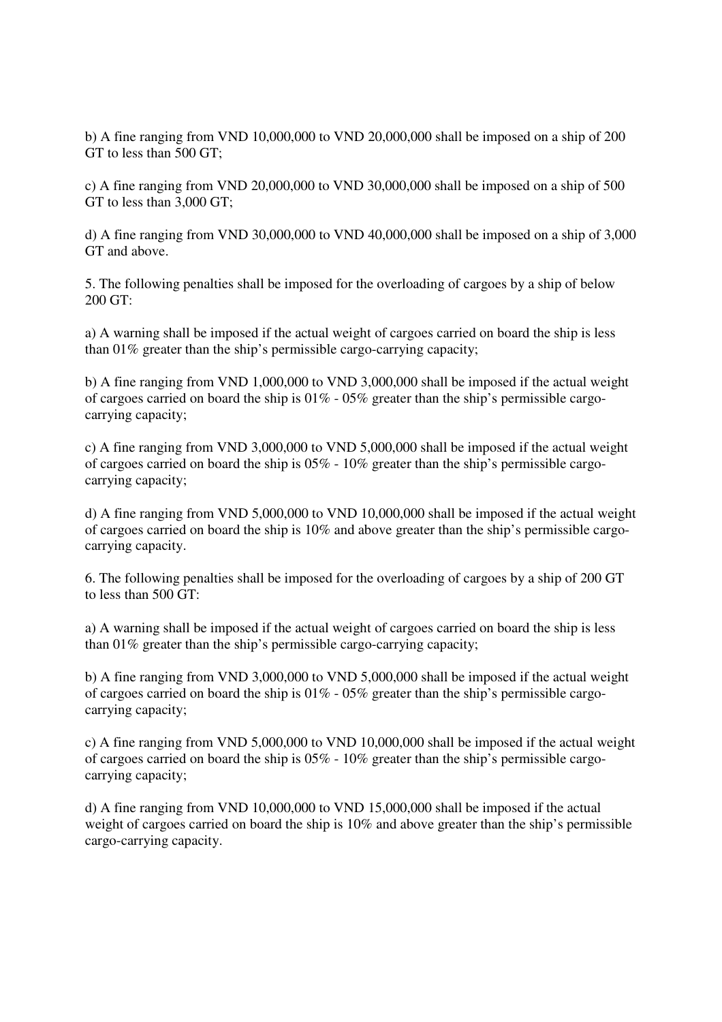b) A fine ranging from VND 10,000,000 to VND 20,000,000 shall be imposed on a ship of 200 GT to less than 500 GT;

c) A fine ranging from VND 20,000,000 to VND 30,000,000 shall be imposed on a ship of 500 GT to less than 3,000 GT;

d) A fine ranging from VND 30,000,000 to VND 40,000,000 shall be imposed on a ship of 3,000 GT and above.

5. The following penalties shall be imposed for the overloading of cargoes by a ship of below 200 GT:

a) A warning shall be imposed if the actual weight of cargoes carried on board the ship is less than 01% greater than the ship's permissible cargo-carrying capacity;

b) A fine ranging from VND 1,000,000 to VND 3,000,000 shall be imposed if the actual weight of cargoes carried on board the ship is 01% - 05% greater than the ship's permissible cargocarrying capacity;

c) A fine ranging from VND 3,000,000 to VND 5,000,000 shall be imposed if the actual weight of cargoes carried on board the ship is 05% - 10% greater than the ship's permissible cargocarrying capacity;

d) A fine ranging from VND 5,000,000 to VND 10,000,000 shall be imposed if the actual weight of cargoes carried on board the ship is 10% and above greater than the ship's permissible cargocarrying capacity.

6. The following penalties shall be imposed for the overloading of cargoes by a ship of 200 GT to less than 500 GT:

a) A warning shall be imposed if the actual weight of cargoes carried on board the ship is less than 01% greater than the ship's permissible cargo-carrying capacity;

b) A fine ranging from VND 3,000,000 to VND 5,000,000 shall be imposed if the actual weight of cargoes carried on board the ship is 01% - 05% greater than the ship's permissible cargocarrying capacity;

c) A fine ranging from VND 5,000,000 to VND 10,000,000 shall be imposed if the actual weight of cargoes carried on board the ship is 05% - 10% greater than the ship's permissible cargocarrying capacity;

d) A fine ranging from VND 10,000,000 to VND 15,000,000 shall be imposed if the actual weight of cargoes carried on board the ship is 10% and above greater than the ship's permissible cargo-carrying capacity.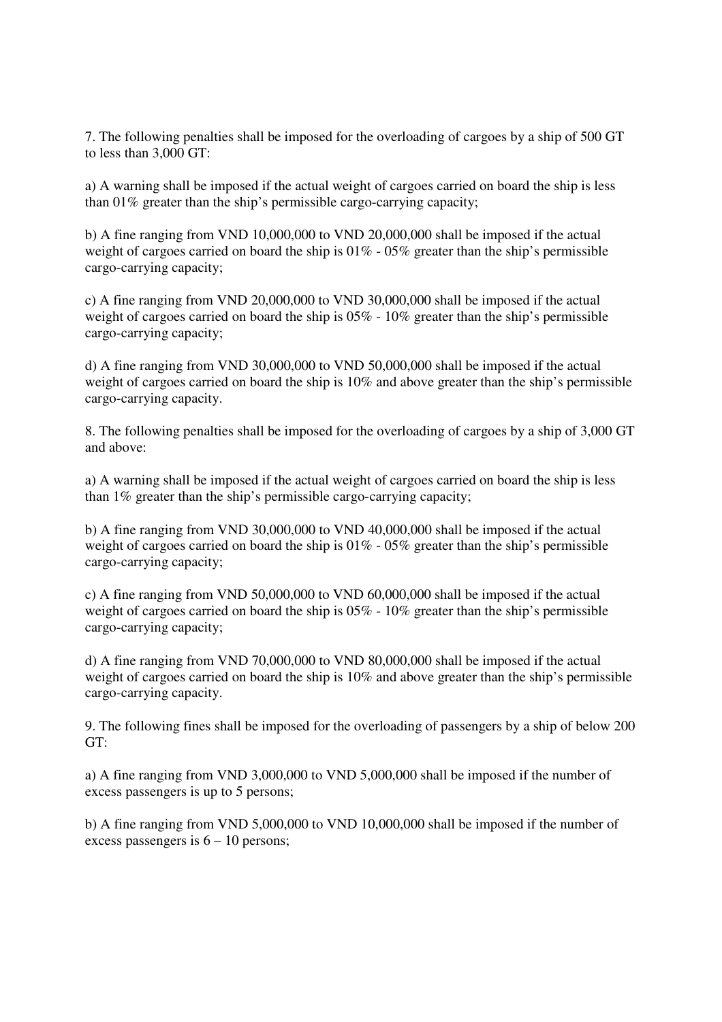7. The following penalties shall be imposed for the overloading of cargoes by a ship of 500 GT to less than 3,000 GT:

a) A warning shall be imposed if the actual weight of cargoes carried on board the ship is less than 01% greater than the ship's permissible cargo-carrying capacity;

b) A fine ranging from VND 10,000,000 to VND 20,000,000 shall be imposed if the actual weight of cargoes carried on board the ship is  $01\%$  -  $05\%$  greater than the ship's permissible cargo-carrying capacity;

c) A fine ranging from VND 20,000,000 to VND 30,000,000 shall be imposed if the actual weight of cargoes carried on board the ship is 05% - 10% greater than the ship's permissible cargo-carrying capacity;

d) A fine ranging from VND 30,000,000 to VND 50,000,000 shall be imposed if the actual weight of cargoes carried on board the ship is 10% and above greater than the ship's permissible cargo-carrying capacity.

8. The following penalties shall be imposed for the overloading of cargoes by a ship of 3,000 GT and above:

a) A warning shall be imposed if the actual weight of cargoes carried on board the ship is less than 1% greater than the ship's permissible cargo-carrying capacity;

b) A fine ranging from VND 30,000,000 to VND 40,000,000 shall be imposed if the actual weight of cargoes carried on board the ship is  $01\%$  -  $05\%$  greater than the ship's permissible cargo-carrying capacity;

c) A fine ranging from VND 50,000,000 to VND 60,000,000 shall be imposed if the actual weight of cargoes carried on board the ship is 05% - 10% greater than the ship's permissible cargo-carrying capacity;

d) A fine ranging from VND 70,000,000 to VND 80,000,000 shall be imposed if the actual weight of cargoes carried on board the ship is 10% and above greater than the ship's permissible cargo-carrying capacity.

9. The following fines shall be imposed for the overloading of passengers by a ship of below 200 GT:

a) A fine ranging from VND 3,000,000 to VND 5,000,000 shall be imposed if the number of excess passengers is up to 5 persons;

b) A fine ranging from VND 5,000,000 to VND 10,000,000 shall be imposed if the number of excess passengers is  $6 - 10$  persons;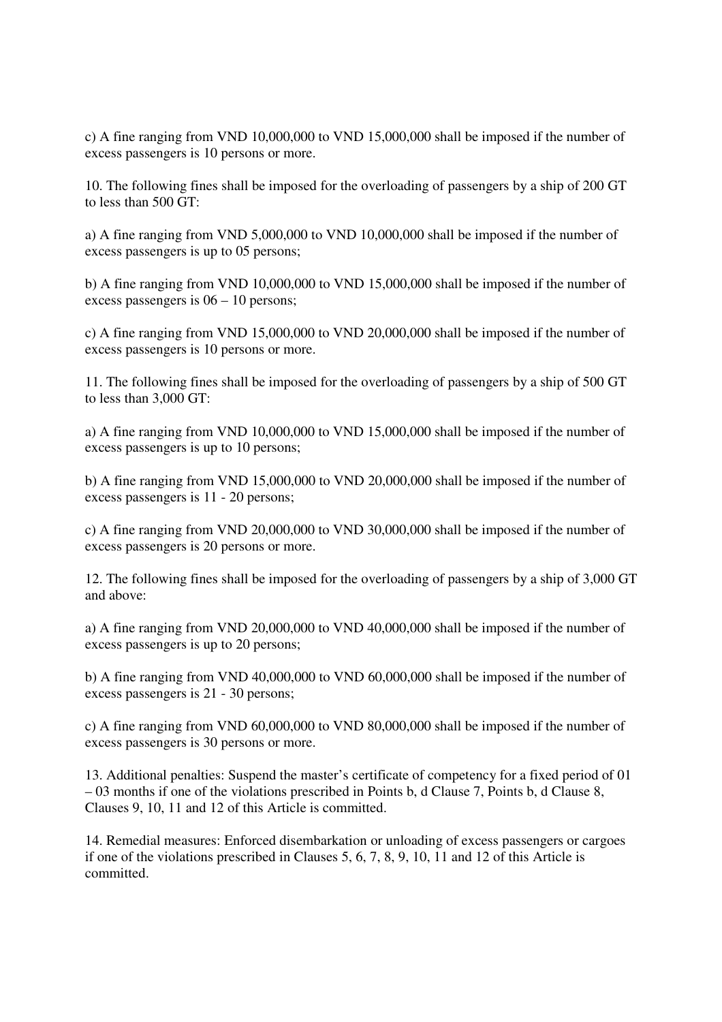c) A fine ranging from VND 10,000,000 to VND 15,000,000 shall be imposed if the number of excess passengers is 10 persons or more.

10. The following fines shall be imposed for the overloading of passengers by a ship of 200 GT to less than 500 GT:

a) A fine ranging from VND 5,000,000 to VND 10,000,000 shall be imposed if the number of excess passengers is up to 05 persons;

b) A fine ranging from VND 10,000,000 to VND 15,000,000 shall be imposed if the number of excess passengers is 06 – 10 persons;

c) A fine ranging from VND 15,000,000 to VND 20,000,000 shall be imposed if the number of excess passengers is 10 persons or more.

11. The following fines shall be imposed for the overloading of passengers by a ship of 500 GT to less than 3,000 GT:

a) A fine ranging from VND 10,000,000 to VND 15,000,000 shall be imposed if the number of excess passengers is up to 10 persons;

b) A fine ranging from VND 15,000,000 to VND 20,000,000 shall be imposed if the number of excess passengers is 11 - 20 persons;

c) A fine ranging from VND 20,000,000 to VND 30,000,000 shall be imposed if the number of excess passengers is 20 persons or more.

12. The following fines shall be imposed for the overloading of passengers by a ship of 3,000 GT and above:

a) A fine ranging from VND 20,000,000 to VND 40,000,000 shall be imposed if the number of excess passengers is up to 20 persons;

b) A fine ranging from VND 40,000,000 to VND 60,000,000 shall be imposed if the number of excess passengers is 21 - 30 persons;

c) A fine ranging from VND 60,000,000 to VND 80,000,000 shall be imposed if the number of excess passengers is 30 persons or more.

13. Additional penalties: Suspend the master's certificate of competency for a fixed period of 01 – 03 months if one of the violations prescribed in Points b, d Clause 7, Points b, d Clause 8, Clauses 9, 10, 11 and 12 of this Article is committed.

14. Remedial measures: Enforced disembarkation or unloading of excess passengers or cargoes if one of the violations prescribed in Clauses 5, 6, 7, 8, 9, 10, 11 and 12 of this Article is committed.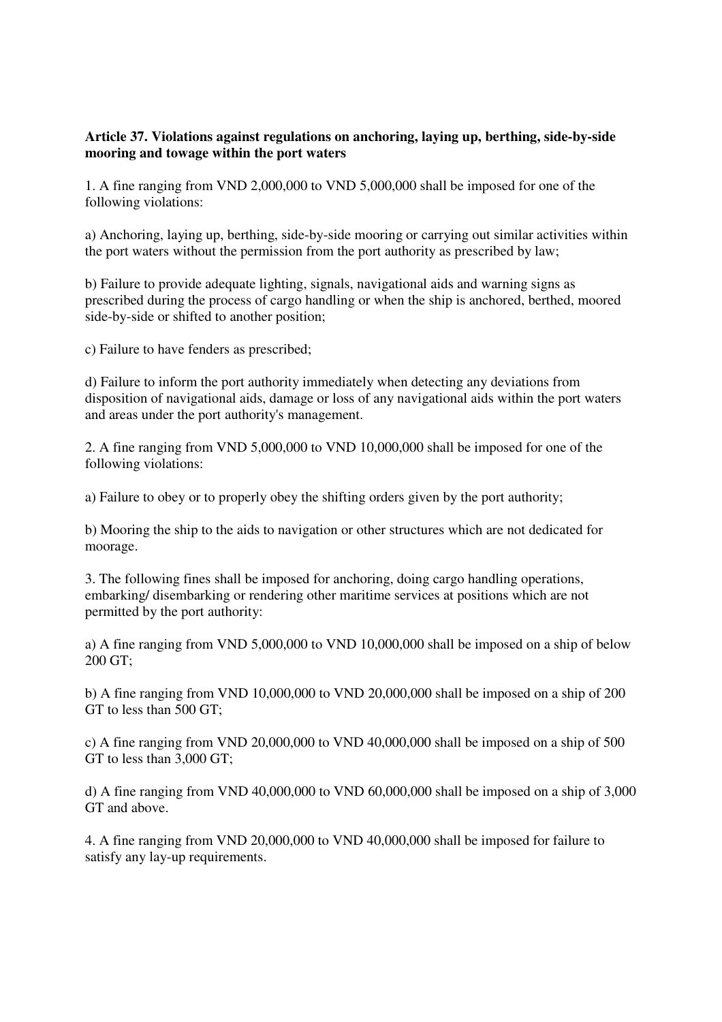# **Article 37. Violations against regulations on anchoring, laying up, berthing, side-by-side mooring and towage within the port waters**

1. A fine ranging from VND 2,000,000 to VND 5,000,000 shall be imposed for one of the following violations:

a) Anchoring, laying up, berthing, side-by-side mooring or carrying out similar activities within the port waters without the permission from the port authority as prescribed by law;

b) Failure to provide adequate lighting, signals, navigational aids and warning signs as prescribed during the process of cargo handling or when the ship is anchored, berthed, moored side-by-side or shifted to another position;

c) Failure to have fenders as prescribed;

d) Failure to inform the port authority immediately when detecting any deviations from disposition of navigational aids, damage or loss of any navigational aids within the port waters and areas under the port authority's management.

2. A fine ranging from VND 5,000,000 to VND 10,000,000 shall be imposed for one of the following violations:

a) Failure to obey or to properly obey the shifting orders given by the port authority;

b) Mooring the ship to the aids to navigation or other structures which are not dedicated for moorage.

3. The following fines shall be imposed for anchoring, doing cargo handling operations, embarking/ disembarking or rendering other maritime services at positions which are not permitted by the port authority:

a) A fine ranging from VND 5,000,000 to VND 10,000,000 shall be imposed on a ship of below 200 GT;

b) A fine ranging from VND 10,000,000 to VND 20,000,000 shall be imposed on a ship of 200 GT to less than 500 GT;

c) A fine ranging from VND 20,000,000 to VND 40,000,000 shall be imposed on a ship of 500 GT to less than 3,000 GT;

d) A fine ranging from VND 40,000,000 to VND 60,000,000 shall be imposed on a ship of 3,000 GT and above.

4. A fine ranging from VND 20,000,000 to VND 40,000,000 shall be imposed for failure to satisfy any lay-up requirements.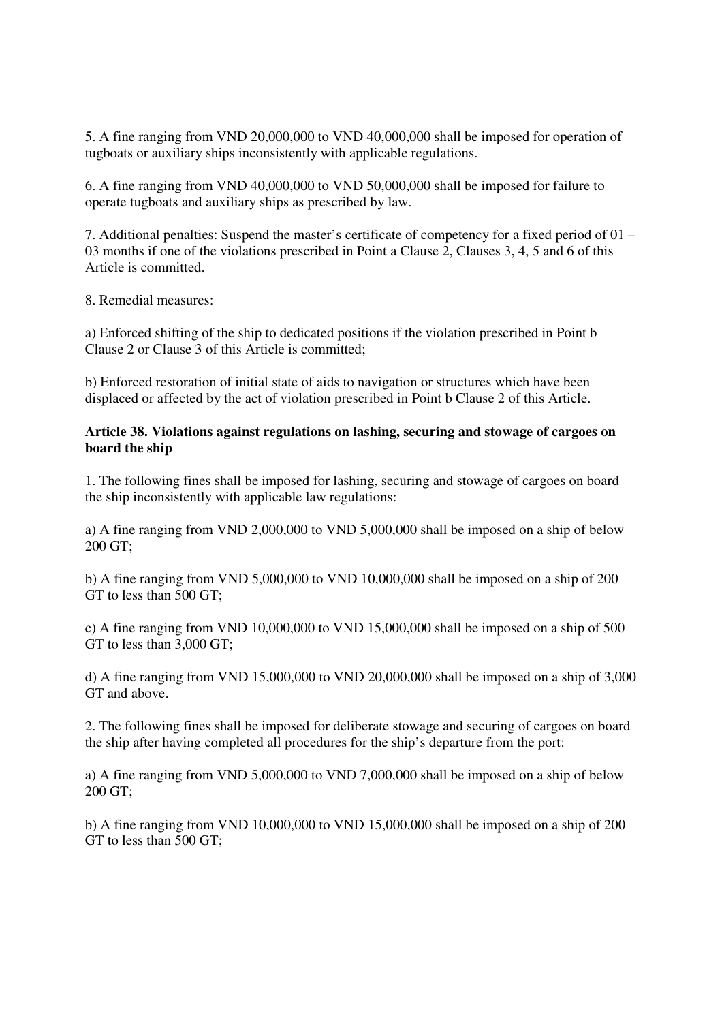5. A fine ranging from VND 20,000,000 to VND 40,000,000 shall be imposed for operation of tugboats or auxiliary ships inconsistently with applicable regulations.

6. A fine ranging from VND 40,000,000 to VND 50,000,000 shall be imposed for failure to operate tugboats and auxiliary ships as prescribed by law.

7. Additional penalties: Suspend the master's certificate of competency for a fixed period of 01 – 03 months if one of the violations prescribed in Point a Clause 2, Clauses 3, 4, 5 and 6 of this Article is committed.

8. Remedial measures:

a) Enforced shifting of the ship to dedicated positions if the violation prescribed in Point b Clause 2 or Clause 3 of this Article is committed;

b) Enforced restoration of initial state of aids to navigation or structures which have been displaced or affected by the act of violation prescribed in Point b Clause 2 of this Article.

### **Article 38. Violations against regulations on lashing, securing and stowage of cargoes on board the ship**

1. The following fines shall be imposed for lashing, securing and stowage of cargoes on board the ship inconsistently with applicable law regulations:

a) A fine ranging from VND 2,000,000 to VND 5,000,000 shall be imposed on a ship of below 200 GT;

b) A fine ranging from VND 5,000,000 to VND 10,000,000 shall be imposed on a ship of 200 GT to less than 500 GT;

c) A fine ranging from VND 10,000,000 to VND 15,000,000 shall be imposed on a ship of 500 GT to less than 3,000 GT;

d) A fine ranging from VND 15,000,000 to VND 20,000,000 shall be imposed on a ship of 3,000 GT and above.

2. The following fines shall be imposed for deliberate stowage and securing of cargoes on board the ship after having completed all procedures for the ship's departure from the port:

a) A fine ranging from VND 5,000,000 to VND 7,000,000 shall be imposed on a ship of below 200 GT;

b) A fine ranging from VND 10,000,000 to VND 15,000,000 shall be imposed on a ship of 200 GT to less than 500 GT;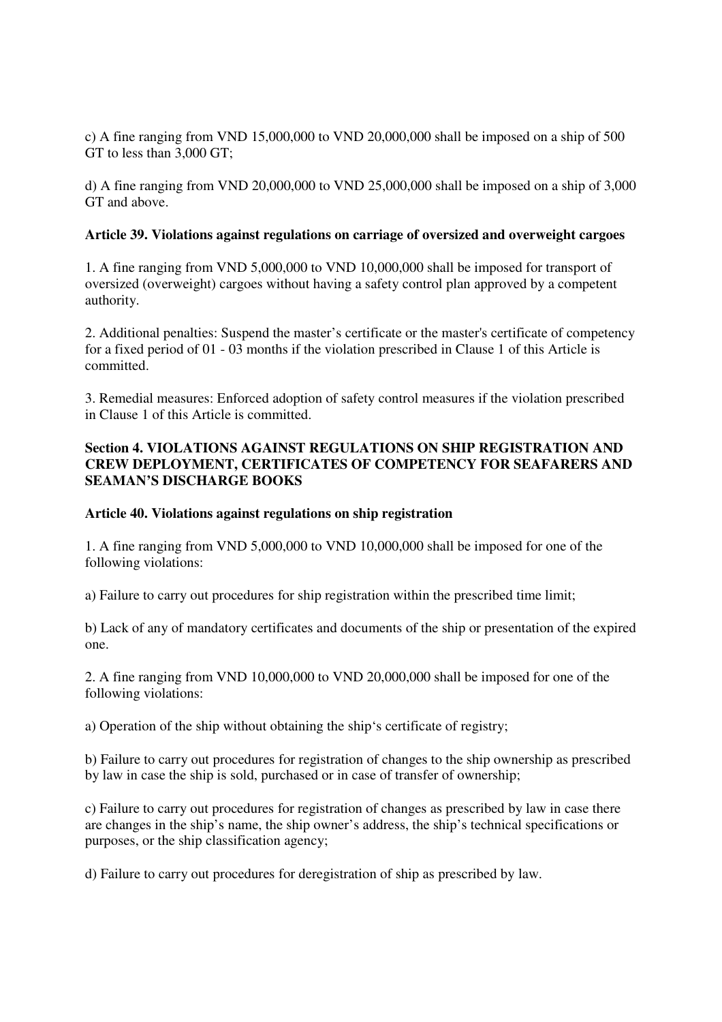c) A fine ranging from VND 15,000,000 to VND 20,000,000 shall be imposed on a ship of 500 GT to less than 3,000 GT;

d) A fine ranging from VND 20,000,000 to VND 25,000,000 shall be imposed on a ship of 3,000 GT and above.

# **Article 39. Violations against regulations on carriage of oversized and overweight cargoes**

1. A fine ranging from VND 5,000,000 to VND 10,000,000 shall be imposed for transport of oversized (overweight) cargoes without having a safety control plan approved by a competent authority.

2. Additional penalties: Suspend the master's certificate or the master's certificate of competency for a fixed period of 01 - 03 months if the violation prescribed in Clause 1 of this Article is committed.

3. Remedial measures: Enforced adoption of safety control measures if the violation prescribed in Clause 1 of this Article is committed.

# **Section 4. VIOLATIONS AGAINST REGULATIONS ON SHIP REGISTRATION AND CREW DEPLOYMENT, CERTIFICATES OF COMPETENCY FOR SEAFARERS AND SEAMAN'S DISCHARGE BOOKS**

# **Article 40. Violations against regulations on ship registration**

1. A fine ranging from VND 5,000,000 to VND 10,000,000 shall be imposed for one of the following violations:

a) Failure to carry out procedures for ship registration within the prescribed time limit;

b) Lack of any of mandatory certificates and documents of the ship or presentation of the expired one.

2. A fine ranging from VND 10,000,000 to VND 20,000,000 shall be imposed for one of the following violations:

a) Operation of the ship without obtaining the ship's certificate of registry;

b) Failure to carry out procedures for registration of changes to the ship ownership as prescribed by law in case the ship is sold, purchased or in case of transfer of ownership;

c) Failure to carry out procedures for registration of changes as prescribed by law in case there are changes in the ship's name, the ship owner's address, the ship's technical specifications or purposes, or the ship classification agency;

d) Failure to carry out procedures for deregistration of ship as prescribed by law.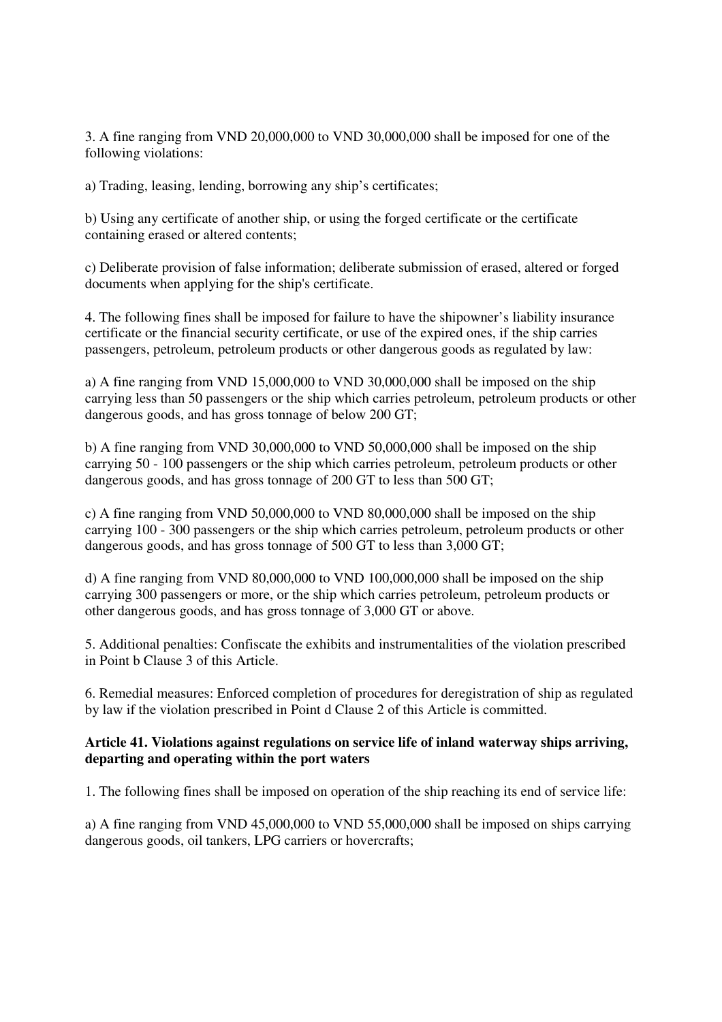3. A fine ranging from VND 20,000,000 to VND 30,000,000 shall be imposed for one of the following violations:

a) Trading, leasing, lending, borrowing any ship's certificates;

b) Using any certificate of another ship, or using the forged certificate or the certificate containing erased or altered contents;

c) Deliberate provision of false information; deliberate submission of erased, altered or forged documents when applying for the ship's certificate.

4. The following fines shall be imposed for failure to have the shipowner's liability insurance certificate or the financial security certificate, or use of the expired ones, if the ship carries passengers, petroleum, petroleum products or other dangerous goods as regulated by law:

a) A fine ranging from VND 15,000,000 to VND 30,000,000 shall be imposed on the ship carrying less than 50 passengers or the ship which carries petroleum, petroleum products or other dangerous goods, and has gross tonnage of below 200 GT;

b) A fine ranging from VND 30,000,000 to VND 50,000,000 shall be imposed on the ship carrying 50 - 100 passengers or the ship which carries petroleum, petroleum products or other dangerous goods, and has gross tonnage of 200 GT to less than 500 GT;

c) A fine ranging from VND 50,000,000 to VND 80,000,000 shall be imposed on the ship carrying 100 - 300 passengers or the ship which carries petroleum, petroleum products or other dangerous goods, and has gross tonnage of 500 GT to less than 3,000 GT;

d) A fine ranging from VND 80,000,000 to VND 100,000,000 shall be imposed on the ship carrying 300 passengers or more, or the ship which carries petroleum, petroleum products or other dangerous goods, and has gross tonnage of 3,000 GT or above.

5. Additional penalties: Confiscate the exhibits and instrumentalities of the violation prescribed in Point b Clause 3 of this Article.

6. Remedial measures: Enforced completion of procedures for deregistration of ship as regulated by law if the violation prescribed in Point d Clause 2 of this Article is committed.

# **Article 41. Violations against regulations on service life of inland waterway ships arriving, departing and operating within the port waters**

1. The following fines shall be imposed on operation of the ship reaching its end of service life:

a) A fine ranging from VND 45,000,000 to VND 55,000,000 shall be imposed on ships carrying dangerous goods, oil tankers, LPG carriers or hovercrafts;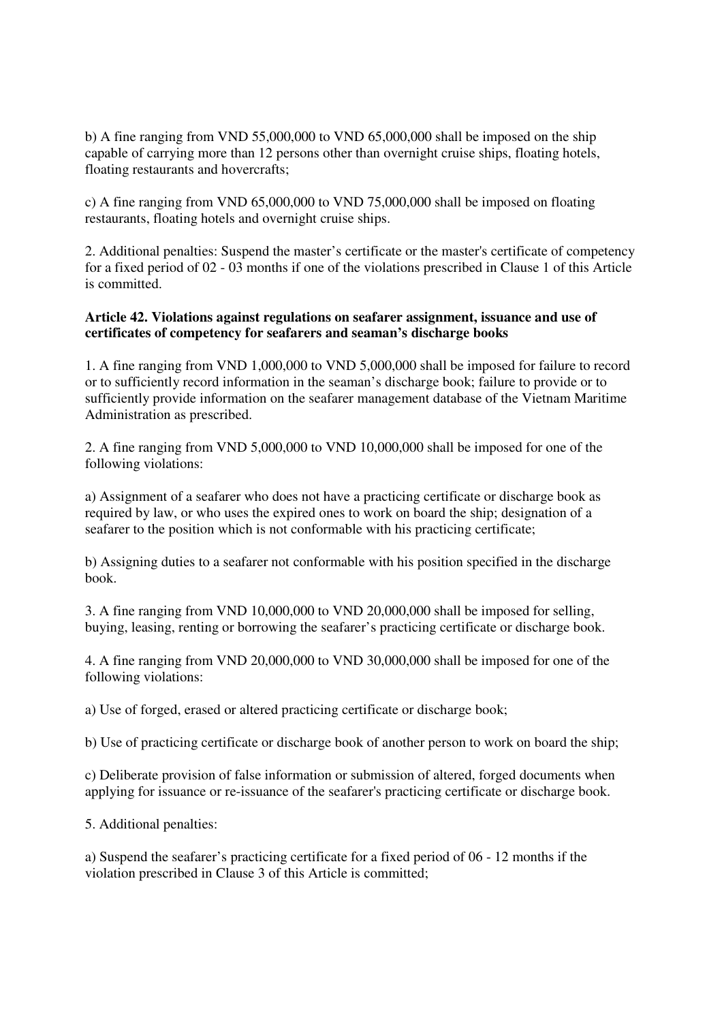b) A fine ranging from VND 55,000,000 to VND 65,000,000 shall be imposed on the ship capable of carrying more than 12 persons other than overnight cruise ships, floating hotels, floating restaurants and hovercrafts;

c) A fine ranging from VND 65,000,000 to VND 75,000,000 shall be imposed on floating restaurants, floating hotels and overnight cruise ships.

2. Additional penalties: Suspend the master's certificate or the master's certificate of competency for a fixed period of 02 - 03 months if one of the violations prescribed in Clause 1 of this Article is committed.

# **Article 42. Violations against regulations on seafarer assignment, issuance and use of certificates of competency for seafarers and seaman's discharge books**

1. A fine ranging from VND 1,000,000 to VND 5,000,000 shall be imposed for failure to record or to sufficiently record information in the seaman's discharge book; failure to provide or to sufficiently provide information on the seafarer management database of the Vietnam Maritime Administration as prescribed.

2. A fine ranging from VND 5,000,000 to VND 10,000,000 shall be imposed for one of the following violations:

a) Assignment of a seafarer who does not have a practicing certificate or discharge book as required by law, or who uses the expired ones to work on board the ship; designation of a seafarer to the position which is not conformable with his practicing certificate;

b) Assigning duties to a seafarer not conformable with his position specified in the discharge book.

3. A fine ranging from VND 10,000,000 to VND 20,000,000 shall be imposed for selling, buying, leasing, renting or borrowing the seafarer's practicing certificate or discharge book.

4. A fine ranging from VND 20,000,000 to VND 30,000,000 shall be imposed for one of the following violations:

a) Use of forged, erased or altered practicing certificate or discharge book;

b) Use of practicing certificate or discharge book of another person to work on board the ship;

c) Deliberate provision of false information or submission of altered, forged documents when applying for issuance or re-issuance of the seafarer's practicing certificate or discharge book.

5. Additional penalties:

a) Suspend the seafarer's practicing certificate for a fixed period of 06 - 12 months if the violation prescribed in Clause 3 of this Article is committed;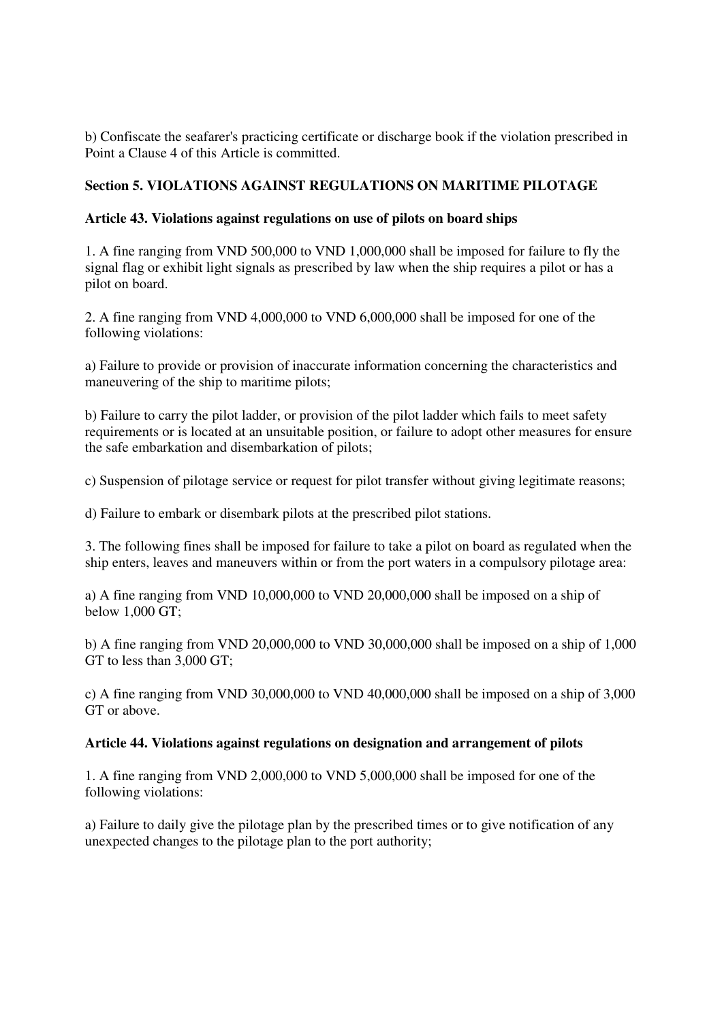b) Confiscate the seafarer's practicing certificate or discharge book if the violation prescribed in Point a Clause 4 of this Article is committed.

# **Section 5. VIOLATIONS AGAINST REGULATIONS ON MARITIME PILOTAGE**

# **Article 43. Violations against regulations on use of pilots on board ships**

1. A fine ranging from VND 500,000 to VND 1,000,000 shall be imposed for failure to fly the signal flag or exhibit light signals as prescribed by law when the ship requires a pilot or has a pilot on board.

2. A fine ranging from VND 4,000,000 to VND 6,000,000 shall be imposed for one of the following violations:

a) Failure to provide or provision of inaccurate information concerning the characteristics and maneuvering of the ship to maritime pilots;

b) Failure to carry the pilot ladder, or provision of the pilot ladder which fails to meet safety requirements or is located at an unsuitable position, or failure to adopt other measures for ensure the safe embarkation and disembarkation of pilots;

c) Suspension of pilotage service or request for pilot transfer without giving legitimate reasons;

d) Failure to embark or disembark pilots at the prescribed pilot stations.

3. The following fines shall be imposed for failure to take a pilot on board as regulated when the ship enters, leaves and maneuvers within or from the port waters in a compulsory pilotage area:

a) A fine ranging from VND 10,000,000 to VND 20,000,000 shall be imposed on a ship of below 1,000 GT;

b) A fine ranging from VND 20,000,000 to VND 30,000,000 shall be imposed on a ship of 1,000 GT to less than 3,000 GT:

c) A fine ranging from VND 30,000,000 to VND 40,000,000 shall be imposed on a ship of 3,000 GT or above.

# **Article 44. Violations against regulations on designation and arrangement of pilots**

1. A fine ranging from VND 2,000,000 to VND 5,000,000 shall be imposed for one of the following violations:

a) Failure to daily give the pilotage plan by the prescribed times or to give notification of any unexpected changes to the pilotage plan to the port authority;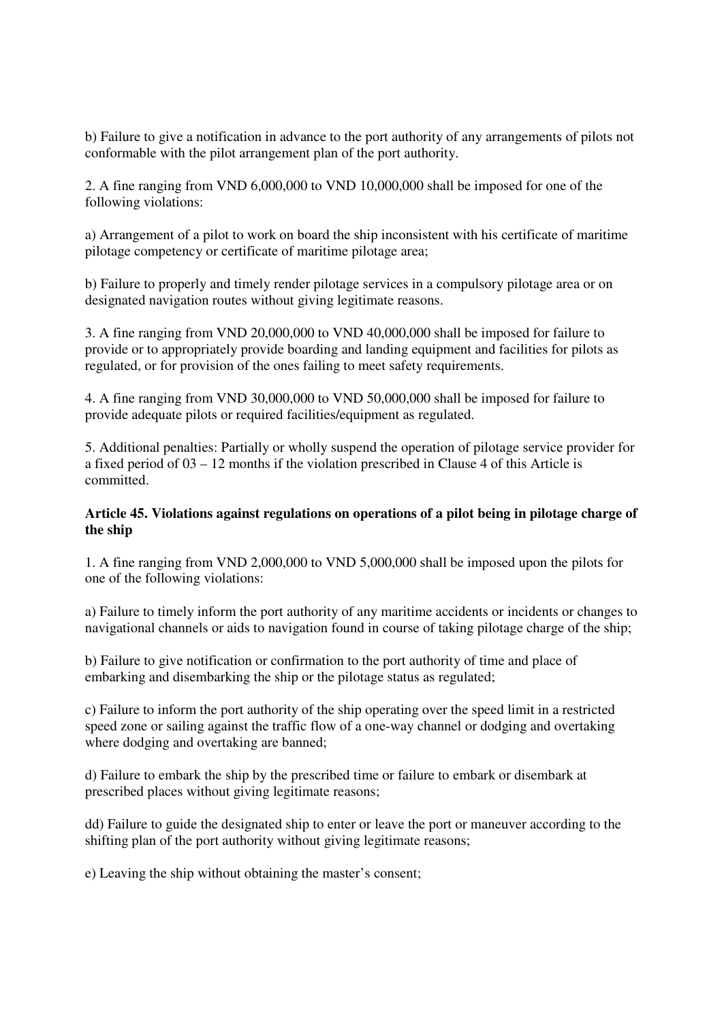b) Failure to give a notification in advance to the port authority of any arrangements of pilots not conformable with the pilot arrangement plan of the port authority.

2. A fine ranging from VND 6,000,000 to VND 10,000,000 shall be imposed for one of the following violations:

a) Arrangement of a pilot to work on board the ship inconsistent with his certificate of maritime pilotage competency or certificate of maritime pilotage area;

b) Failure to properly and timely render pilotage services in a compulsory pilotage area or on designated navigation routes without giving legitimate reasons.

3. A fine ranging from VND 20,000,000 to VND 40,000,000 shall be imposed for failure to provide or to appropriately provide boarding and landing equipment and facilities for pilots as regulated, or for provision of the ones failing to meet safety requirements.

4. A fine ranging from VND 30,000,000 to VND 50,000,000 shall be imposed for failure to provide adequate pilots or required facilities/equipment as regulated.

5. Additional penalties: Partially or wholly suspend the operation of pilotage service provider for a fixed period of 03 – 12 months if the violation prescribed in Clause 4 of this Article is committed.

# **Article 45. Violations against regulations on operations of a pilot being in pilotage charge of the ship**

1. A fine ranging from VND 2,000,000 to VND 5,000,000 shall be imposed upon the pilots for one of the following violations:

a) Failure to timely inform the port authority of any maritime accidents or incidents or changes to navigational channels or aids to navigation found in course of taking pilotage charge of the ship;

b) Failure to give notification or confirmation to the port authority of time and place of embarking and disembarking the ship or the pilotage status as regulated;

c) Failure to inform the port authority of the ship operating over the speed limit in a restricted speed zone or sailing against the traffic flow of a one-way channel or dodging and overtaking where dodging and overtaking are banned;

d) Failure to embark the ship by the prescribed time or failure to embark or disembark at prescribed places without giving legitimate reasons;

dd) Failure to guide the designated ship to enter or leave the port or maneuver according to the shifting plan of the port authority without giving legitimate reasons;

e) Leaving the ship without obtaining the master's consent;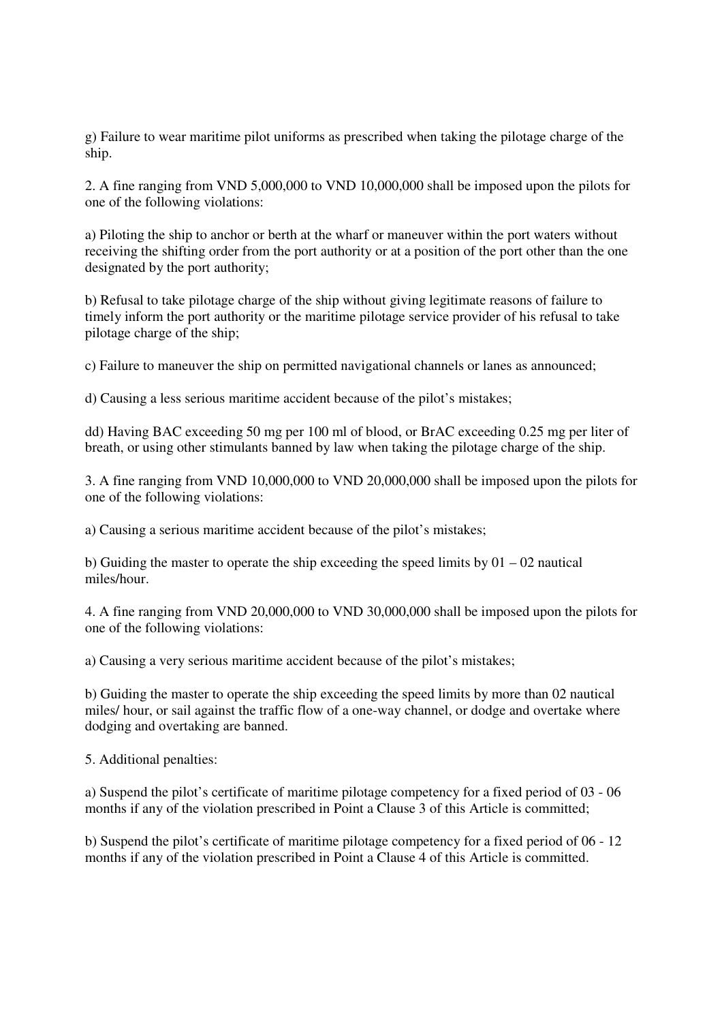g) Failure to wear maritime pilot uniforms as prescribed when taking the pilotage charge of the ship.

2. A fine ranging from VND 5,000,000 to VND 10,000,000 shall be imposed upon the pilots for one of the following violations:

a) Piloting the ship to anchor or berth at the wharf or maneuver within the port waters without receiving the shifting order from the port authority or at a position of the port other than the one designated by the port authority;

b) Refusal to take pilotage charge of the ship without giving legitimate reasons of failure to timely inform the port authority or the maritime pilotage service provider of his refusal to take pilotage charge of the ship;

c) Failure to maneuver the ship on permitted navigational channels or lanes as announced;

d) Causing a less serious maritime accident because of the pilot's mistakes;

dd) Having BAC exceeding 50 mg per 100 ml of blood, or BrAC exceeding 0.25 mg per liter of breath, or using other stimulants banned by law when taking the pilotage charge of the ship.

3. A fine ranging from VND 10,000,000 to VND 20,000,000 shall be imposed upon the pilots for one of the following violations:

a) Causing a serious maritime accident because of the pilot's mistakes;

b) Guiding the master to operate the ship exceeding the speed limits by  $01 - 02$  nautical miles/hour.

4. A fine ranging from VND 20,000,000 to VND 30,000,000 shall be imposed upon the pilots for one of the following violations:

a) Causing a very serious maritime accident because of the pilot's mistakes;

b) Guiding the master to operate the ship exceeding the speed limits by more than 02 nautical miles/ hour, or sail against the traffic flow of a one-way channel, or dodge and overtake where dodging and overtaking are banned.

5. Additional penalties:

a) Suspend the pilot's certificate of maritime pilotage competency for a fixed period of 03 - 06 months if any of the violation prescribed in Point a Clause 3 of this Article is committed;

b) Suspend the pilot's certificate of maritime pilotage competency for a fixed period of 06 - 12 months if any of the violation prescribed in Point a Clause 4 of this Article is committed.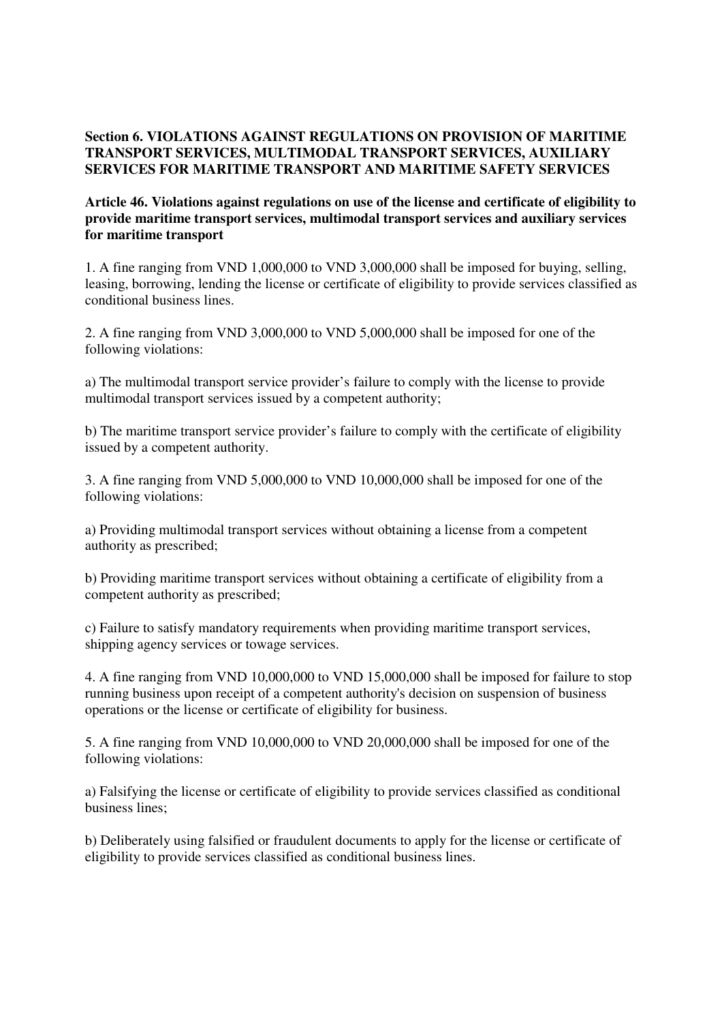# **Section 6. VIOLATIONS AGAINST REGULATIONS ON PROVISION OF MARITIME TRANSPORT SERVICES, MULTIMODAL TRANSPORT SERVICES, AUXILIARY SERVICES FOR MARITIME TRANSPORT AND MARITIME SAFETY SERVICES**

# **Article 46. Violations against regulations on use of the license and certificate of eligibility to provide maritime transport services, multimodal transport services and auxiliary services for maritime transport**

1. A fine ranging from VND 1,000,000 to VND 3,000,000 shall be imposed for buying, selling, leasing, borrowing, lending the license or certificate of eligibility to provide services classified as conditional business lines.

2. A fine ranging from VND 3,000,000 to VND 5,000,000 shall be imposed for one of the following violations:

a) The multimodal transport service provider's failure to comply with the license to provide multimodal transport services issued by a competent authority;

b) The maritime transport service provider's failure to comply with the certificate of eligibility issued by a competent authority.

3. A fine ranging from VND 5,000,000 to VND 10,000,000 shall be imposed for one of the following violations:

a) Providing multimodal transport services without obtaining a license from a competent authority as prescribed;

b) Providing maritime transport services without obtaining a certificate of eligibility from a competent authority as prescribed;

c) Failure to satisfy mandatory requirements when providing maritime transport services, shipping agency services or towage services.

4. A fine ranging from VND 10,000,000 to VND 15,000,000 shall be imposed for failure to stop running business upon receipt of a competent authority's decision on suspension of business operations or the license or certificate of eligibility for business.

5. A fine ranging from VND 10,000,000 to VND 20,000,000 shall be imposed for one of the following violations:

a) Falsifying the license or certificate of eligibility to provide services classified as conditional business lines;

b) Deliberately using falsified or fraudulent documents to apply for the license or certificate of eligibility to provide services classified as conditional business lines.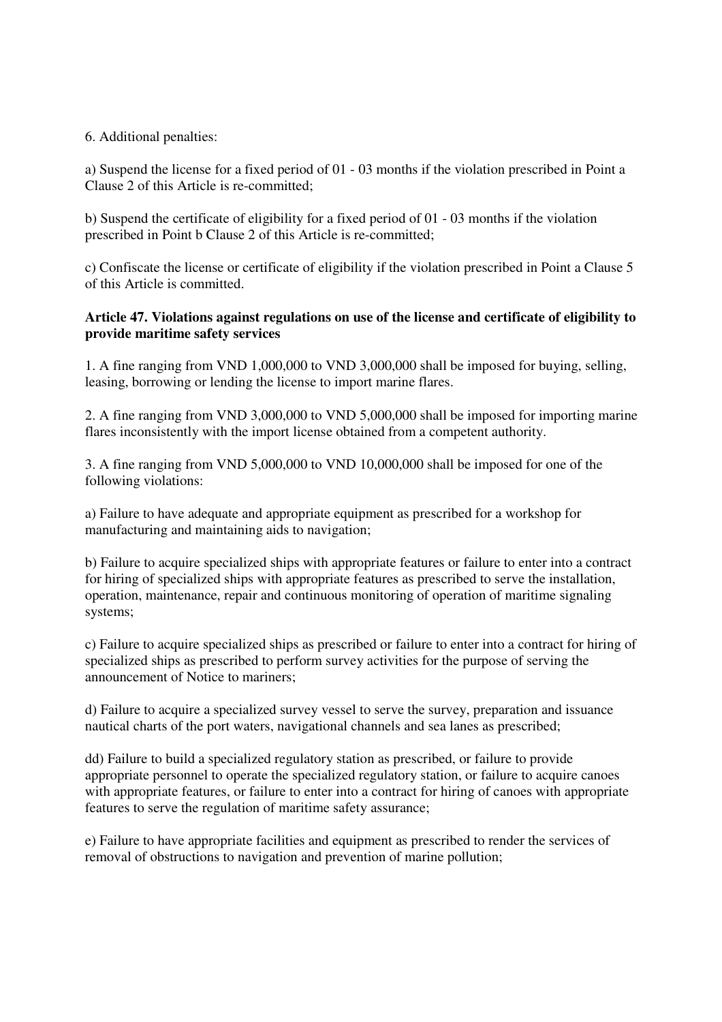# 6. Additional penalties:

a) Suspend the license for a fixed period of 01 - 03 months if the violation prescribed in Point a Clause 2 of this Article is re-committed;

b) Suspend the certificate of eligibility for a fixed period of 01 - 03 months if the violation prescribed in Point b Clause 2 of this Article is re-committed;

c) Confiscate the license or certificate of eligibility if the violation prescribed in Point a Clause 5 of this Article is committed.

# **Article 47. Violations against regulations on use of the license and certificate of eligibility to provide maritime safety services**

1. A fine ranging from VND 1,000,000 to VND 3,000,000 shall be imposed for buying, selling, leasing, borrowing or lending the license to import marine flares.

2. A fine ranging from VND 3,000,000 to VND 5,000,000 shall be imposed for importing marine flares inconsistently with the import license obtained from a competent authority.

3. A fine ranging from VND 5,000,000 to VND 10,000,000 shall be imposed for one of the following violations:

a) Failure to have adequate and appropriate equipment as prescribed for a workshop for manufacturing and maintaining aids to navigation;

b) Failure to acquire specialized ships with appropriate features or failure to enter into a contract for hiring of specialized ships with appropriate features as prescribed to serve the installation, operation, maintenance, repair and continuous monitoring of operation of maritime signaling systems;

c) Failure to acquire specialized ships as prescribed or failure to enter into a contract for hiring of specialized ships as prescribed to perform survey activities for the purpose of serving the announcement of Notice to mariners;

d) Failure to acquire a specialized survey vessel to serve the survey, preparation and issuance nautical charts of the port waters, navigational channels and sea lanes as prescribed;

dd) Failure to build a specialized regulatory station as prescribed, or failure to provide appropriate personnel to operate the specialized regulatory station, or failure to acquire canoes with appropriate features, or failure to enter into a contract for hiring of canoes with appropriate features to serve the regulation of maritime safety assurance;

e) Failure to have appropriate facilities and equipment as prescribed to render the services of removal of obstructions to navigation and prevention of marine pollution;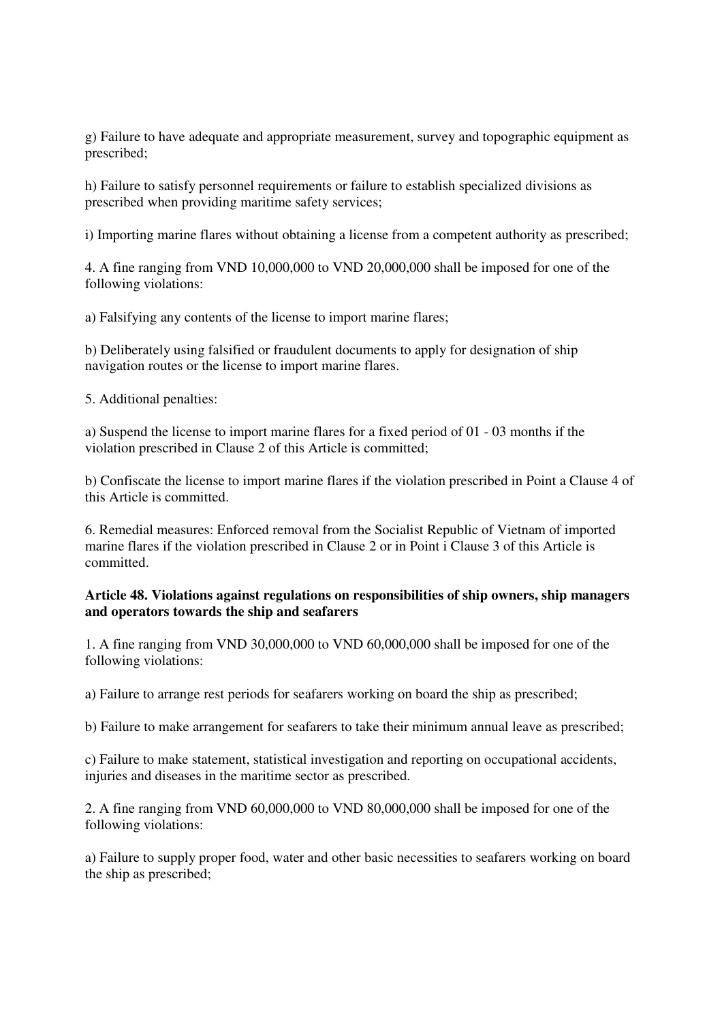g) Failure to have adequate and appropriate measurement, survey and topographic equipment as prescribed;

h) Failure to satisfy personnel requirements or failure to establish specialized divisions as prescribed when providing maritime safety services;

i) Importing marine flares without obtaining a license from a competent authority as prescribed;

4. A fine ranging from VND 10,000,000 to VND 20,000,000 shall be imposed for one of the following violations:

a) Falsifying any contents of the license to import marine flares;

b) Deliberately using falsified or fraudulent documents to apply for designation of ship navigation routes or the license to import marine flares.

5. Additional penalties:

a) Suspend the license to import marine flares for a fixed period of 01 - 03 months if the violation prescribed in Clause 2 of this Article is committed;

b) Confiscate the license to import marine flares if the violation prescribed in Point a Clause 4 of this Article is committed.

6. Remedial measures: Enforced removal from the Socialist Republic of Vietnam of imported marine flares if the violation prescribed in Clause 2 or in Point i Clause 3 of this Article is committed.

#### **Article 48. Violations against regulations on responsibilities of ship owners, ship managers and operators towards the ship and seafarers**

1. A fine ranging from VND 30,000,000 to VND 60,000,000 shall be imposed for one of the following violations:

a) Failure to arrange rest periods for seafarers working on board the ship as prescribed;

b) Failure to make arrangement for seafarers to take their minimum annual leave as prescribed;

c) Failure to make statement, statistical investigation and reporting on occupational accidents, injuries and diseases in the maritime sector as prescribed.

2. A fine ranging from VND 60,000,000 to VND 80,000,000 shall be imposed for one of the following violations:

a) Failure to supply proper food, water and other basic necessities to seafarers working on board the ship as prescribed;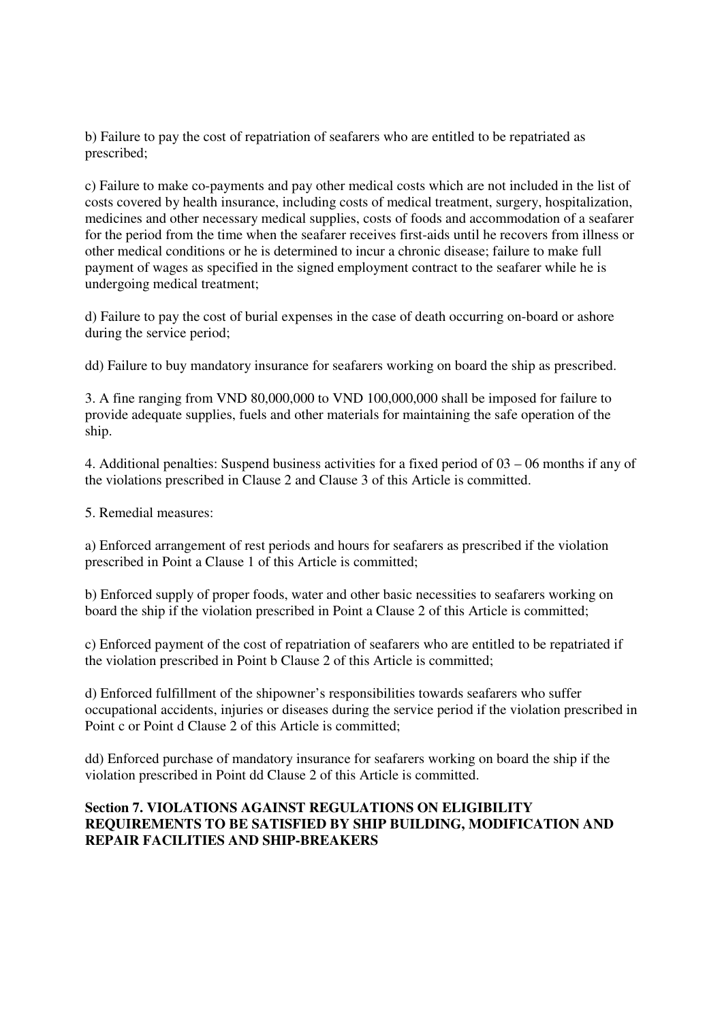b) Failure to pay the cost of repatriation of seafarers who are entitled to be repatriated as prescribed;

c) Failure to make co-payments and pay other medical costs which are not included in the list of costs covered by health insurance, including costs of medical treatment, surgery, hospitalization, medicines and other necessary medical supplies, costs of foods and accommodation of a seafarer for the period from the time when the seafarer receives first-aids until he recovers from illness or other medical conditions or he is determined to incur a chronic disease; failure to make full payment of wages as specified in the signed employment contract to the seafarer while he is undergoing medical treatment;

d) Failure to pay the cost of burial expenses in the case of death occurring on-board or ashore during the service period;

dd) Failure to buy mandatory insurance for seafarers working on board the ship as prescribed.

3. A fine ranging from VND 80,000,000 to VND 100,000,000 shall be imposed for failure to provide adequate supplies, fuels and other materials for maintaining the safe operation of the ship.

4. Additional penalties: Suspend business activities for a fixed period of 03 – 06 months if any of the violations prescribed in Clause 2 and Clause 3 of this Article is committed.

5. Remedial measures:

a) Enforced arrangement of rest periods and hours for seafarers as prescribed if the violation prescribed in Point a Clause 1 of this Article is committed;

b) Enforced supply of proper foods, water and other basic necessities to seafarers working on board the ship if the violation prescribed in Point a Clause 2 of this Article is committed;

c) Enforced payment of the cost of repatriation of seafarers who are entitled to be repatriated if the violation prescribed in Point b Clause 2 of this Article is committed;

d) Enforced fulfillment of the shipowner's responsibilities towards seafarers who suffer occupational accidents, injuries or diseases during the service period if the violation prescribed in Point c or Point d Clause 2 of this Article is committed;

dd) Enforced purchase of mandatory insurance for seafarers working on board the ship if the violation prescribed in Point dd Clause 2 of this Article is committed.

# **Section 7. VIOLATIONS AGAINST REGULATIONS ON ELIGIBILITY REQUIREMENTS TO BE SATISFIED BY SHIP BUILDING, MODIFICATION AND REPAIR FACILITIES AND SHIP-BREAKERS**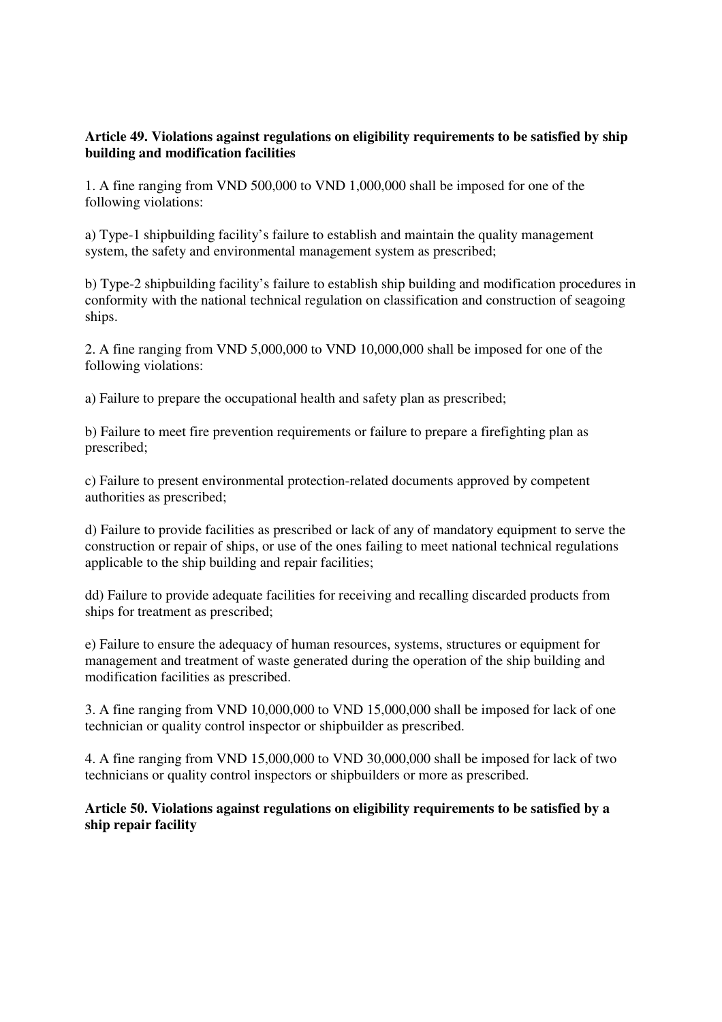# **Article 49. Violations against regulations on eligibility requirements to be satisfied by ship building and modification facilities**

1. A fine ranging from VND 500,000 to VND 1,000,000 shall be imposed for one of the following violations:

a) Type-1 shipbuilding facility's failure to establish and maintain the quality management system, the safety and environmental management system as prescribed;

b) Type-2 shipbuilding facility's failure to establish ship building and modification procedures in conformity with the national technical regulation on classification and construction of seagoing ships.

2. A fine ranging from VND 5,000,000 to VND 10,000,000 shall be imposed for one of the following violations:

a) Failure to prepare the occupational health and safety plan as prescribed;

b) Failure to meet fire prevention requirements or failure to prepare a firefighting plan as prescribed;

c) Failure to present environmental protection-related documents approved by competent authorities as prescribed;

d) Failure to provide facilities as prescribed or lack of any of mandatory equipment to serve the construction or repair of ships, or use of the ones failing to meet national technical regulations applicable to the ship building and repair facilities;

dd) Failure to provide adequate facilities for receiving and recalling discarded products from ships for treatment as prescribed;

e) Failure to ensure the adequacy of human resources, systems, structures or equipment for management and treatment of waste generated during the operation of the ship building and modification facilities as prescribed.

3. A fine ranging from VND 10,000,000 to VND 15,000,000 shall be imposed for lack of one technician or quality control inspector or shipbuilder as prescribed.

4. A fine ranging from VND 15,000,000 to VND 30,000,000 shall be imposed for lack of two technicians or quality control inspectors or shipbuilders or more as prescribed.

**Article 50. Violations against regulations on eligibility requirements to be satisfied by a ship repair facility**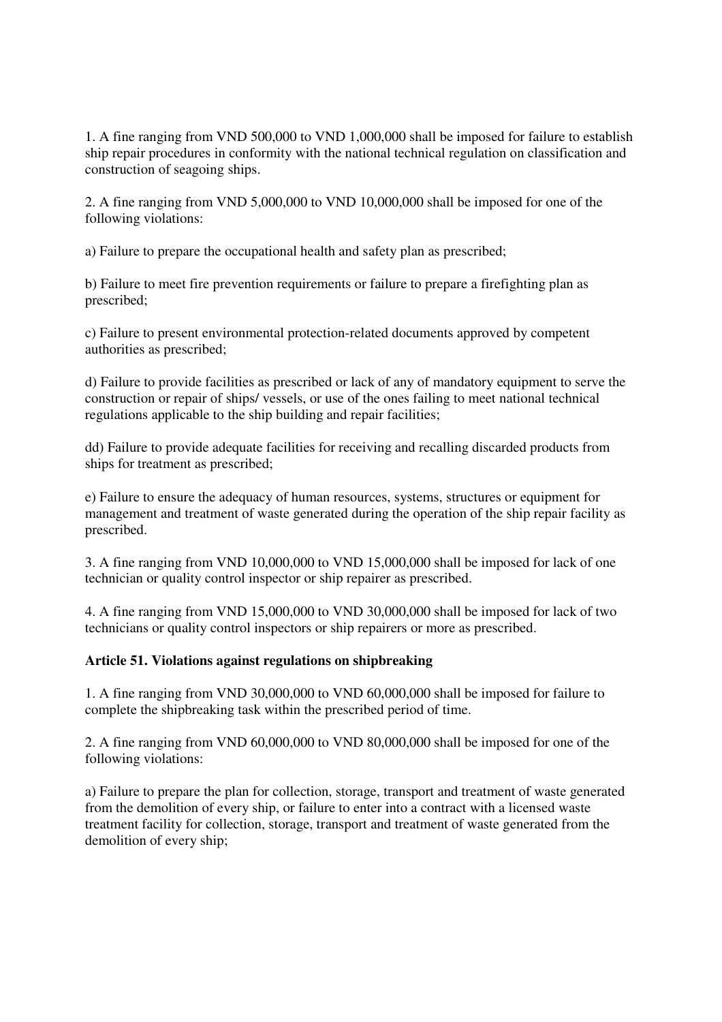1. A fine ranging from VND 500,000 to VND 1,000,000 shall be imposed for failure to establish ship repair procedures in conformity with the national technical regulation on classification and construction of seagoing ships.

2. A fine ranging from VND 5,000,000 to VND 10,000,000 shall be imposed for one of the following violations:

a) Failure to prepare the occupational health and safety plan as prescribed;

b) Failure to meet fire prevention requirements or failure to prepare a firefighting plan as prescribed;

c) Failure to present environmental protection-related documents approved by competent authorities as prescribed;

d) Failure to provide facilities as prescribed or lack of any of mandatory equipment to serve the construction or repair of ships/ vessels, or use of the ones failing to meet national technical regulations applicable to the ship building and repair facilities;

dd) Failure to provide adequate facilities for receiving and recalling discarded products from ships for treatment as prescribed;

e) Failure to ensure the adequacy of human resources, systems, structures or equipment for management and treatment of waste generated during the operation of the ship repair facility as prescribed.

3. A fine ranging from VND 10,000,000 to VND 15,000,000 shall be imposed for lack of one technician or quality control inspector or ship repairer as prescribed.

4. A fine ranging from VND 15,000,000 to VND 30,000,000 shall be imposed for lack of two technicians or quality control inspectors or ship repairers or more as prescribed.

# **Article 51. Violations against regulations on shipbreaking**

1. A fine ranging from VND 30,000,000 to VND 60,000,000 shall be imposed for failure to complete the shipbreaking task within the prescribed period of time.

2. A fine ranging from VND 60,000,000 to VND 80,000,000 shall be imposed for one of the following violations:

a) Failure to prepare the plan for collection, storage, transport and treatment of waste generated from the demolition of every ship, or failure to enter into a contract with a licensed waste treatment facility for collection, storage, transport and treatment of waste generated from the demolition of every ship;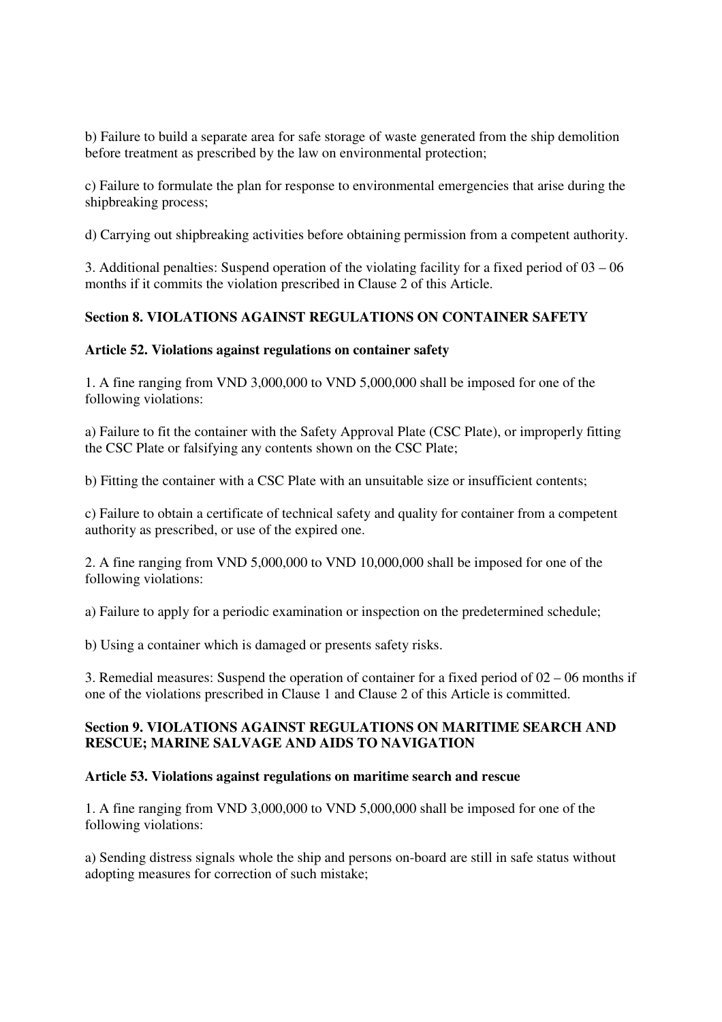b) Failure to build a separate area for safe storage of waste generated from the ship demolition before treatment as prescribed by the law on environmental protection;

c) Failure to formulate the plan for response to environmental emergencies that arise during the shipbreaking process;

d) Carrying out shipbreaking activities before obtaining permission from a competent authority.

3. Additional penalties: Suspend operation of the violating facility for a fixed period of 03 – 06 months if it commits the violation prescribed in Clause 2 of this Article.

# **Section 8. VIOLATIONS AGAINST REGULATIONS ON CONTAINER SAFETY**

#### **Article 52. Violations against regulations on container safety**

1. A fine ranging from VND 3,000,000 to VND 5,000,000 shall be imposed for one of the following violations:

a) Failure to fit the container with the Safety Approval Plate (CSC Plate), or improperly fitting the CSC Plate or falsifying any contents shown on the CSC Plate;

b) Fitting the container with a CSC Plate with an unsuitable size or insufficient contents;

c) Failure to obtain a certificate of technical safety and quality for container from a competent authority as prescribed, or use of the expired one.

2. A fine ranging from VND 5,000,000 to VND 10,000,000 shall be imposed for one of the following violations:

a) Failure to apply for a periodic examination or inspection on the predetermined schedule;

b) Using a container which is damaged or presents safety risks.

3. Remedial measures: Suspend the operation of container for a fixed period of 02 – 06 months if one of the violations prescribed in Clause 1 and Clause 2 of this Article is committed.

# **Section 9. VIOLATIONS AGAINST REGULATIONS ON MARITIME SEARCH AND RESCUE; MARINE SALVAGE AND AIDS TO NAVIGATION**

#### **Article 53. Violations against regulations on maritime search and rescue**

1. A fine ranging from VND 3,000,000 to VND 5,000,000 shall be imposed for one of the following violations:

a) Sending distress signals whole the ship and persons on-board are still in safe status without adopting measures for correction of such mistake;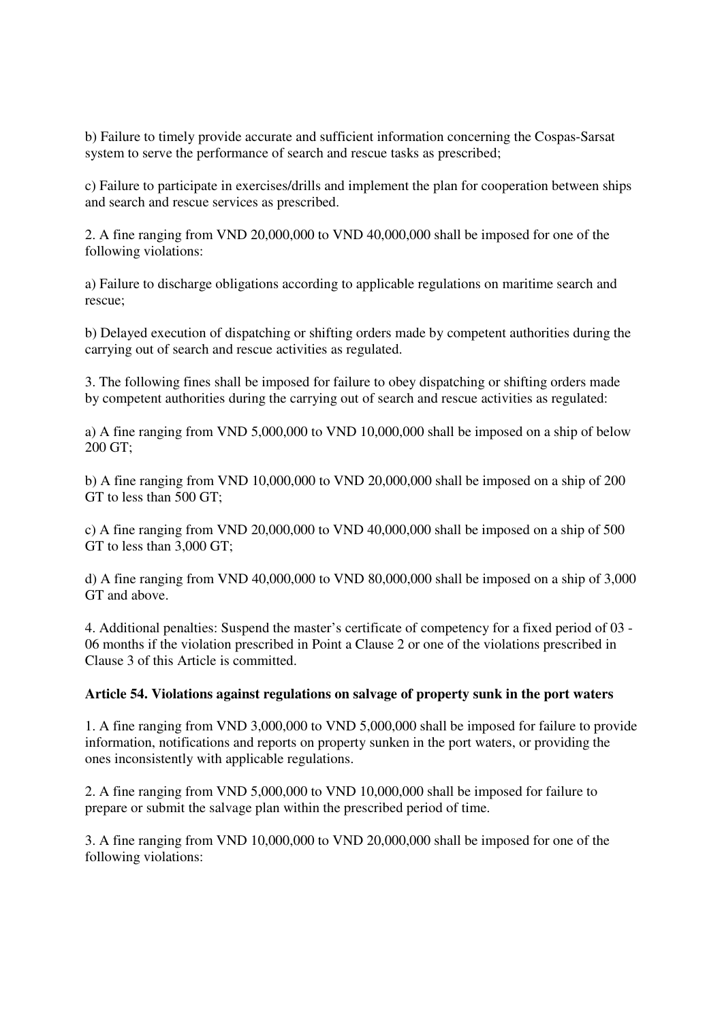b) Failure to timely provide accurate and sufficient information concerning the Cospas-Sarsat system to serve the performance of search and rescue tasks as prescribed;

c) Failure to participate in exercises/drills and implement the plan for cooperation between ships and search and rescue services as prescribed.

2. A fine ranging from VND 20,000,000 to VND 40,000,000 shall be imposed for one of the following violations:

a) Failure to discharge obligations according to applicable regulations on maritime search and rescue;

b) Delayed execution of dispatching or shifting orders made by competent authorities during the carrying out of search and rescue activities as regulated.

3. The following fines shall be imposed for failure to obey dispatching or shifting orders made by competent authorities during the carrying out of search and rescue activities as regulated:

a) A fine ranging from VND 5,000,000 to VND 10,000,000 shall be imposed on a ship of below 200 GT;

b) A fine ranging from VND 10,000,000 to VND 20,000,000 shall be imposed on a ship of 200 GT to less than 500 GT;

c) A fine ranging from VND 20,000,000 to VND 40,000,000 shall be imposed on a ship of 500 GT to less than 3,000 GT;

d) A fine ranging from VND 40,000,000 to VND 80,000,000 shall be imposed on a ship of 3,000 GT and above.

4. Additional penalties: Suspend the master's certificate of competency for a fixed period of 03 - 06 months if the violation prescribed in Point a Clause 2 or one of the violations prescribed in Clause 3 of this Article is committed.

#### **Article 54. Violations against regulations on salvage of property sunk in the port waters**

1. A fine ranging from VND 3,000,000 to VND 5,000,000 shall be imposed for failure to provide information, notifications and reports on property sunken in the port waters, or providing the ones inconsistently with applicable regulations.

2. A fine ranging from VND 5,000,000 to VND 10,000,000 shall be imposed for failure to prepare or submit the salvage plan within the prescribed period of time.

3. A fine ranging from VND 10,000,000 to VND 20,000,000 shall be imposed for one of the following violations: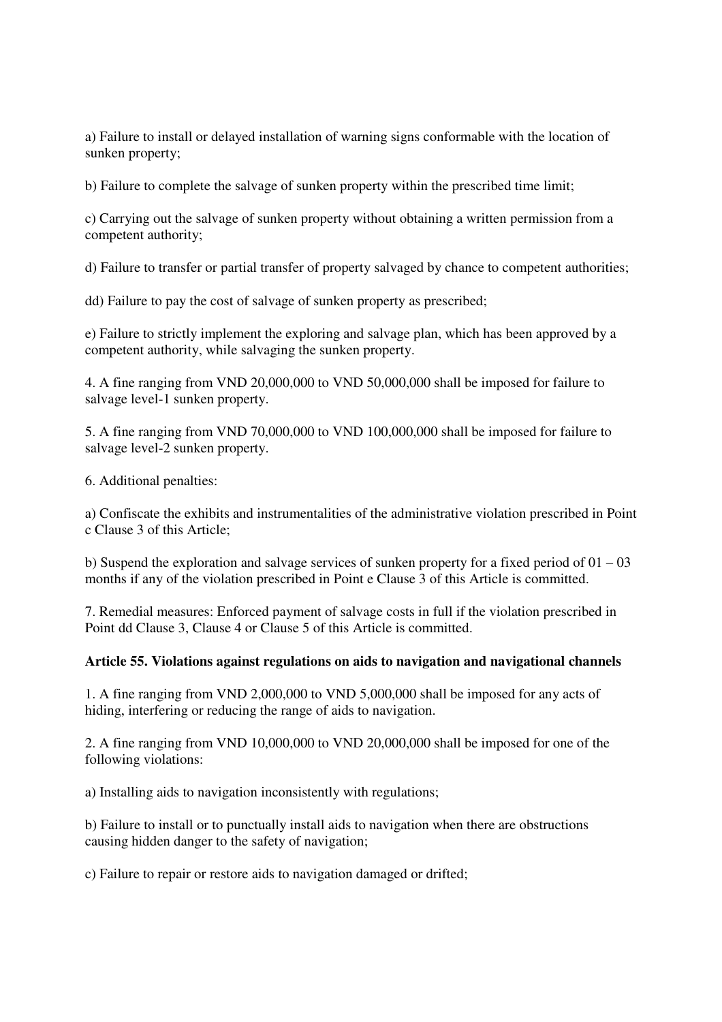a) Failure to install or delayed installation of warning signs conformable with the location of sunken property;

b) Failure to complete the salvage of sunken property within the prescribed time limit;

c) Carrying out the salvage of sunken property without obtaining a written permission from a competent authority;

d) Failure to transfer or partial transfer of property salvaged by chance to competent authorities;

dd) Failure to pay the cost of salvage of sunken property as prescribed;

e) Failure to strictly implement the exploring and salvage plan, which has been approved by a competent authority, while salvaging the sunken property.

4. A fine ranging from VND 20,000,000 to VND 50,000,000 shall be imposed for failure to salvage level-1 sunken property.

5. A fine ranging from VND 70,000,000 to VND 100,000,000 shall be imposed for failure to salvage level-2 sunken property.

6. Additional penalties:

a) Confiscate the exhibits and instrumentalities of the administrative violation prescribed in Point c Clause 3 of this Article;

b) Suspend the exploration and salvage services of sunken property for a fixed period of 01 – 03 months if any of the violation prescribed in Point e Clause 3 of this Article is committed.

7. Remedial measures: Enforced payment of salvage costs in full if the violation prescribed in Point dd Clause 3, Clause 4 or Clause 5 of this Article is committed.

# **Article 55. Violations against regulations on aids to navigation and navigational channels**

1. A fine ranging from VND 2,000,000 to VND 5,000,000 shall be imposed for any acts of hiding, interfering or reducing the range of aids to navigation.

2. A fine ranging from VND 10,000,000 to VND 20,000,000 shall be imposed for one of the following violations:

a) Installing aids to navigation inconsistently with regulations;

b) Failure to install or to punctually install aids to navigation when there are obstructions causing hidden danger to the safety of navigation;

c) Failure to repair or restore aids to navigation damaged or drifted;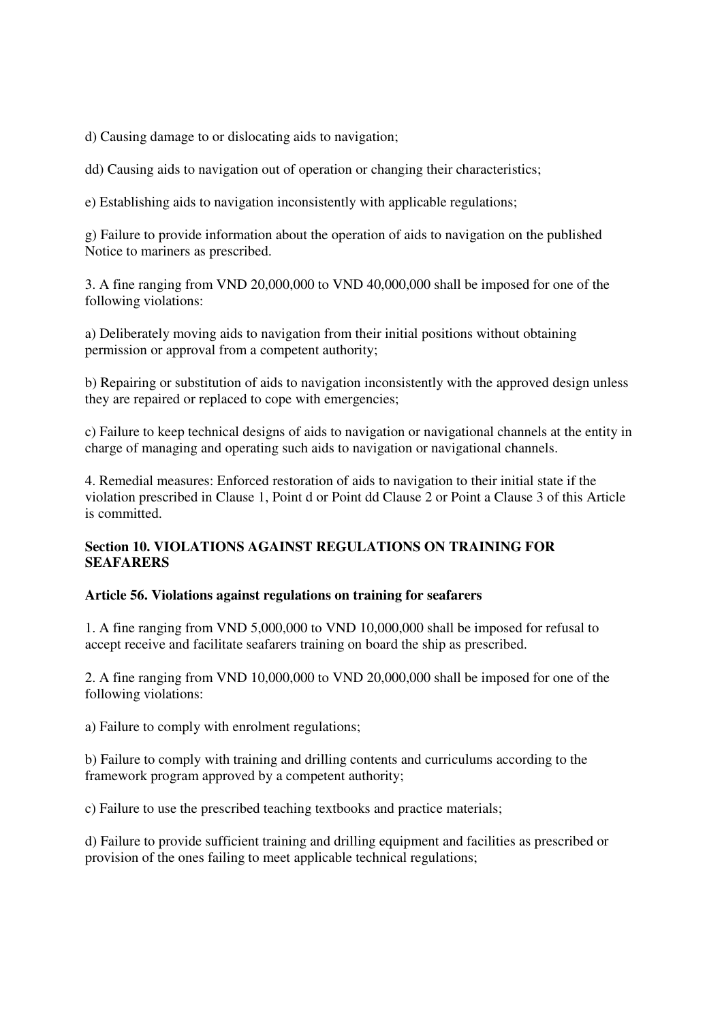d) Causing damage to or dislocating aids to navigation;

dd) Causing aids to navigation out of operation or changing their characteristics;

e) Establishing aids to navigation inconsistently with applicable regulations;

g) Failure to provide information about the operation of aids to navigation on the published Notice to mariners as prescribed.

3. A fine ranging from VND 20,000,000 to VND 40,000,000 shall be imposed for one of the following violations:

a) Deliberately moving aids to navigation from their initial positions without obtaining permission or approval from a competent authority;

b) Repairing or substitution of aids to navigation inconsistently with the approved design unless they are repaired or replaced to cope with emergencies;

c) Failure to keep technical designs of aids to navigation or navigational channels at the entity in charge of managing and operating such aids to navigation or navigational channels.

4. Remedial measures: Enforced restoration of aids to navigation to their initial state if the violation prescribed in Clause 1, Point d or Point dd Clause 2 or Point a Clause 3 of this Article is committed.

# **Section 10. VIOLATIONS AGAINST REGULATIONS ON TRAINING FOR SEAFARERS**

# **Article 56. Violations against regulations on training for seafarers**

1. A fine ranging from VND 5,000,000 to VND 10,000,000 shall be imposed for refusal to accept receive and facilitate seafarers training on board the ship as prescribed.

2. A fine ranging from VND 10,000,000 to VND 20,000,000 shall be imposed for one of the following violations:

a) Failure to comply with enrolment regulations;

b) Failure to comply with training and drilling contents and curriculums according to the framework program approved by a competent authority;

c) Failure to use the prescribed teaching textbooks and practice materials;

d) Failure to provide sufficient training and drilling equipment and facilities as prescribed or provision of the ones failing to meet applicable technical regulations;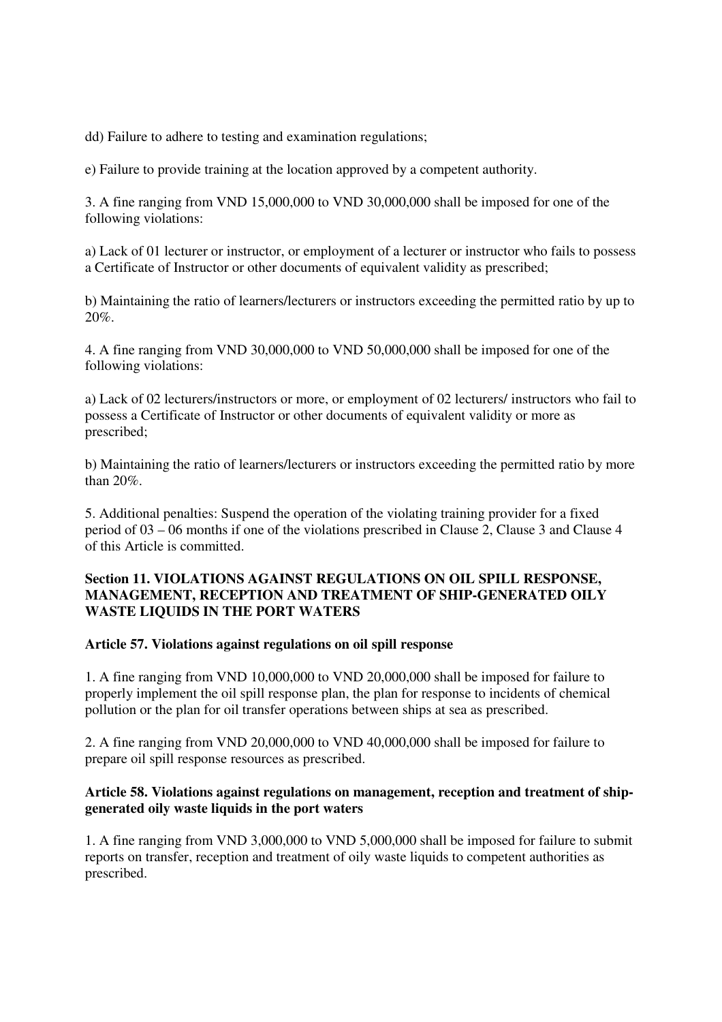dd) Failure to adhere to testing and examination regulations;

e) Failure to provide training at the location approved by a competent authority.

3. A fine ranging from VND 15,000,000 to VND 30,000,000 shall be imposed for one of the following violations:

a) Lack of 01 lecturer or instructor, or employment of a lecturer or instructor who fails to possess a Certificate of Instructor or other documents of equivalent validity as prescribed;

b) Maintaining the ratio of learners/lecturers or instructors exceeding the permitted ratio by up to 20%.

4. A fine ranging from VND 30,000,000 to VND 50,000,000 shall be imposed for one of the following violations:

a) Lack of 02 lecturers/instructors or more, or employment of 02 lecturers/ instructors who fail to possess a Certificate of Instructor or other documents of equivalent validity or more as prescribed;

b) Maintaining the ratio of learners/lecturers or instructors exceeding the permitted ratio by more than 20%.

5. Additional penalties: Suspend the operation of the violating training provider for a fixed period of 03 – 06 months if one of the violations prescribed in Clause 2, Clause 3 and Clause 4 of this Article is committed.

# **Section 11. VIOLATIONS AGAINST REGULATIONS ON OIL SPILL RESPONSE, MANAGEMENT, RECEPTION AND TREATMENT OF SHIP-GENERATED OILY WASTE LIQUIDS IN THE PORT WATERS**

#### **Article 57. Violations against regulations on oil spill response**

1. A fine ranging from VND 10,000,000 to VND 20,000,000 shall be imposed for failure to properly implement the oil spill response plan, the plan for response to incidents of chemical pollution or the plan for oil transfer operations between ships at sea as prescribed.

2. A fine ranging from VND 20,000,000 to VND 40,000,000 shall be imposed for failure to prepare oil spill response resources as prescribed.

# **Article 58. Violations against regulations on management, reception and treatment of shipgenerated oily waste liquids in the port waters**

1. A fine ranging from VND 3,000,000 to VND 5,000,000 shall be imposed for failure to submit reports on transfer, reception and treatment of oily waste liquids to competent authorities as prescribed.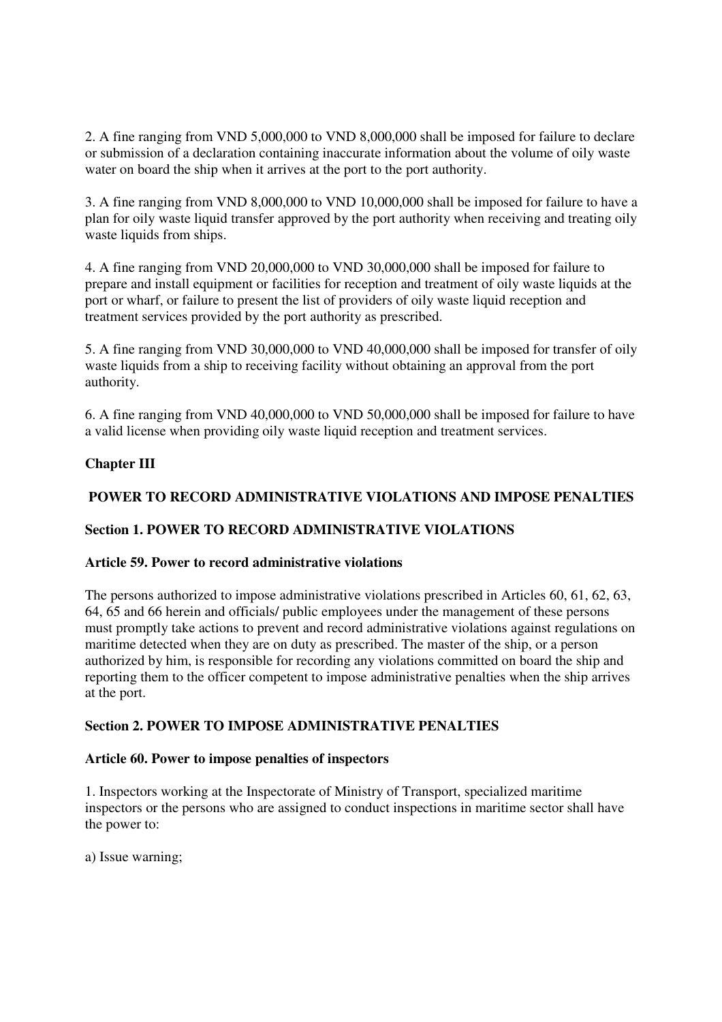2. A fine ranging from VND 5,000,000 to VND 8,000,000 shall be imposed for failure to declare or submission of a declaration containing inaccurate information about the volume of oily waste water on board the ship when it arrives at the port to the port authority.

3. A fine ranging from VND 8,000,000 to VND 10,000,000 shall be imposed for failure to have a plan for oily waste liquid transfer approved by the port authority when receiving and treating oily waste liquids from ships.

4. A fine ranging from VND 20,000,000 to VND 30,000,000 shall be imposed for failure to prepare and install equipment or facilities for reception and treatment of oily waste liquids at the port or wharf, or failure to present the list of providers of oily waste liquid reception and treatment services provided by the port authority as prescribed.

5. A fine ranging from VND 30,000,000 to VND 40,000,000 shall be imposed for transfer of oily waste liquids from a ship to receiving facility without obtaining an approval from the port authority.

6. A fine ranging from VND 40,000,000 to VND 50,000,000 shall be imposed for failure to have a valid license when providing oily waste liquid reception and treatment services.

# **Chapter III**

# **POWER TO RECORD ADMINISTRATIVE VIOLATIONS AND IMPOSE PENALTIES**

# **Section 1. POWER TO RECORD ADMINISTRATIVE VIOLATIONS**

# **Article 59. Power to record administrative violations**

The persons authorized to impose administrative violations prescribed in Articles 60, 61, 62, 63, 64, 65 and 66 herein and officials/ public employees under the management of these persons must promptly take actions to prevent and record administrative violations against regulations on maritime detected when they are on duty as prescribed. The master of the ship, or a person authorized by him, is responsible for recording any violations committed on board the ship and reporting them to the officer competent to impose administrative penalties when the ship arrives at the port.

# **Section 2. POWER TO IMPOSE ADMINISTRATIVE PENALTIES**

# **Article 60. Power to impose penalties of inspectors**

1. Inspectors working at the Inspectorate of Ministry of Transport, specialized maritime inspectors or the persons who are assigned to conduct inspections in maritime sector shall have the power to:

a) Issue warning;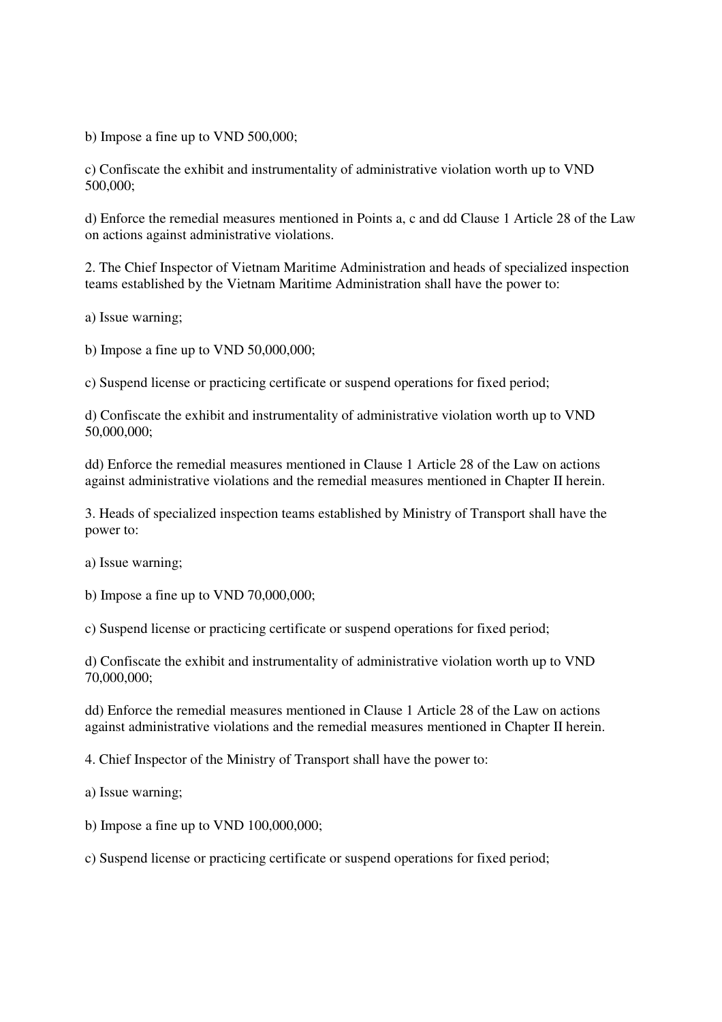b) Impose a fine up to VND 500,000;

c) Confiscate the exhibit and instrumentality of administrative violation worth up to VND 500,000;

d) Enforce the remedial measures mentioned in Points a, c and dd Clause 1 Article 28 of the Law on actions against administrative violations.

2. The Chief Inspector of Vietnam Maritime Administration and heads of specialized inspection teams established by the Vietnam Maritime Administration shall have the power to:

a) Issue warning;

b) Impose a fine up to VND 50,000,000;

c) Suspend license or practicing certificate or suspend operations for fixed period;

d) Confiscate the exhibit and instrumentality of administrative violation worth up to VND 50,000,000;

dd) Enforce the remedial measures mentioned in Clause 1 Article 28 of the Law on actions against administrative violations and the remedial measures mentioned in Chapter II herein.

3. Heads of specialized inspection teams established by Ministry of Transport shall have the power to:

a) Issue warning;

b) Impose a fine up to VND  $70,000,000$ ;

c) Suspend license or practicing certificate or suspend operations for fixed period;

d) Confiscate the exhibit and instrumentality of administrative violation worth up to VND 70,000,000;

dd) Enforce the remedial measures mentioned in Clause 1 Article 28 of the Law on actions against administrative violations and the remedial measures mentioned in Chapter II herein.

4. Chief Inspector of the Ministry of Transport shall have the power to:

a) Issue warning;

b) Impose a fine up to VND 100,000,000;

c) Suspend license or practicing certificate or suspend operations for fixed period;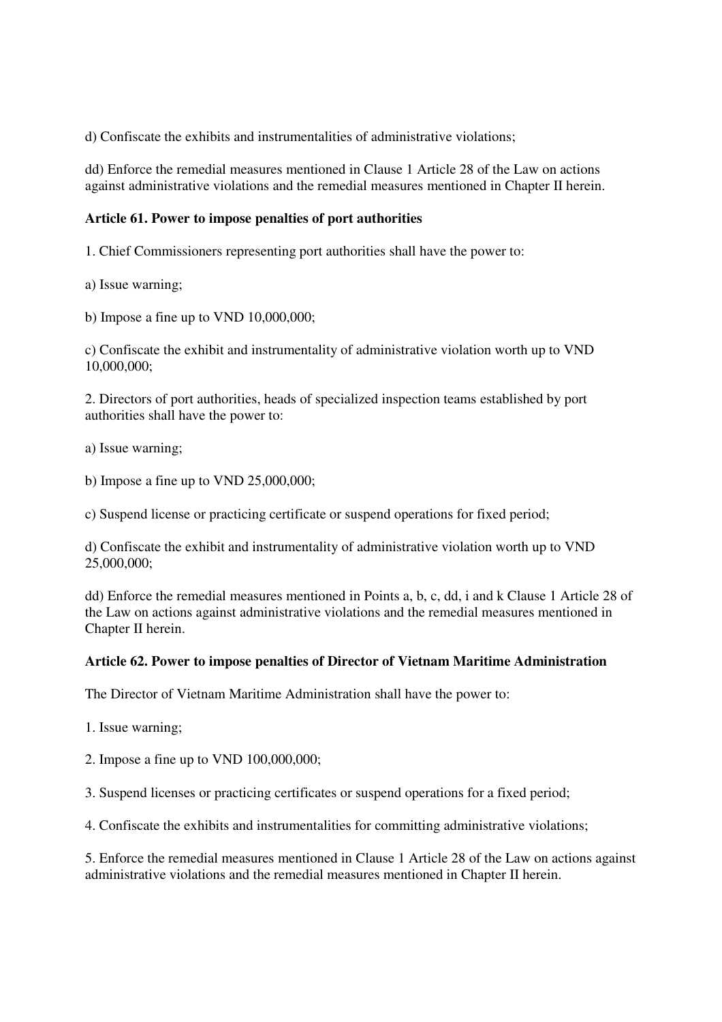d) Confiscate the exhibits and instrumentalities of administrative violations;

dd) Enforce the remedial measures mentioned in Clause 1 Article 28 of the Law on actions against administrative violations and the remedial measures mentioned in Chapter II herein.

# **Article 61. Power to impose penalties of port authorities**

1. Chief Commissioners representing port authorities shall have the power to:

a) Issue warning;

b) Impose a fine up to VND 10,000,000;

c) Confiscate the exhibit and instrumentality of administrative violation worth up to VND 10,000,000;

2. Directors of port authorities, heads of specialized inspection teams established by port authorities shall have the power to:

a) Issue warning;

b) Impose a fine up to VND 25,000,000;

c) Suspend license or practicing certificate or suspend operations for fixed period;

d) Confiscate the exhibit and instrumentality of administrative violation worth up to VND 25,000,000;

dd) Enforce the remedial measures mentioned in Points a, b, c, dd, i and k Clause 1 Article 28 of the Law on actions against administrative violations and the remedial measures mentioned in Chapter II herein.

# **Article 62. Power to impose penalties of Director of Vietnam Maritime Administration**

The Director of Vietnam Maritime Administration shall have the power to:

1. Issue warning;

2. Impose a fine up to VND 100,000,000;

3. Suspend licenses or practicing certificates or suspend operations for a fixed period;

4. Confiscate the exhibits and instrumentalities for committing administrative violations;

5. Enforce the remedial measures mentioned in Clause 1 Article 28 of the Law on actions against administrative violations and the remedial measures mentioned in Chapter II herein.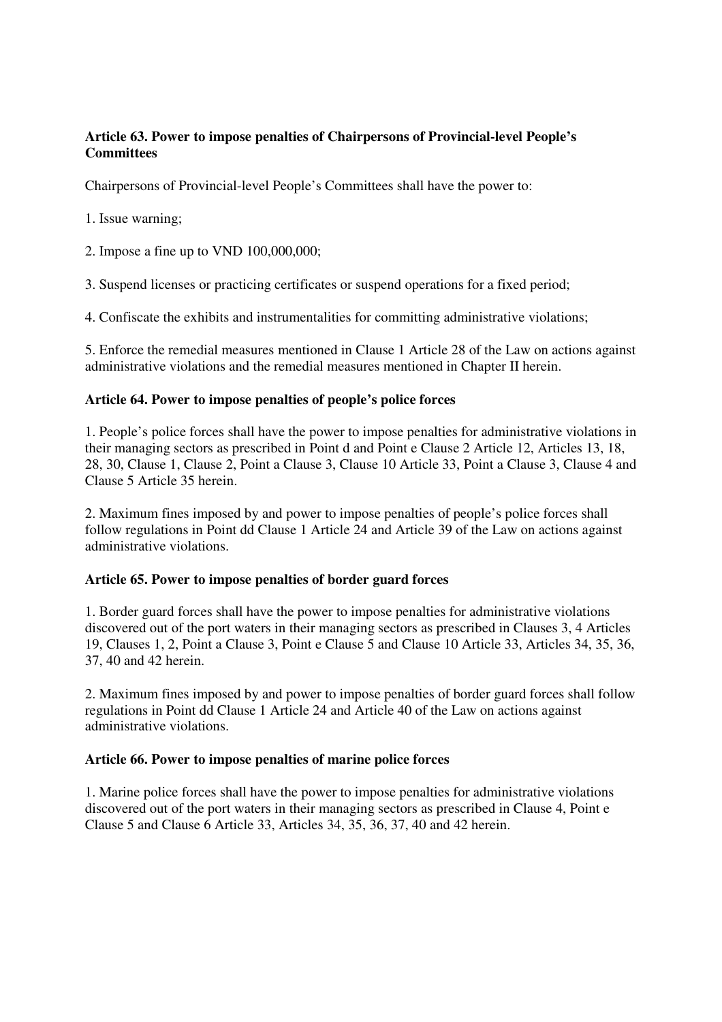# **Article 63. Power to impose penalties of Chairpersons of Provincial-level People's Committees**

Chairpersons of Provincial-level People's Committees shall have the power to:

1. Issue warning;

2. Impose a fine up to VND 100,000,000;

3. Suspend licenses or practicing certificates or suspend operations for a fixed period;

4. Confiscate the exhibits and instrumentalities for committing administrative violations;

5. Enforce the remedial measures mentioned in Clause 1 Article 28 of the Law on actions against administrative violations and the remedial measures mentioned in Chapter II herein.

# **Article 64. Power to impose penalties of people's police forces**

1. People's police forces shall have the power to impose penalties for administrative violations in their managing sectors as prescribed in Point d and Point e Clause 2 Article 12, Articles 13, 18, 28, 30, Clause 1, Clause 2, Point a Clause 3, Clause 10 Article 33, Point a Clause 3, Clause 4 and Clause 5 Article 35 herein.

2. Maximum fines imposed by and power to impose penalties of people's police forces shall follow regulations in Point dd Clause 1 Article 24 and Article 39 of the Law on actions against administrative violations.

# **Article 65. Power to impose penalties of border guard forces**

1. Border guard forces shall have the power to impose penalties for administrative violations discovered out of the port waters in their managing sectors as prescribed in Clauses 3, 4 Articles 19, Clauses 1, 2, Point a Clause 3, Point e Clause 5 and Clause 10 Article 33, Articles 34, 35, 36, 37, 40 and 42 herein.

2. Maximum fines imposed by and power to impose penalties of border guard forces shall follow regulations in Point dd Clause 1 Article 24 and Article 40 of the Law on actions against administrative violations.

# **Article 66. Power to impose penalties of marine police forces**

1. Marine police forces shall have the power to impose penalties for administrative violations discovered out of the port waters in their managing sectors as prescribed in Clause 4, Point e Clause 5 and Clause 6 Article 33, Articles 34, 35, 36, 37, 40 and 42 herein.